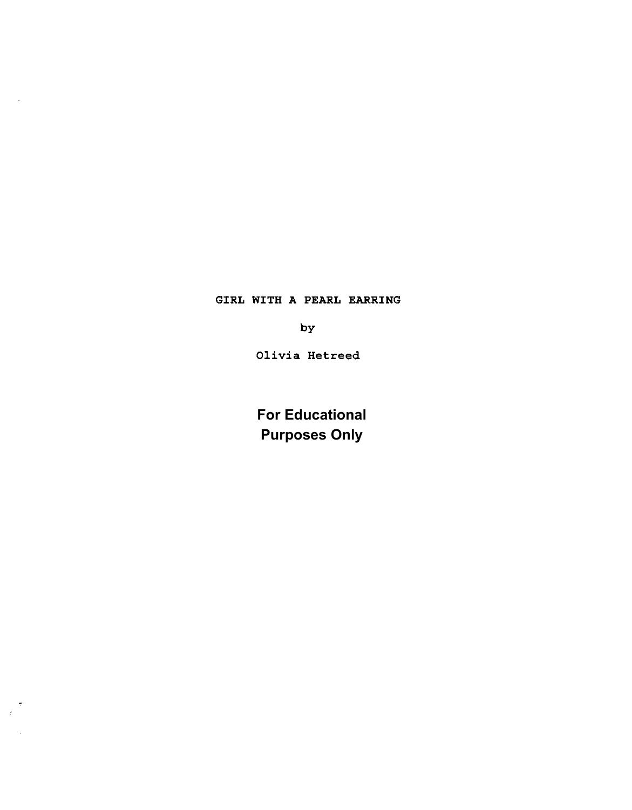GIRL WITH A PEARL EARRING

by

Olivia Hetreed

**For Educational Purposes Only**

 $\frac{1}{2}$ 

 $\sim$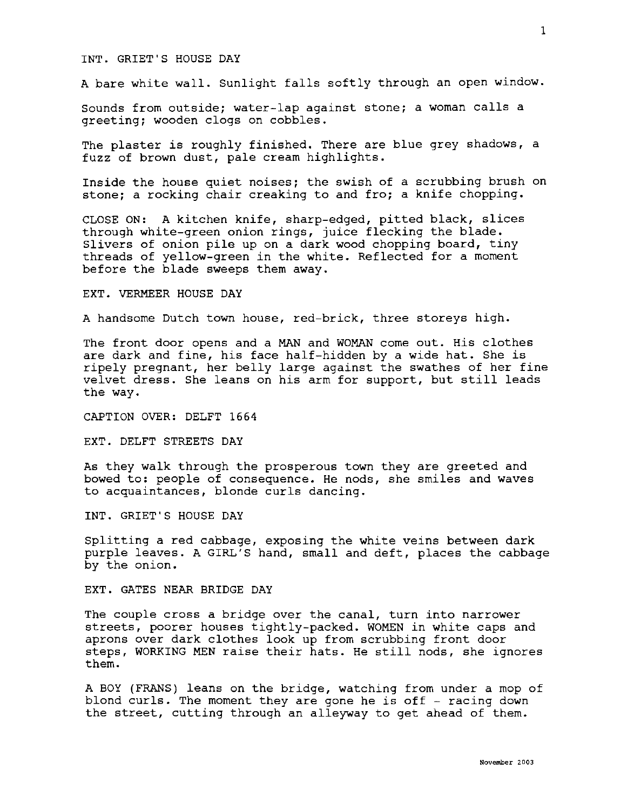## INT. GRIET'S HOUSE DAY

A bare white wall. Sunlight falls softly through an open window.

Sounds from outside; water-lap against stone; a woman calls a greeting; wooden clogs on cobbles.

The plaster is roughly finished. There are blue grey shadows, a fuzz of brown dust, pale cream highlights.

Inside the house quiet noises; the swish of a scrubbing brush on stone; a rocking chair creaking to and fro; a knife chopping.

CLOSE ON: A kitchen knife, sharp-edged, pitted black, slices through white-green onion rings, juice flecking the blade. Slivers of onion pile up on a dark wood chopping board, tiny threads of yellow-green in the white. Reflected for a moment before the blade sweeps them away.

## EXT. VERMEER HOUSE DAY

A handsome Dutch town house, red-brick, three storeys high.

The front door opens and a MAN and WOMAN come out. His clothes are dark and fine, his face half-hidden by a wide hat. She is ripely pregnant, her belly large against the swathes of her fine velvet dress. She leans on his arm for support, but still leads the way.

CAPTION OVER: DELFT 1664

EXT. DELFT STREETS DAY

As they walk through the prosperous town they are greeted and bowed to: people of consequence. He nods, she smiles and waves to acquaintances, blonde curls dancing.

INT. GRIET'S HOUSE DAY

Splitting a red cabbage, exposing the white veins between dark purple leaves. A GIRL'S hand, small and deft, places the cabbage by the onion.

EXT. GATES NEAR BRIDGE DAY

The couple cross a bridge over the canal, turn into narrower streets, poorer houses tightly-packed. WOMEN in white caps and aprons over dark clothes look up from scrubbing front door steps, WORKING MEN raise their hats. He still nods, she ignores them.

A BOY (FRANS) leans on the bridge, watching from under a mop of blond curls. The moment they are gone he is off  $-$  racing down the street, cutting through an alleyway to get ahead of them.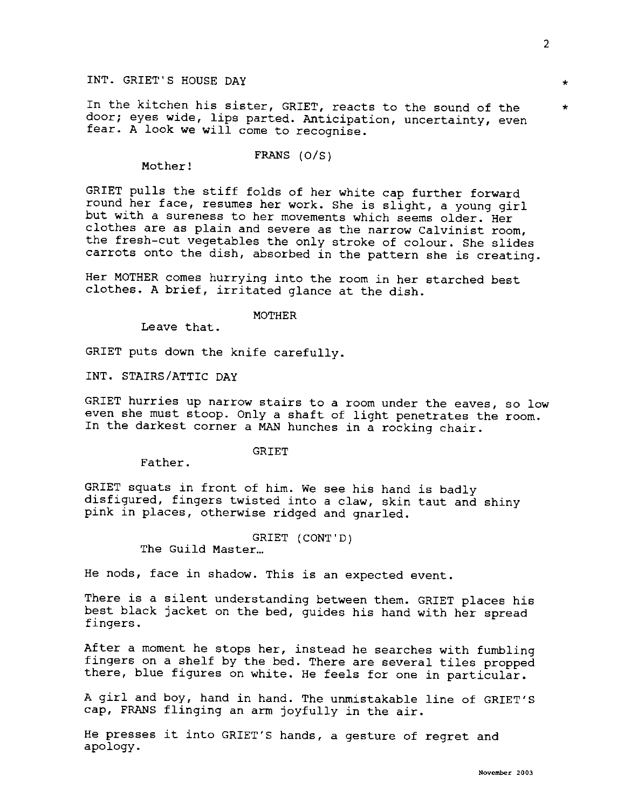In the kitchen his sister, GRIET, reacts to the sound of the  $*$ door; eyes wide, lips parted. Anticipation, uncertainty, even fear. A look we will come to recognise.

Mother!

GRIET pulls the stiff folds of her white cap further forward round her face, resumes her work. She is slight, a young girl but with a sureness to her movements which seems older. Her clothes are as plain and severe as the narrow Calvinist room, the fresh-cut vegetables the only stroke of colour. She slides carrots onto the dish, absorbed in the pattern she is creating.

FRANS (O/S)

Her MOTHER comes hurrying into the room in her starched best clothes. A brief, irritated glance at the dish.

MOTHER

Leave that.

GRIET puts down the knife carefully.

INT. STAIRS/ATTIC DAY

GRIET hurries up narrow stairs to a room under the eaves, so low even she must stoop. Only a shaft of light penetrates the room. In the darkest corner a MAN hunches in a rocking chair.

GRIET

Father.

GRIET squats in front of him. We see his hand is badly disfigured, fingers twisted into a claw, skin taut and shiny pink in places, otherwise ridged and gnarled.

GRIET (CONT'D)

The Guild Master...

He nods, face in shadow. This is an expected event.

There is a silent understanding between them. GRIET places his best black jacket on the bed, guides his hand with her spread fingers.

After a moment he stops her, instead he searches with fumbling fingers on a shelf by the bed. There are several tiles propped there, blue figures on white. He feels for one in particular.

A girl and boy, hand in hand. The unmistakable line of GRIET'S cap, FRANS flinging an arm joyfully in the air.

He presses it into GRIET'S hands, a gesture of regret and apology.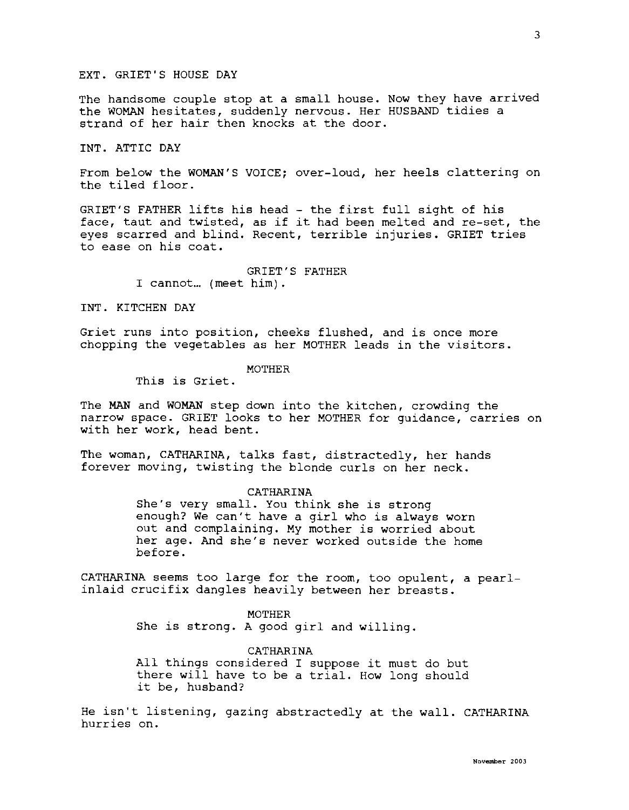# EXT. GRIET'S HOUSE DAY

The handsome couple stop at a small house. Now they have arrived the WOMAN hesitates, suddenly nervous. Her HUSBAND tidies a strand of her hair then knocks at the door.

## INT. ATTIC DAY

From below the WOMAN'S VOICE; over-loud, her heels clattering on the tiled floor.

GRIET'S FATHER lifts his head - the first full sight of his face, taut and twisted, as if it had been melted and re-set, the eyes scarred and blind. Recent, terrible injuries. GRIET tries to ease on his coat.

> GRIET'S FATHER I cannot... (meet him).

## INT. KITCHEN DAY

Griet runs into position, cheeks flushed, and is once more chopping the vegetables as her MOTHER leads in the visitors.

## MOTHER

This is Griet.

The MAN and WOMAN step down into the kitchen, crowding the narrow space. GRIET looks to her MOTHER for guidance, carries on with her work, head bent.

The woman, CATHARINA, talks fast, distractedly, her hands forever moving, twisting the blonde curls on her neck.

#### CATHARINA

She's very small. You think she is strong enough? We can't have a girl who is always worn out and complaining. My mother is worried about her age. And she's never worked outside the home before.

CATHARINA seems too large for the room, too opulent, a pearlinlaid crucifix dangles heavily between her breasts.

> MOTHER She is strong. A good girl and willing.

CATHARINA All things considered I suppose it must do but there will have to be a trial. How long should it be, husband?

He isn't listening, gazing abstractedly at the wall. CATHARINA hurries on.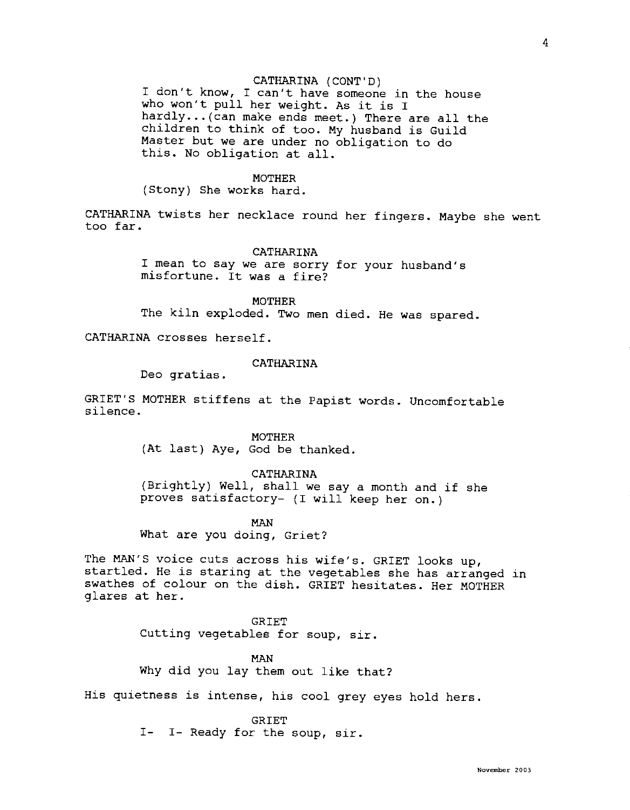I don't know, I can't have someone in the house who won't pull her weight. As it is I hardly... (can make ends meet.) There are all the children to think of too. My husband is Guild Master but we are under no obligation to do this. No obligation at all.

#### **MOTHER**

(Stony) She works hard.

CATHARINA twists her necklace round her fingers. Maybe she went too far.

#### CATHARINA

I mean to say we are sorry for your husband's misfortune. It was a fire?

MOTHER The kiln exploded. Two men died. He was spared.

CATHARINA crosses herself.

# CATHARINA

Deo gratias.

GRIET'S MOTHER stiffens at the Papist words. Uncomfortable silence.

> MOTHER (At last) Aye, God be thanked.

# CATHARINA

(Brightly) Well, shall we say a month and if she proves satisfactory- (I will keep her on.)

MAN

What are you doing, Griet?

The MAN'S voice cuts across his wife's. GRIET looks up, startled. He is staring at the vegetables she has arranged in swathes of colour on the dish. GRIET hesitates. Her MOTHER glares at her.

> GRIET Cutting vegetables for soup, sir.

MAN Why did you lay them out like that?

His quietness is intense, his cool grey eyes hold hers.

GRIET

I- I- Ready for the soup, sir.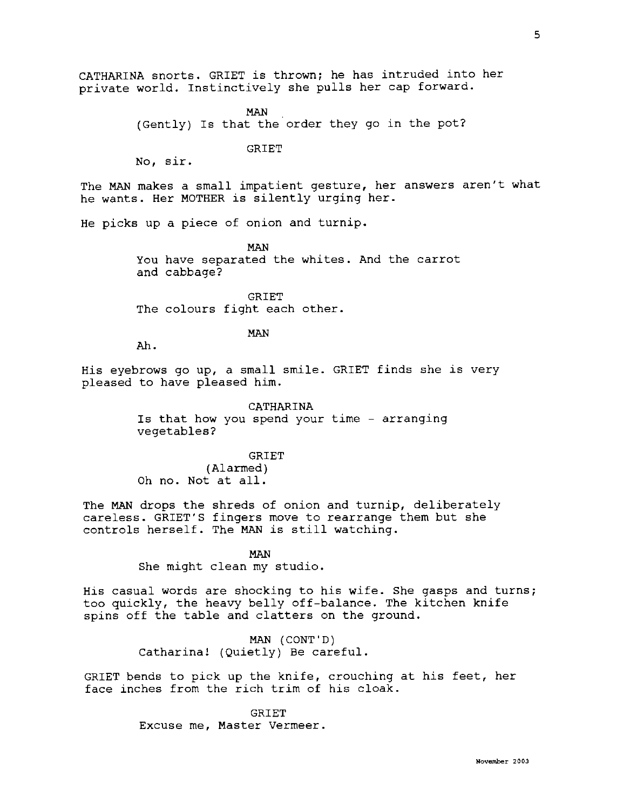CATHARINA snorts. GRIET is thrown; he has intruded into her private world. Instinctively she pulls her cap forward.

> MAN (Gently) Is that the order they go in the pot?

> > GRIET

No, sir.

The MAN makes a small impatient gesture, her answers aren't what he wants. Her MOTHER is silently urging her.

He picks up a piece of onion and turnip.

MAN You have separated the whites. And the carrot and cabbage?

GRIET The colours fight each other.

## MAN

Ah.

His eyebrows go up, a small smile. GRIET finds she is very pleased to have pleased him.

> CATHARINA Is that how you spend your time - arranging vegetables?

> > GRIET

(Alarmed) Oh no. Not at all.

The **MAN** drops the shreds of onion and turnip, deliberately careless. GRIET'S fingers move to rearrange them but she controls herself. The **MAN** is still watching.

> **MAN**  She might clean my studio.

His casual words are shocking to his wife. She gasps and turns; too quickly, the heavy belly off-balance. The kitchen knife spins off the table and clatters on the ground.

> MAN (CONT'D) Catharina! (Quietly) Be careful.

GRIET bends to pick up the knife, crouching at his feet, her face inches from the rich trim of his cloak.

> **GRIET** Excuse me, Master Vermeer.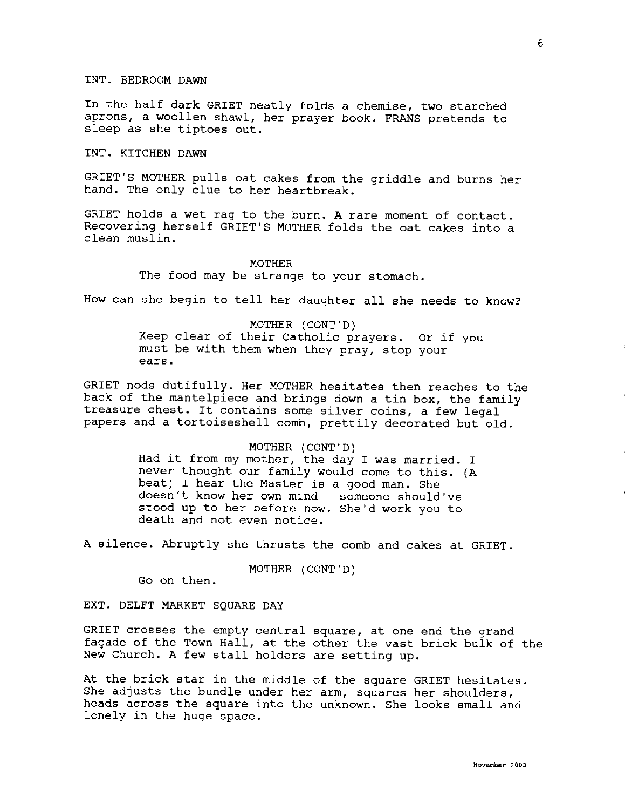# INT. BEDROOM DAWN

In the half dark GRIET neatly folds a chemise, two starched aprons, a woollen shawl, her prayer book. FRANS pretends to sleep as she tiptoes out.

# INT. KITCHEN DAWN

GRIET'S MOTHER pulls oat cakes from the griddle and burns her hand. The only clue to her heartbreak.

GRIET holds a wet rag to the burn. A rare moment of contact. Recovering herself GRIET'S MOTHER folds the oat cakes into a clean muslin.

## MOTHER

The food may be strange to your stomach.

How can she begin to tell her daughter all she needs to know?

MOTHER (CONT'D) Keep clear of their Catholic prayers. Or if you must be with them when they pray, stop your ears.

GRIET nods dutifully. Her MOTHER hesitates then reaches to the back of the mantelpiece and brings down a tin box, the family treasure chest. It contains some silver coins, a few legal papers and a tortoiseshell comb, prettily decorated but old.

# MOTHER (CONT'D)

Had it from my mother, the day I was married. I never thought our family would come to this. (A beat) I hear the Master is a good man. She doesn't know her own mind - someone should've stood up to her before now. She'd work you to death and not even notice.

A silence. Abruptly she thrusts the comb and cakes at GRIET.

MOTHER (CONT'D)

Go on then.

EXT. DELFT MARKET SQUARE DAY

GRIET crosses the empty central square, at one end the grand façade of the Town Hall, at the other the vast brick bulk of the New Church. A few stall holders are setting up.

At the brick star in the middle of the square GRIET hesitates. She adjusts the bundle under her arm, squares her shoulders, heads across the square into the unknown. She looks small and lonely in the huge space.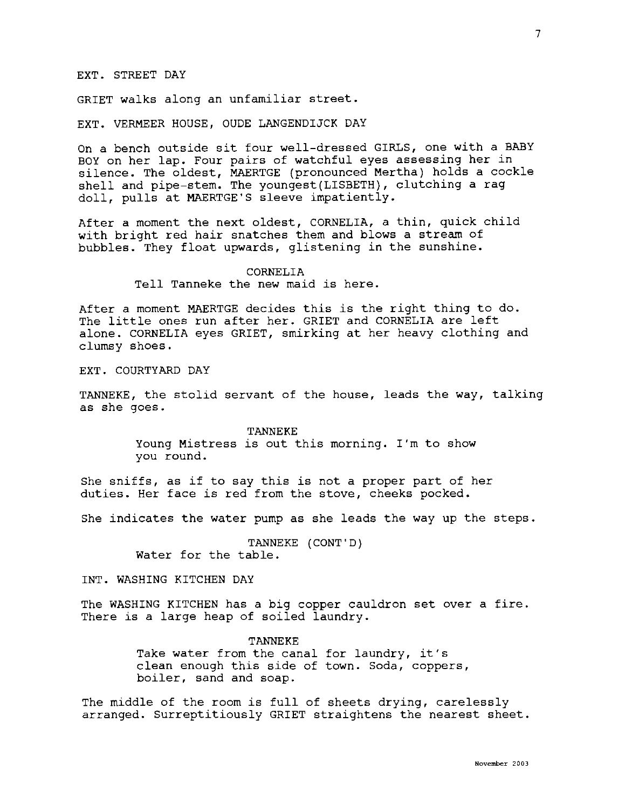# EXT. STREET DAY

GRIET walks along an unfamiliar street.

EXT. VERMEER HOUSE, OUDE LANGENDIJCK DAY

On a bench outside sit four well-dressed GIRLS, one with a BABY BOY on her lap. Four pairs of watchful eyes assessing her in silence. The oldest, MAERTGE (pronounced Mertha) holds a cockle shell and pipe-stem. The youngest(LISBETH), clutching a rag doll, pulls at MAERTGE'S sleeve impatiently.

After a moment the next oldest, CORNELIA, a thin, quick child with bright red hair snatches them and blows a stream of bubbles. They float upwards, glistening in the sunshine.

> CORNELIA Tell Tanneke the new maid is here.

After a moment MAERTGE decides this is the right thing to do. The little ones run after her. GRIET and CORNELIA are left alone. CORNELIA eyes GRIET, smirking at her heavy clothing and clumsy shoes.

EXT. COURTYARD DAY

TANNEKE, the stolid servant of the house, leads the way, talking as she goes.

> TANNEKE Young Mistress is out this morning. I'm to show you round.

She sniffs, as if to say this is not a proper part of her duties. Her face is red from the stove, cheeks pocked.

She indicates the water pump as she leads the way up the steps.

TANNEKE (CONT'D) Water for the table.

INT. WASHING KITCHEN DAY

The **WASHING** KITCHEN has a big copper cauldron set over a fire. There is a large heap of soiled laundry.

> TANNEKE Take water from the canal for laundry, it's clean enough this side of town. Soda, coppers, boiler, sand and soap.

The middle of the room is full of sheets drying, carelessly arranged. Surreptitiously GRIET straightens the nearest sheet.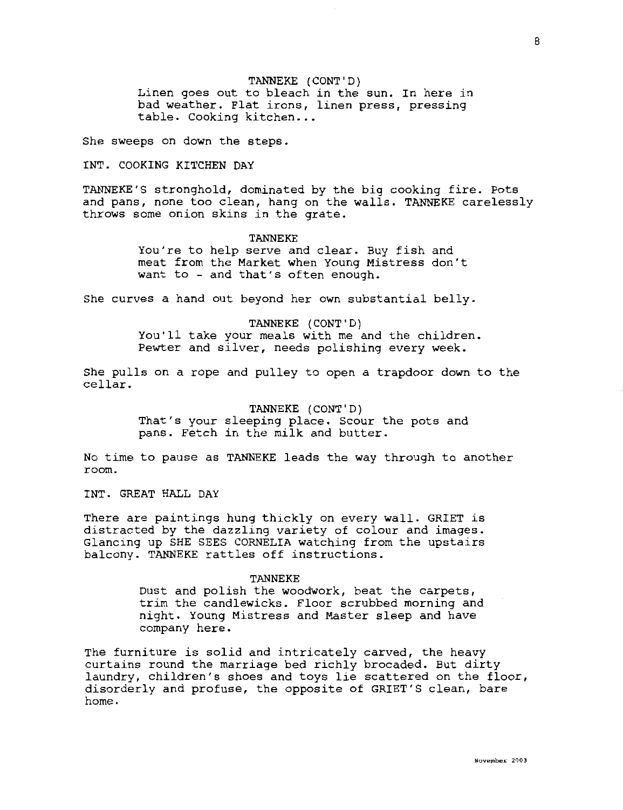## TANNEKE (CONT'D)

Linen goes out to bleach in the sun. In here in bad weather. Flat irons, linen press, pressing table. Cooking kitchen...

She sweeps on down the steps.

## INT. COOKING KITCHEN DAY

TANNEKE'S stronghold, dominated by the big cooking fire. Pots and pans, none too clean, hang on the walls. TANNEKE carelessly throws some onion skins in the grate.

### TANNEKE

You're to help serve and clear. Buy fish and meat from the Market when Young Mistress don't want to - and that's often enough.

She curves a hand out beyond her own substantial belly.

# TANNEKE (CONT'D) You'll take your meals with me and the children. Pewter and silver, needs polishing every week.

She pulls on a rope and pulley to open a trapdoor down to the cellar.

> TANNEKE (CONT'D) That's your sleeping place. Scour the pots and pans. Fetch in the milk and butter.

No time to pause as TANNEKE leads the way through to another room.

INT. GREAT HALL DAY

There are paintings hung thickly on every wall. GRIET is distracted by the dazzling variety of colour and images. Glancing up SHE SEES CORNELIA watching from the upstairs balcony. TANNEKE rattles off instructions.

#### TANNEKE

Dust and polish the woodwork, beat the carpets, trim the candlewicks. Floor scrubbed morning and night. Young Mistress and Master sleep and have company here.

The furniture is solid and intricately carved, the heavy curtains round the marriage bed richly brocaded. But dirty laundry, children's shoes and toys lie scattered on the floor, disorderly and profuse, the opposite of GRIET'S clean, bare home.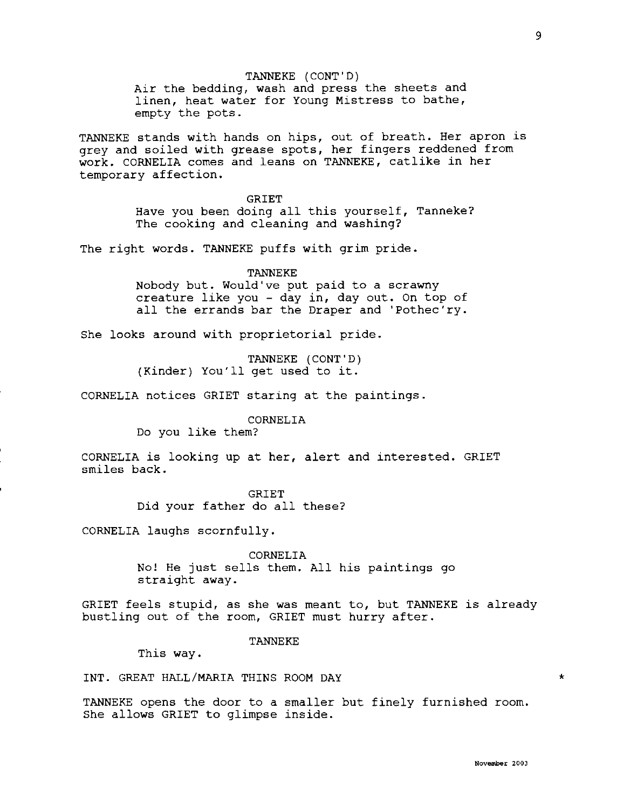TANNEKE (CONT'D) Air the bedding, wash and press the sheets and linen, heat water for Young Mistress to bathe, empty the pots.

TANNEKE stands with hands on hips, out of breath. Her apron is grey and soiled with grease spots, her fingers reddened from work. CORNELIA comes and leans on TANNEKE, catlike in her temporary affection.

> GRIET Have you been doing all this yourself, Tanneke? The cooking and cleaning and washing?

The right words. TANNEKE puffs with grim pride.

TANNEKE

Nobody but. Would've put paid to a scrawny creature like you - day in, day out. On top of all the errands bar the Draper and 'Pothec'ry.

She looks around with proprietorial pride.

TANNEKE (CONT'D) (Kinder) You'll get used to it.

CORNELIA notices GRIET staring at the paintings.

CORNELIA

Do you like them?

CORNELIA is looking up at her, alert and interested. GRIET smiles back.

> GRIET Did your father do all these?

CORNELIA laughs scornfully.

CORNELIA

No! He just sells them. All his paintings go straight away.

GRIET feels stupid, as she was meant to, but TANNEKE is already bustling out of the room, GRIET must hurry after.

TANNEKE

This way.

INT. GREAT HALL/MARIA THINS ROOM DAY

TANNEKE opens the door to a smaller but finely furnished room. She allows GRIET to glimpse inside.

\*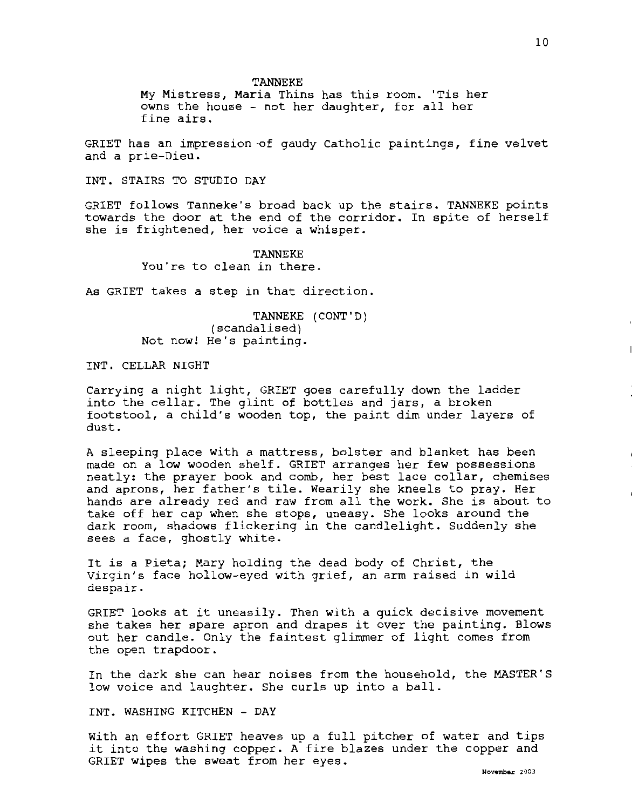TANNEKE

My Mistress, Maria Thins has this room. 'Tis her owns the house - not her daughter, for all her fine airs.

GRIET has an impression-of gaudy Catholic paintings, fine velvet and a prie-Dieu.

INT. STAIRS TO STUDIO DAY

GRIET follows Tanneke's broad back up the stairs. TANNEKE points towards the door at the end of the corridor. In spite of herself she is frightened, her voice a whisper.

> TANNEKE You're to clean in there.

As GRIET takes a step in that direction.

TANNEKE (CONT'D) (scandalised) Not now! He's painting.

INT. CELLAR NIGHT

Carrying a night light, GRIET goes carefully down the ladder into the cellar. The glint of bottles and jars, a broken footstool, a child's wooden top, the paint dim under layers of dust.

A sleeping place with a mattress, bolster and blanket has been made on a low wooden shelf. GRIET arranges her few possessions neatly: the prayer book and comb, her best lace collar, chemises and aprons, her father's tile. Wearily she kneels to pray. Her hands are already red and raw from all the work. She is about to take off her cap when she stops, uneasy. She looks around the dark room, shadows flickering in the candlelight. Suddenly she sees a face, ghostly white.

It is a Pieta; Mary holding the dead body of Christ, the Virgin's face hollow-eyed with grief, an arm raised in wild despair.

GRIET looks at it uneasily. Then with a quick decisive movement she takes her spare apron and drapes it over the painting. Blows out her candle. Only the faintest glimmer of light comes from the open trapdoor.

In the dark she can hear noises from the household, the MASTER'S low voice and laughter. She curls up into a ball.

INT. WASHING KITCHEN - DAY

With an effort GRIET heaves up a full pitcher of water and tips it into the washing copper. A fire blazes under the copper and GRIET wipes the sweat from her eyes.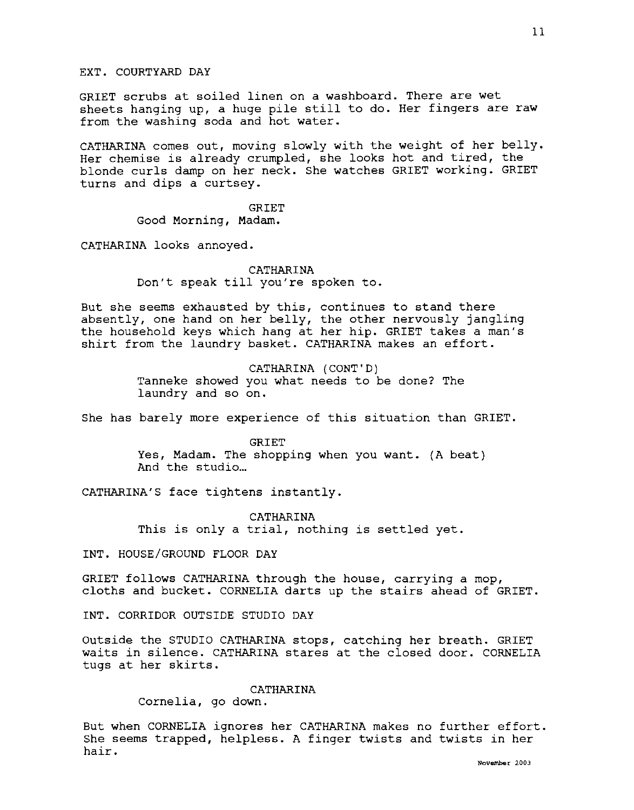GRIET scrubs at soiled linen on a washboard. There are wet sheets hanging up, a huge pile still to do. Her fingers are raw from the washing soda and hot water.

CATHARINA comes out, moving slowly with the weight of her belly. Her chemise is already crumpled, she looks hot and tired, the blonde curls damp on her neck. She watches GRIET working. GRIET turns and dips a curtsey.

> GRIET Good Morning, Madam.

CATHARINA looks annoyed.

CATHARINA Don't speak till you're spoken to.

But she seems exhausted by this, continues to stand there absently, one hand on her belly, the other nervously jangling the household keys which hang at her hip. GRIET takes a man's shirt from the laundry basket. CATHARINA makes an effort.

> CATHARINA (CONT'D) Tanneke showed you what needs to be done? The laundry and so on.

She has barely more experience of this situation than GRIET.

GRIET Yes, Madam. The shopping when you want. {A beat) And the studio...

CATHARINA'S face tightens instantly.

CATHARINA This is only a trial, nothing is settled yet.

INT. HOUSE/GROUND FLOOR DAY

GRIET follows CATHARINA through the house, carrying a mop, cloths and bucket. CORNELIA darts up the stairs ahead of GRIET.

INT. CORRIDOR OUTSIDE STUDIO DAY

Outside the STUDIO CATHARINA stops, catching her breath. GRIET waits in silence. CATHARINA stares at the closed door. CORNELIA tugs at her skirts.

CATHARINA

Cornelia, go down.

But when CORNELIA ignores her CATHARINA makes no further effort. She seems trapped, helpless. A finger twists and twists in her hair.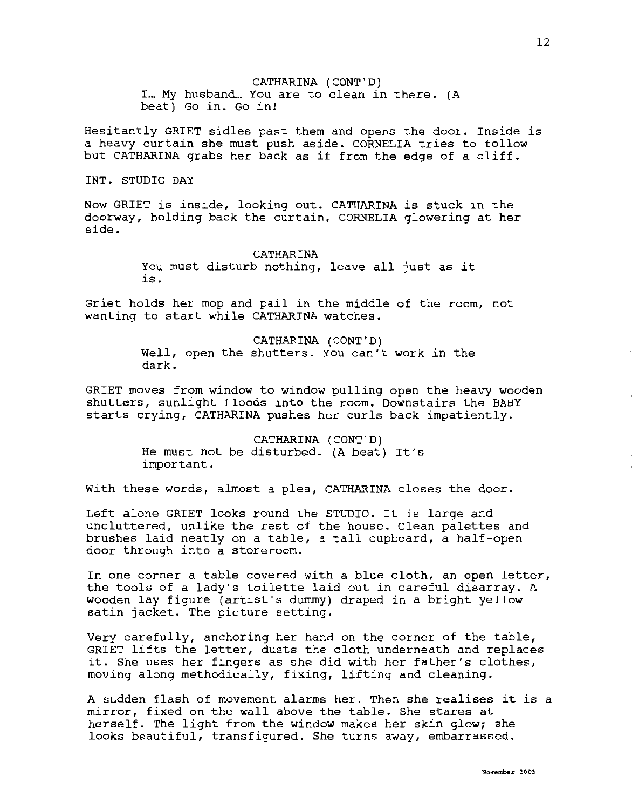CATHARINA (CONT'D) I... My husband... You are to clean in there. (A beat) Go in. Go in!

Hesitantly GRIET sidles past them and opens the door. Inside is a heavy curtain she must push aside. CORNELIA tries to follow but CATHARINA grabs her back as if from the edge of a cliff.

#### INT. STUDIO DAY

Now GRIET is inside, looking out. CATHARINA is stuck in the doorway, holding back the curtain, CORNELIA glowering at her side.

#### CATHARINA

You must disturb nothing, leave all just as it is.

Griet holds her mop and pail in the middle of the room, not wanting to start while CATHARINA watches.

> CATHARINA (CONT'D) Well, open the shutters. You can't work in the dark.

GRIET moves from window to window pulling open the heavy wooden shutters, sunlight floods into the room. Downstairs the BABY starts crying, CATHARINA pushes her curls back impatiently.

> CATHARINA (CONT'D) He must not be disturbed. (A beat) It's important.

With these words, almost a plea, CATHARINA closes the door.

Left alone GRIET looks round the STUDIO. It is large and uncluttered, unlike the rest of the house. Clean palettes and brushes laid neatly on a table, a tall cupboard, a half-open door through into a storeroom.

In one corner a table covered with a blue cloth, an open letter, the tools of a lady's toilette laid out in careful disarray. A wooden lay figure (artist's dummy) draped in a bright yellow satin jacket. The picture setting.

Very carefully, anchoring her hand on the corner of the table, GRIET lifts the letter, dusts the cloth underneath and replaces it. She uses her fingers as she did with her father's clothes, moving along methodically, fixing, lifting and cleaning.

A sudden flash of movement alarms her. Then she realises it is a mirror, fixed on the wall above the table. She stares at herself. The light from the window makes her skin glow; she looks beautiful, transfigured. She turns away, embarrassed.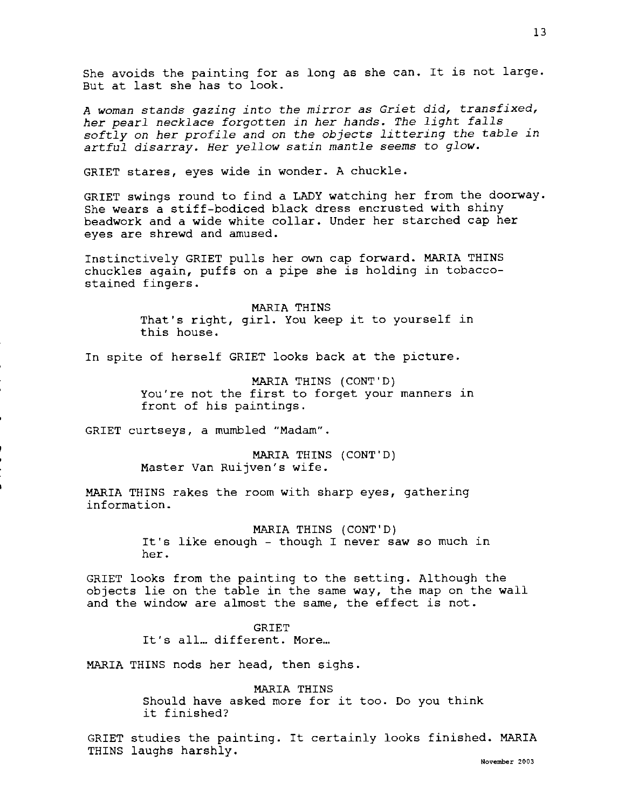She avoids the painting for as long as she can. It is not large. But at last she has to look.

*A woman stands gazing into the mirror as Griet did, transfixed, her pearl necklace forgotten in her hands. The light falls softly on her profile and on the objects littering the table in artful disarray. Her yellow satin mantle seems* to *glow.* 

GRIET stares, eyes wide in wonder. A chuckle.

GRIET swings round to find a LADY watching her from the doorway. She wears a stiff-bodiced black dress encrusted with shiny beadwork and a wide white collar. Under her starched cap her eyes are shrewd and amused.

Instinctively GRIET pulls her own cap forward. MARIA THINS chuckles again, puffs on a pipe she is holding in tobaccostained fingers.

> MARIA THINS That's right, girl. You keep it to yourself in this house.

In spite of herself GRIET looks back at the picture.

MARIA THINS (CONT'D) You're not the first to forget your manners in front of his paintings.

GRIET curtseys, a mumbled "Madam".

MARIA THINS (CONT'D) Master Van Ruijven's wife.

MARIA THINS rakes the room with sharp eyes, gathering information.

MARIA THINS (CONT'D)

It's like enough - though I never saw so much in her.

GRIET looks from the painting to the setting. Although the objects lie on the table in the same way, the map on the wall and the window are almost the same, the effect is not.

> **GRIET** It's all... different. More...

MARIA THINS nods her head, then sighs.

MARIA THINS Should have asked more for it too. Do you think it finished?

GRIET studies the painting. It certainly looks finished. MARIA THINS laughs harshly.

**November 2003**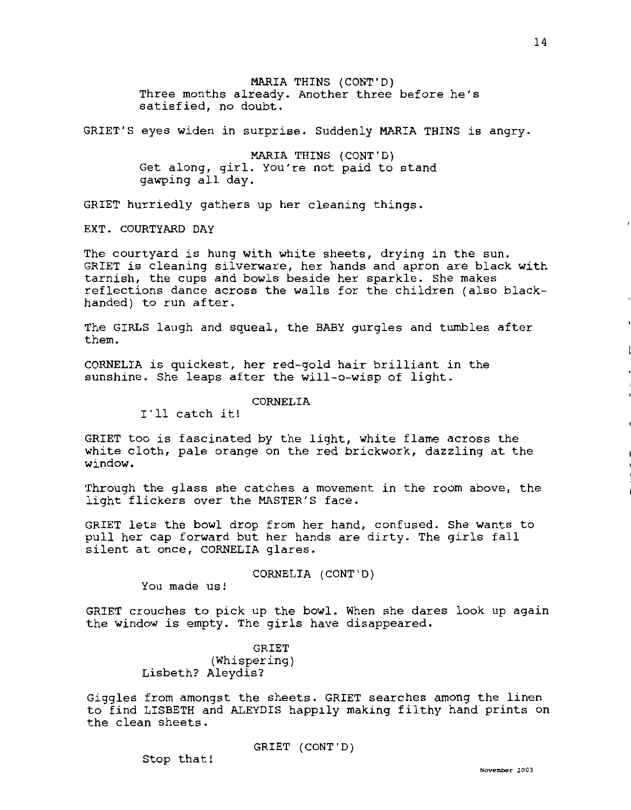MARIA THINS (CONT'D) Three months already. Another three before he's satisfied, no doubt.

GRIET'S eyes widen in surprise. Suddenly MARIA THINS is angry.

MARIA THINS (CONT'D) Get along, girl. You're not paid to stand gawping all day.

GRIET hurriedly gathers up her cleaning things.

EXT. COURTYARD DAY

The courtyard is hung with white sheets, drying in the sun. GRIET is cleaning silverware, her hands and apron are black with tarnish, the cups and bowls beside her sparkle. She makes reflections dance across the walls for the children (also blackhanded) to run after.

The GIRLS laugh and squeal, the BABY gurgles and tumbles after them.

CORNELIA is quickest, her red-gold hair brilliant in the sunshine. She leaps after the will-o-wisp of light.

CORNELIA

I'll catch it!

GRIET too is fascinated by the light, white flame across the white cloth, pale orange on the red brickwork, dazzling at the window.

Through the glass she catches a movement in the room above, the light flickers over the MASTER'S face.

GRIET lets the bowl drop from her hand, confused. She wants to pull her cap forward but her hands are dirty. The girls fall silent at once, CORNELIA glares.

CORNELIA (CONT'D)

You made us!

GRIET crouches to pick up the bowl. When she dares look up again the window is empty. The girls have disappeared.

> GRIET (Whispering) Lisbeth? Aleydis?

Giggles from amongst the sheets. GRIET searches among the linen to find LISBETH and ALEYDIS happily making filthy hand prints on the clean sheets.

GRIET (CONT'D)

Stop that!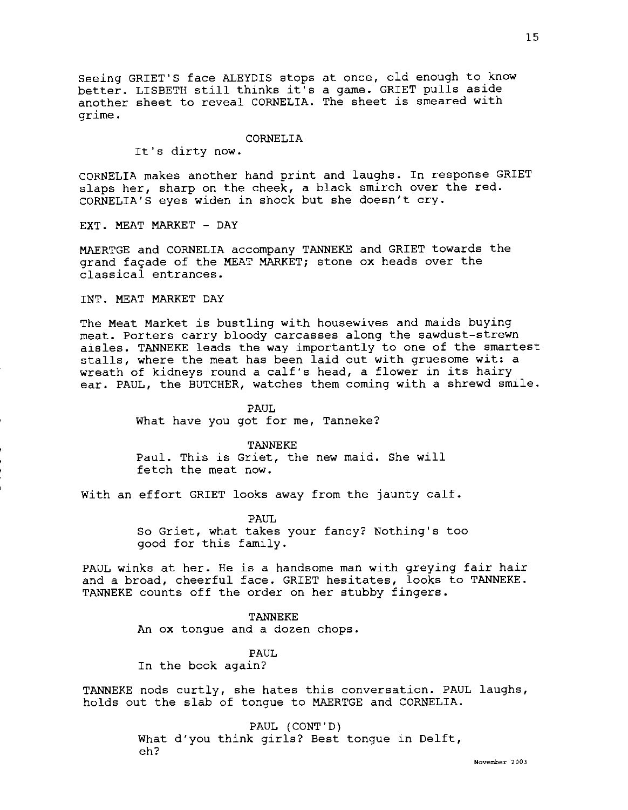Seeing GRIET'S face ALEYDIS stops at once, old enough to know better. LISBETH still thinks it's a game. GRIET pulls aside another sheet to reveal CORNELIA. The sheet is smeared with grime.

## CORNELIA

It's dirty now.

CORNELIA makes another hand print and laughs. In response GRIET slaps her, sharp on the cheek, a black smirch over the red. CORNELIA'S eyes widen in shock but she doesn't cry.

EXT. MEAT MARKET - DAY

MAERTGE and CORNELIA accompany TANNEKE and GRIET towards the grand façade of the MEAT MARKET; stone ox heads over the classical entrances.

**INT.** MEAT MARKET DAY

The Meat Market is bustling with housewives and maids buying meat. Porters carry bloody carcasses along the sawdust-strewn aisles. TANNEKE leads the way importantly to one of the smartest stalls, where the meat has been laid out with gruesome wit: a wreath of kidneys round a calf's head, a flower in its hairy ear. PAUL, the BUTCHER, watches them coming with a shrewd smile.

> PAUL What have you got for me, Tanneke?

> > TANNEKE

Paul. This is Griet, the new maid. She will fetch the meat now.

With an effort GRIET looks away from the jaunty calf.

PAUL So Griet, what takes your fancy? Nothing's too good for this family.

PAUL winks at her. He is a handsome man with greying fair hair and a broad, cheerful face. GRIET hesitates, looks to TANNEKE. TANNEKE counts off the order on her stubby fingers.

TANNEKE

**An ox** tongue and a dozen chops.

PAUL

In the book again?

TANNEKE nods curtly, she hates this conversation. PAUL laughs, holds out the slab of tongue to MAERTGE and CORNELIA.

> PAUL (CONT'D) What d'you think girls? Best tongue in Delft, eh?

> > **November 2003**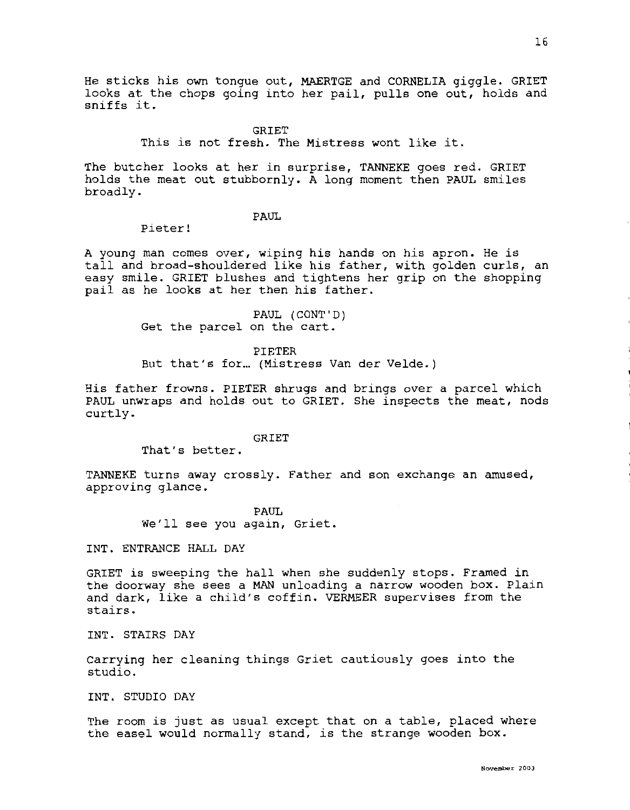He sticks his own tongue out, MAERTGE and CORNELIA giggle. GRIET looks at the chops going into her pail, pulls one out, holds and sniffs it.

**GRIET** 

This is not fresh. The Mistress wont like it.

The butcher looks at her in surprise, TANNEKE goes red. GRIET holds the meat out stubbornly. A long moment then PAUL smiles broadly.

PAUL

Pieter!

A young man comes over, wiping his hands on his apron. He is tall and broad-shouldered like his father, with golden curls, an easy smile. GRIET blushes and tightens her grip on the shopping pail as he looks at her then his father.

> PAUL (CONT'D) Get the parcel on the cart.

> > PIETER

But that's for... (Mistress Van der Velde.)

His father frowns. PIETER shrugs and brings over a parcel which PAUL unwraps and holds out to GRIET. She inspects the meat, nods curtly.

GRIET

That's better.

TANNEKE turns away crossly. Father and son exchange an amused, approving glance.

> PAUL We'll see you again, Griet.

INT. ENTRANCE HALL DAY

GRIET is sweeping the hall when she suddenly stops. Framed in the doorway she sees a MAN unloading a narrow wooden box. Plain and dark, like a child's coffin. VERMEER supervises from the stairs.

INT. STAIRS DAY

Carrying her cleaning things Griet cautiously goes into the studio.

INT. STUDIO DAY

The room is just as usual except that on a table, placed where the easel would normally stand, is the strange wooden box.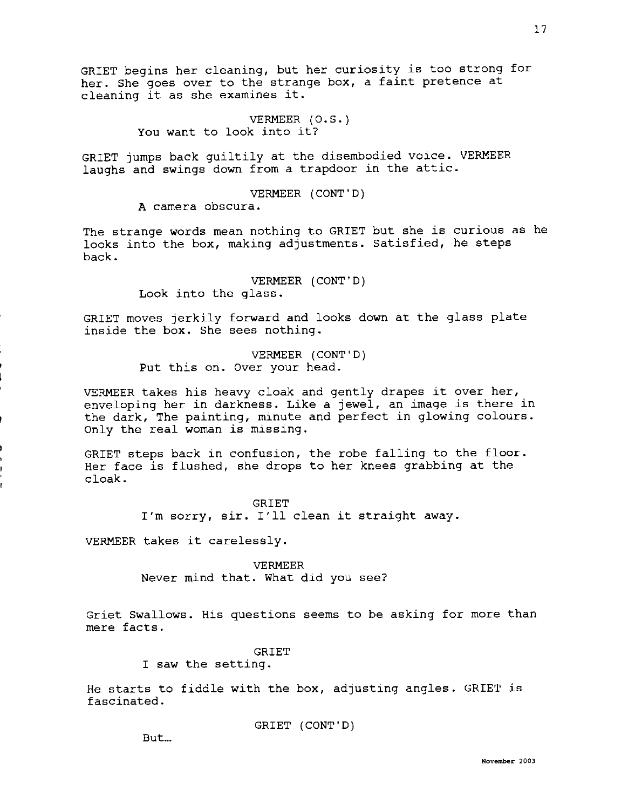GRIET begins her cleaning, but her curiosity is too strong for her. She goes over to the strange box, a faint pretence at cleaning it as she examines it.

> VERMEER (O.S.) You want to look into it?

GRIET jumps back guiltily at the disembodied voice. VERMEER laughs and swings down from a trapdoor in the attic.

# VERMEER (CONT'D)

A camera obscura.

The strange words mean nothing to GRIET but she is curious as he looks into the box, making adjustments. Satisfied, he steps back.

> VERMEER ( CONT ' D) Look into the glass.

GRIET moves jerkily forward and looks down at the glass plate inside the box. She sees nothing.

> VERMEER (CONT'D) Put this on. Over your head.

VERMEER takes his heavy cloak and gently drapes it over her, enveloping her in darkness. Like a jewel, an image is there in the dark, The painting, minute and perfect in glowing colours. Only the real woman is missing.

GRIET steps back in confusion, the robe falling to the floor. Her face is flushed, she drops to her knees grabbing at the cloak.

GRIET

I'm sorry, sir. I'll clean it straight away.

VERMEER takes it carelessly.

VERMEER Never mind that. What did you see?

Griet Swallows. His questions seems to be asking for more than mere facts.

# **GRIET**

I saw the setting.

He starts to fiddle with the box, adjusting angles. GRIET is fascinated.

GRIET (CONT'D)

But...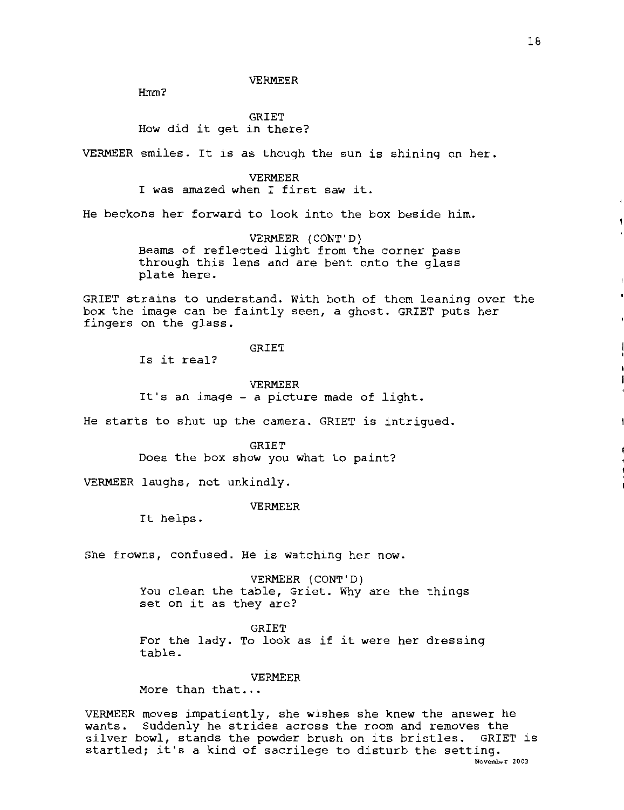VERMEER

Hmm?

GRIET How did it get in there?

VERMEER smiles. It is as though the sun is shining on her.

VERMEER I was amazed when I first saw it.

He beckons her forward to look into the box beside him.

VERMEER (CONT'D) Beams of reflected light from the corner pass through this lens and are bent onto the glass plate here.

GRIET strains to understand. With both of them leaning over the box the image can be faintly seen, a ghost. GRIET puts her fingers on the glass.

GRIET

Is it real?

VERMEER

It's an image - a picture made of light.

He starts to shut up the camera. GRIET is intrigued.

GRIET

Does the box show you what to paint?

VERMEER laughs, not unkindly.

VERMEER

It helps.

She frowns, confused. He is watching her now.

VERMEER (CONT'D) You clean the table, Griet. Why are the things set on it as they are?

GRIET For the lady. To look as if it were her dressing table.

VERMEER

More than that...

VERMEER moves impatiently, she wishes she knew the answer he wants. Suddenly he strides across the room and removes the silver bowl, stands the powder brush on its bristles. GRIET is startled; it's a kind of sacrilege to disturb the setting. **November** 2003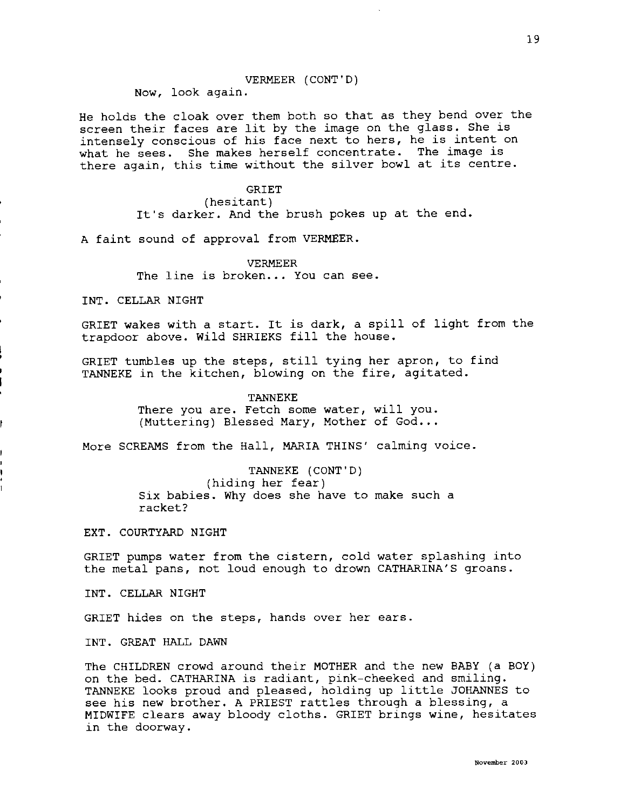## VERMEER (CONT'D)

Now, look again.

He holds the cloak over them both so that as they bend over the screen their faces are lit by the image on the glass. She is intensely conscious of his face next to hers, he is intent on what he sees. She makes herself concentrate. The image is there again, this time without the silver bowl at its centre.

## GRIET

## (hesitant)

It's darker. And the brush pokes up at the end.

A faint sound of approval from VERMEER.

## VERMEER

The line is broken... You can see.

INT. CELLAR NIGHT

GRIET wakes with a start. It is dark, a spill of light from the trapdoor above. Wild SHRIEKS fill the house.

GRIET tumbles up the steps, still tying her apron, to find TANNEKE in the kitchen, blowing on the fire, agitated.

#### TANNEKE

There you are. Fetch some water, will you. (Muttering) Blessed Mary, Mother of  $God...$ 

More SCREAMS from the Hall, MARIA THINS' calming voice.

TANNEKE (CONT'D) (hiding her fear) Six babies. Why does she have to make such a racket?

EXT. COURTYARD NIGHT

GRIET pumps water from the cistern, cold water splashing into the metal pans, not loud enough to drown CATHARINA'S groans.

INT. CELLAR NIGHT

GRIET hides on the steps, hands over her ears.

INT. GREAT HALL DAWN

The CHILDREN crowd around their MOTHER and the new BABY (a BOY) on the bed. CATHARINA is radiant, pink-cheeked and smiling. TANNEKE looks proud and pleased, holding up little JOHANNES to see his new brother. A PRIEST rattles through a blessing, a MIDWIFE clears away bloody cloths. GRIET brings wine, hesitates in the doorway.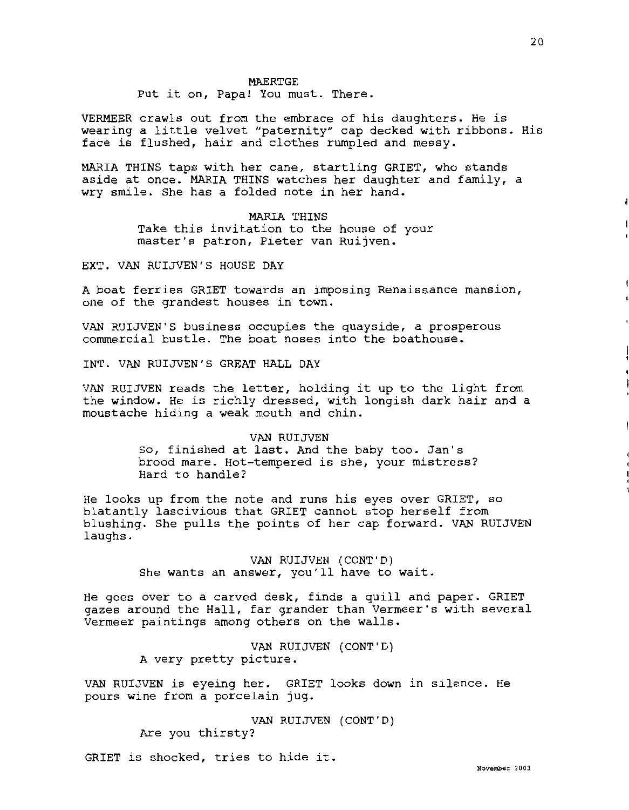#### MAERTGE

## Put it on, Papa! You must. There.

VERMEER crawls out from the embrace of his daughters. He is wearing a little velvet "paternity" cap decked with ribbons. His face is flushed, hair and clothes rumpled and messy.

MARIA THINS taps with her cane, startling GRIET, who stands aside at once. MARIA THINS watches her daughter and family, a wry smile. She has a folded note in her hand.

# MARIA THINS

Take this invitation to the house of your master's patron, Pieter van Ruijven.

EXT. VAN RUIJVEN'S HOUSE DAY

A boat ferries GRIET towards an imposing Renaissance mansion, one of the grandest houses in town.

VAN RUIJVEN'S business occupies the quayside, a prosperous commercial bustle. The boat noses into the boathouse.

INT. VAN RUIJVEN'S GREAT HALL DAY

VAN RUIJVEN reads the letter, holding it up to the light from the window. He is richly dressed, with longish dark hair and a moustache hiding a weak mouth and chin.

#### VAN RUIJVEN

So, finished at last. And the baby too. Jan's brood mare. Hot-tempered is she, your mistress? Hard to handle?

He looks up from the note and runs his eyes over GRIET, so blatantly lascivious that GRIET cannot stop herself from blushing. She pulls the points of her cap forward. VAN RUIJVEN laughs.

> VAN RUIJVEN (CONT'D) She wants an answer, you'll have to wait.

He goes over to a carved desk, finds a quill and paper. GRIET gazes around the Hall, far grander than Vermeer's with several Vermeer paintings among others on the walls.

> VAN RUIJVEN (CONT'D) A very pretty picture.

VAN RUIJVEN is eyeing her. GRIET looks down in silence. He pours wine from a porcelain jug.

> VAN RUIJVEN (CONT'D) Are you thirsty?

GRIET is shocked, tries to hide it. **We have a set of the Second Line Constant** 2003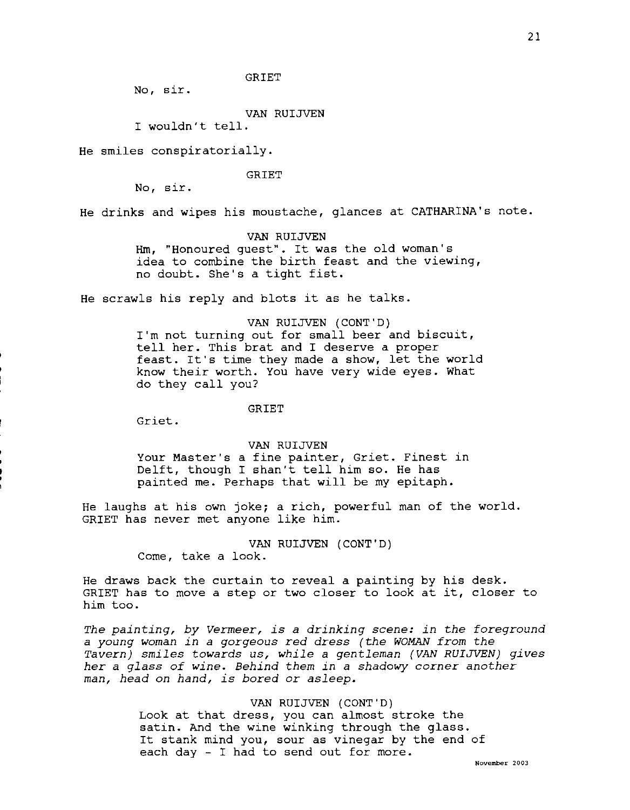## GRIET

No, sir.

## VAN RUIJVEN

I wouldn't tell.

He smiles conspiratorially.

#### GRIET

No, sir.

He drinks and wipes his moustache, glances at CATHARINA's note.

# VAN RUIJVEN

Hm, "Honoured guest". It was the old woman's idea to combine the birth feast and the viewing, no doubt. She's a tight fist.

He scrawls his reply and blots it as he talks.

# VAN RUIJVEN (CONT'D) I'm not turning out for small beer and biscuit,

tell her. This brat and I deserve a proper feast. It's time they made a show, let the world know their worth. You have very wide eyes. What do they call you?

## GRIET

Griet.

## VAN RUIJVEN

Your Master's a fine painter, Griet. Finest in Delft, though I shan't tell him so. He has painted me. Perhaps that will be my epitaph.

He laughs at his own joke; a rich, powerful man of the world. GRIET has never met anyone like him.

> VAN RUIJVEN (CONT'D) Come, take a look.

He draws back the curtain to reveal a painting by his desk. GRIET has to move a step or two closer to look at it, closer to him too.

*The painting, by Vermeer, is a drinking scene: in the foreground*  <sup>a</sup>*young woman in a gorgeous red dress (the WOMAN from the Tavern) smiles towards us, while* a *gentleman (VAN RUIJVEN) gives her* a *glass of wine. Behind them in* a *shadowy corner another man, head on hand, is bored or asleep.* 

#### VAN RUIJVEN (CONT'D)

Look at that dress, you can almost stroke the satin. And the wine winking through the glass. It stank mind you, sour as vinegar by the end of each day - I had to send out for more.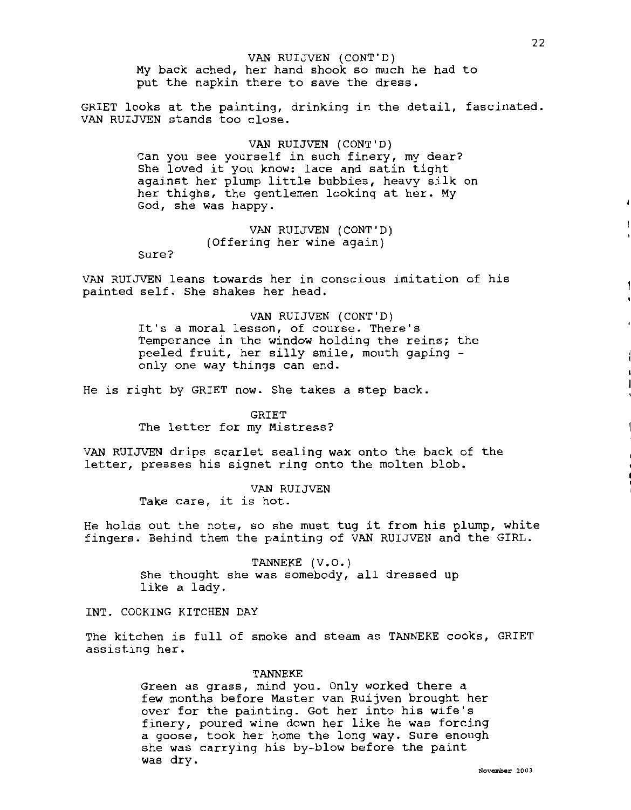VAN RUIJVEN (CONT'D) My back ached, her hand shook so much he had to put the napkin there to save the dress.

GRIET looks at the painting, drinking in the detail, fascinated. VAN RUIJVEN stands too close.

> VAN RUIJVEN (CONT'D) Can you see yourself in such finery, my dear? She loved it you know: lace and satin tight against her plump little bubbies, heavy silk on her thighs, the gentlemen looking at her. My God, she was happy.

> > VAN RUIJVEN (CONT'D) (Offering her wine again)

Sure?

VAN RUIJVEN leans towards her in conscious imitation of his painted self. She shakes her head.

> VAN RUIJVEN (CONT'D) It's a moral lesson, of course. There's Temperance in the window holding the reins; the peeled fruit, her silly smile, mouth gaping only one way things can end.

He is right by GRIET now. She takes a step back.

GRIET The letter for my Mistress?

VAN RUIJVEN drips scarlet sealing **wax** onto the back of the letter, presses his signet ring onto the molten blob.

> VAN RUIJVEN Take care, it is hot.

He holds out the note, so she must tug it from his plump, white fingers. Behind them the painting of VAN RUIJVEN and the GIRL.

> TANNEKE (V.O.) She thought she was somebody, all dressed up like a lady.

INT. COOKING KITCHEN DAY

The kitchen is full of smoke and steam as TANNEKE cooks, GRIET assisting her.

#### TANNEKE

Green as grass, mind you. Only worked there a few months before Master van Ruijven brought her over for the painting. Got her into his wife's finery, poured wine down her like he was forcing a goose, took her home the long way. Sure enough she was carrying his by-blow before the paint was dry.

22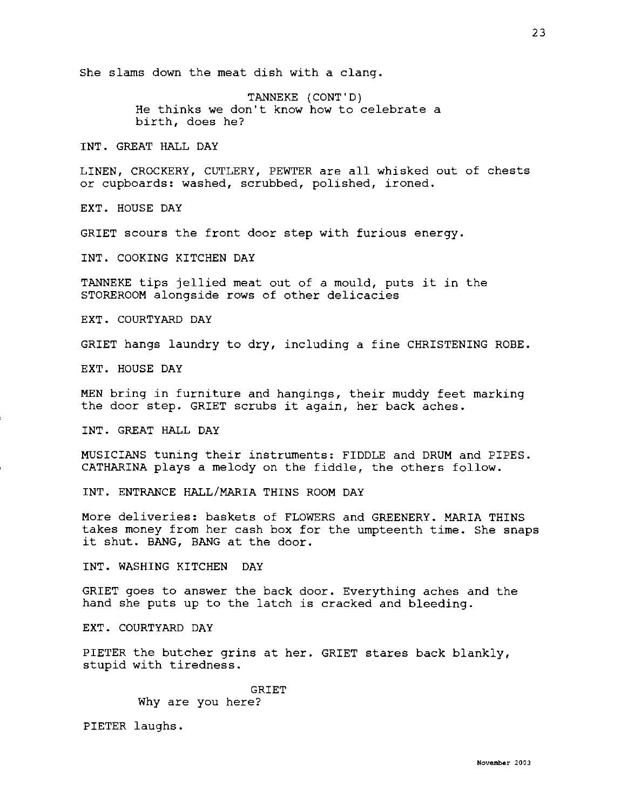She slams down the meat dish with a clang.

TANNEKE (CONT'D) He thinks we don't know how to celebrate a birth, does he?

INT. GREAT HALL DAY

LINEN, CROCKERY, CUTLERY, PEWTER are all whisked out of chests or cupboards: washed, scrubbed, polished, ironed.

EXT. HOUSE DAY

GRIET scours the front door step with furious energy.

INT. COOKING KITCHEN DAY

TANNEKE tips jellied meat out of a mould, puts it in the STOREROOM alongside rows of other delicacies

EXT. COURTYARD DAY

GRIET hangs laundry to dry, including a fine CHRISTENING ROBE.

EXT. HOUSE DAY

MEN bring in furniture and hangings, their muddy feet marking the door step. GRIET scrubs it again, her back aches.

INT. GREAT HALL DAY

MUSICIANS tuning their instruments: FIDDLE and DRUM and PIPES. CATHARINA plays a melody on the fiddle, the others follow.

INT. ENTRANCE HALL/MARIA THINS ROOM DAY

More deliveries: baskets of FLOWERS and GREENERY. MARIA THINS takes money from her cash box for the umpteenth time. She snaps it shut. BANG, BANG at the door.

INT. WASHING KITCHEN DAY

GRIET goes to answer the back door. Everything aches and the hand she puts up to the latch is cracked and bleeding.

EXT. COURTYARD DAY

PIETER the butcher grins at her. GRIET stares back blankly, stupid with tiredness.

> GRIET Why are you here?

PIETER laughs.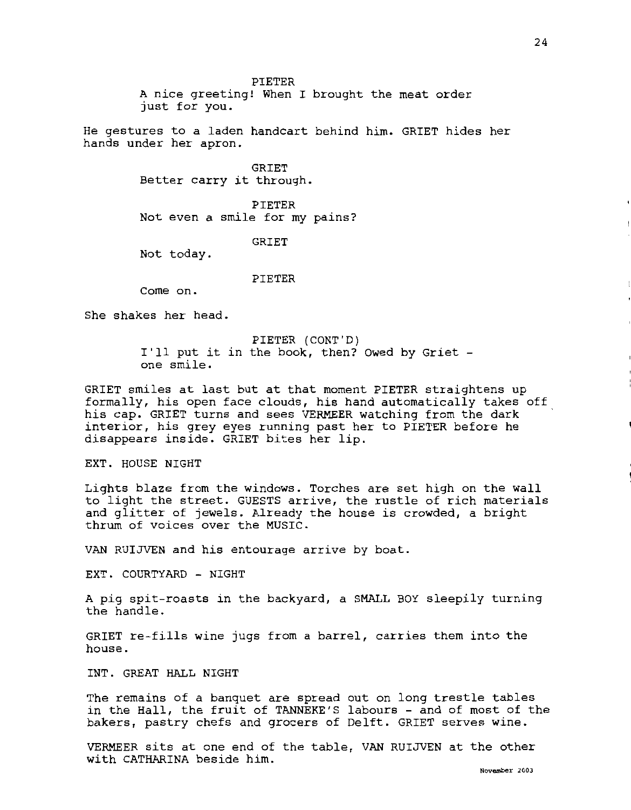PIETER

A nice greeting! When I brought the meat order just for you.

He gestures to a laden handcart behind him. GRIET hides her hands under her apron.

> **GRIET** Better carry it through.

PIETER Not even a smile for my pains?

**GRIET** 

Not today.

PIETER

Come on.

She shakes her head.

PIETER (CONT'D) I'll put it in the book, then? Owed by Griet one smile.

GRIET smiles at last but at that moment PIETER straightens up formally, his open face clouds, his hand automatically takes off his cap. GRIET turns and sees VERMEER watching from the dark interior, his grey eyes running past her to PIETER before he disappears inside. GRIET bites her lip.

EXT. HOUSE NIGHT

Lights blaze from the windows. Torches are set high on the wall to light the street. GUESTS arrive, the rustle of rich materials and glitter of jewels. Already the house is crowded, a bright thrum of voices over the MUSIC.

VAN RUIJVEN and his entourage arrive by boat.

EXT. COURTYARD - NIGHT

A pig spit-roasts in the backyard, a SMALL BOY sleepily turning the handle.

GRIET re-fills wine jugs from a barrel, carries them into the house.

INT. GREAT HALL NIGHT

The remains of a banquet are spread out on long trestle tables in the Hall, the fruit of TANNEKE'S labours - and of most of the bakers, pastry chefs and grocers of Delft. GRIET serves wine.

VERMEER sits at one end of the table, VAN RUIJVEN at the other with CATHARINA beside him.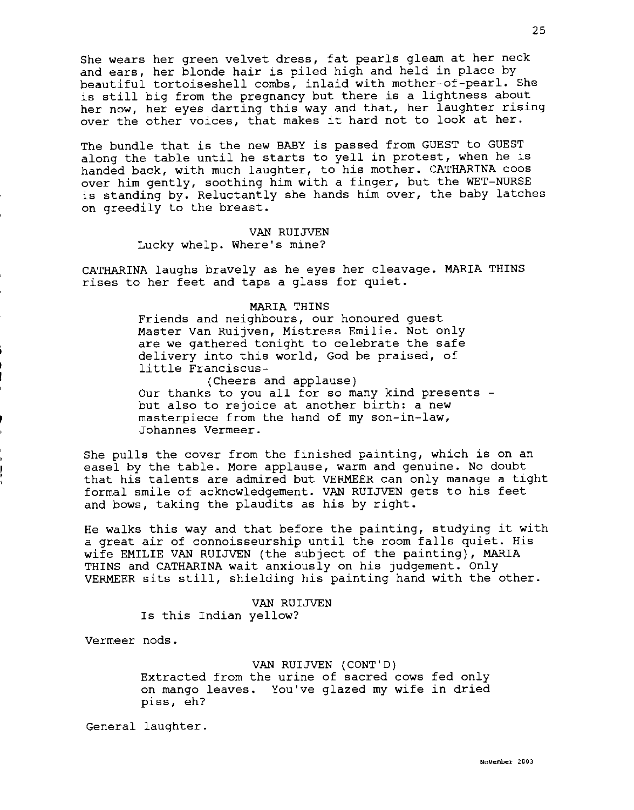She wears her green velvet dress, fat pearls gleam at her neck and ears, her blonde hair is piled high and held in place by beautiful tortoiseshell combs, inlaid with mother-of-pearl. She is still big from the pregnancy but there is a lightness about her now, her eyes darting this way and that, her laughter rising over the other voices, that makes it hard not to look at her.

The bundle that is the new BABY is passed from GUEST to GUEST along the table until he starts to yell in protest, when he is handed back, with much laughter, to his mother. CATHARINA coos over him gently, soothing him with a finger, but the WET-NURSE is standing by. Reluctantly she hands him over, the baby latches on greedily to the breast.

> VAN RUIJVEN Lucky whelp. Where's mine?

CATHARINA laughs bravely as he eyes her cleavage. MARIA THINS rises to her feet and taps a glass for quiet.

#### MARIA THINS

Friends and neighbours, our honoured guest Master Van Ruijven, Mistress Emilie. Not only are we gathered tonight to celebrate the safe delivery into this world, God be praised, of little Franciscus-

(Cheers and applause) Our thanks to you all for so many kind presents but also to rejoice at another birth: a new masterpiece from the hand of my son-in-law, Johannes Vermeer.

She pulls the cover from the finished painting, which is on an easel by the table. More applause, warm and genuine. No doubt that his talents are admired but VERMEER can only manage a tight formal smile of acknowledgement. VAN RUIJVEN gets to his feet and bows, taking the plaudits as his by right.

He walks this way and that before the painting, studying it with a great air of connoisseurship until the room falls quiet. His wife EMILIE VAN RUIJVEN (the subject of the painting), MARIA THINS and CATHARINA wait anxiously on his judgement. Only VERMEER sits still, shielding his painting hand with the other.

> VAN RUIJVEN Is this Indian yellow?

Vermeer nods.

# VAN RUIJVEN (CONT'D) Extracted from the urine of sacred cows fed only on mango leaves. You've glazed my wife in dried piss, eh?

General laughter.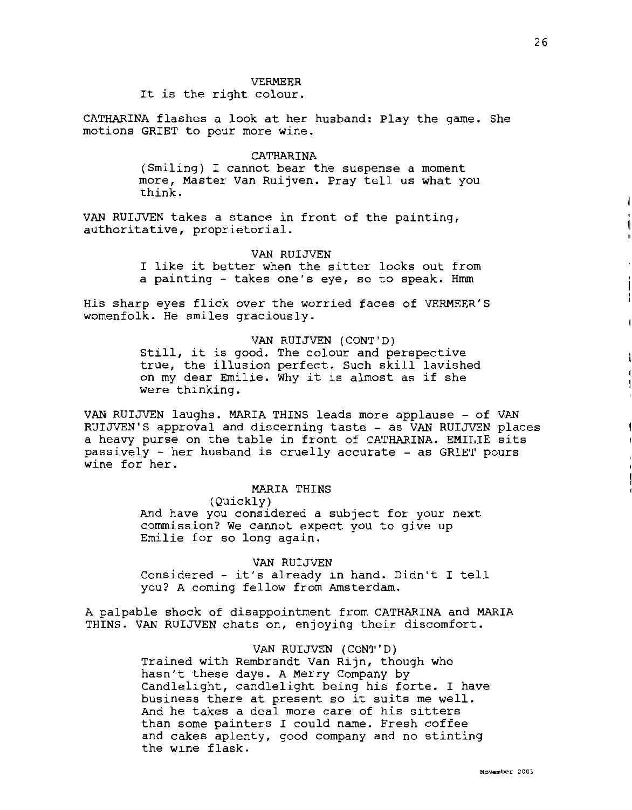#### VERMEER

It is the right colour.

CATHARINA flashes a look at her husband: Play the game. She motions GRIET to pour more wine.

## CATHARINA

(Smiling) I cannot bear the suspense a moment more, Master Van Ruijven. Pray tell us what you think.

VAN RUIJVEN takes a stance in front of the painting, authoritative, proprietorial.

#### VAN RUIJVEN

I like it better when the sitter looks out from a painting - takes one's eye, so to speak. Hmm

His sharp eyes flick over the worried faces of VERMEER'S womenfolk. He smiles graciously.

## VAN RUIJVEN (CONT'D)

Still, it is good. The colour and perspective true, the illusion perfect. Such skill lavished on my dear Emilie. Why it is almost as if she were thinking.

VAN RUIJVEN laughs. MARIA THINS leads more applause - of VAN RUIJVEN'S approval and discerning taste - as VAN RUIJVEN places a heavy purse on the table in front of CATHARINA. EMILIE sits passively - her husband is cruelly accurate - as GRIET pours wine for her.

# MARIA THINS

(Quickly)

And have you considered a subject for your next commission? We cannot expect you to give up Emilie for so long again.

VAN RUIJVEN

Considered - it's already in hand. Didn't I tell you? A coming fellow from Amsterdam.

A palpable shock of disappointment from CATHARINA and MARIA THINS. VAN RUIJVEN chats on, enjoying their discomfort.

VAN RUIJVEN (CONT'D)

Trained with Rembrandt Van Rijn, though who hasn't these days. A Merry Company by Candlelight, candlelight being his forte. I have business there at present so it suits me well. And he takes a deal more care of his sitters than some painters I could name. Fresh coffee and cakes aplenty, good company and no stinting the wine flask.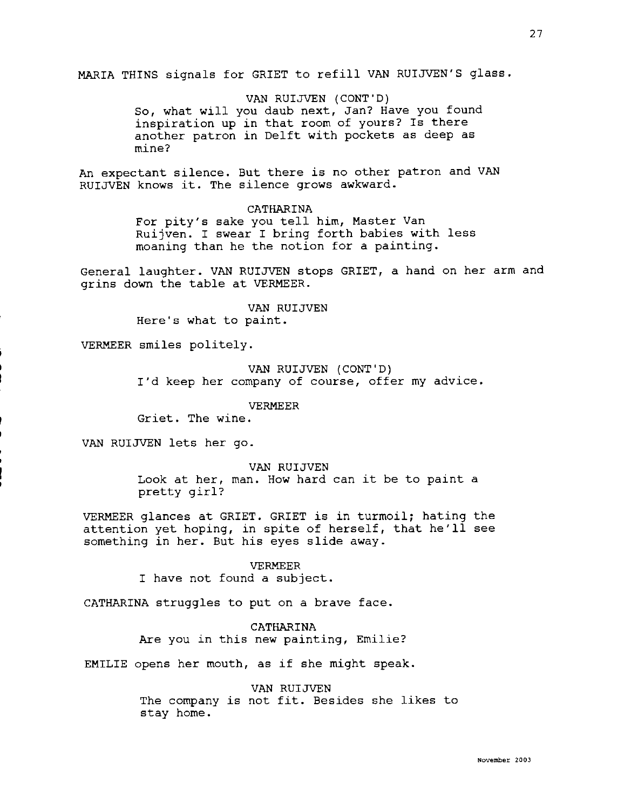MARIA THINS signals for GRIET to refill VAN RUIJVEN'S glass.

VAN RUIJVEN (CONT'D)

So, what will you daub next, Jan? Have you found inspiration up in that room of yours? Is there another patron in Delft with pockets as deep as mine?

An expectant silence. But there is no other patron and VAN RUIJVEN knows it. The silence grows awkward.

#### CATHARINA

For pity's sake you tell him, Master Van Ruijven. I swear I bring forth babies with less moaning than he the notion for a painting.

General laughter. VAN RUIJVEN stops GRIET, a hand on her arm and grins down the table at VERMEER.

> VAN RUIJVEN Here's what to paint.

VERMEER smiles politely.

## VAN RUIJVEN (CONT'D)

I'd keep her company of course, offer my advice.

## VERMEER

Griet. The wine.

VAN RUIJVEN lets her go.

#### VAN RUIJVEN

Look at her, man. How hard can it be to paint a pretty girl?

VERMEER glances at GRIET. GRIET is in turmoil; hating the attention yet hoping, in spite of herself, that he'll see something in her. But his eyes slide away.

## VERMEER

I have not found a subject.

CATHARINA struggles to put on a brave face.

CATHARINA Are you in this new painting, Emilie?

EMILIE opens her mouth, as if she might speak.

VAN RUIJVEN The company is not fit. Besides she likes to stay home.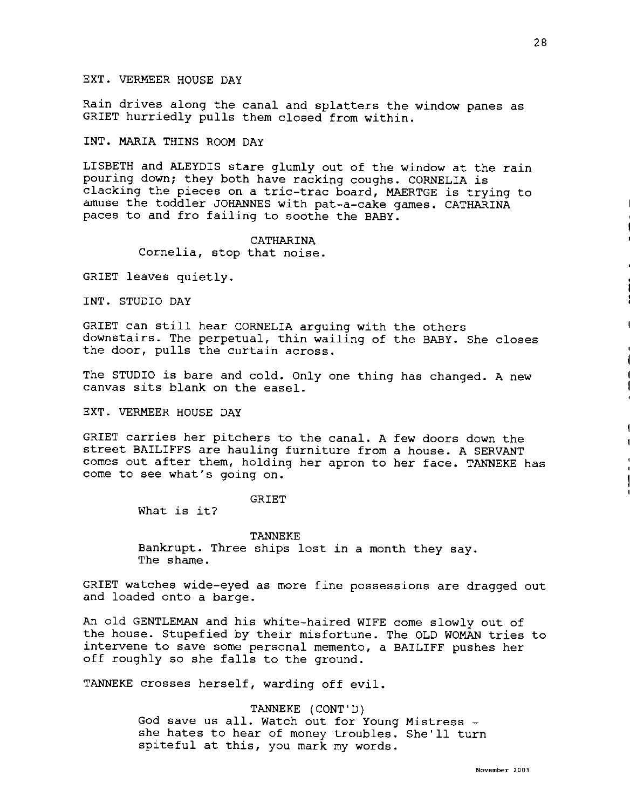Rain drives along the canal and splatters the window panes as GRIET hurriedly pulls them closed from within.

INT. MARIA THINS ROOM DAY

LISBETH and ALEYDIS stare glumly out of the window at the rain pouring down; they both have racking coughs. CORNELIA is clacking the pieces on a tric-trac board, MAERTGE is trying to amuse the toddler JOHANNES with pat-a-cake games. CATHARINA paces to and fro failing to soothe the BABY.

## CATHARINA Cornelia, stop that noise.

GRIET leaves quietly.

INT. STUDIO DAY

GRIET can still hear CORNELIA arguing with the others downstairs. The perpetual, thin wailing of the BABY. She closes the door, pulls the curtain across.

The STUDIO is bare and cold. Only one thing has changed. A new canvas sits blank on the easel.

EXT. VERMEER HOUSE DAY

GRIET carries her pitchers to the canal. A few doors down the street BAILIFFS are hauling furniture from a house. A SERVANT comes out after them, holding her apron to her face. TANNEKE has come to see what's going on.

## GRIET

What is it?

TANNEKE Bankrupt. Three ships lost in a month they say. The shame.

GRIET watches wide-eyed as more fine possessions are dragged out and loaded onto a barge.

An old GENTLEMAN and his white-haired WIFE come slowly out of the house. Stupefied by their misfortune. The OLD WOMAN tries to intervene to save some personal memento, a BAILIFF pushes her off roughly so she falls to the ground.

TANNEKE crosses herself, warding off evil.

TANNEKE (CONT'D) God save us all. Watch out for Young Mistress she hates to hear of money troubles. She'll turn spiteful at this, you mark my words.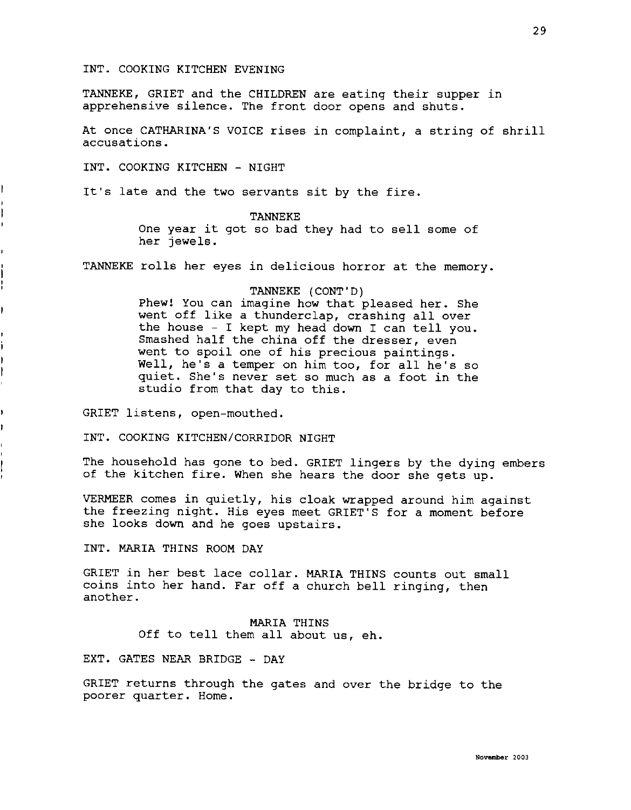## INT. COOKING KITCHEN EVENING

TANNEKE, GRIET and the CHILDREN are eating their supper in apprehensive silence. The front door opens and shuts.

At once CATHARINA'S VOICE rises in complaint, a string of shrill accusations.

INT. COOKING KITCHEN - NIGHT

It's late and the two servants sit by the fire.

# TANNEKE

One year it got so bad they had to sell some of her jewels.

TANNEKE rolls her eyes in delicious horror at the memory.

# TANNEKE (CONT'D)

Phew! You can imagine how that pleased her. She went off like a thunderclap, crashing all over the house - I kept my head down I can tell you. Smashed half the china off the dresser, even went to spoil one of his precious paintings. Well, he's a temper on him too, for all he's so quiet. She's never set so much as a foot in the studio from that day to this.

GRIET listens, open-mouthed.

INT. COOKING KITCHEN/CORRIDOR NIGHT

The household has gone to bed. GRIET lingers by the dying embers of the kitchen fire. When she hears the door she gets up.

VERMEER comes in quietly, his cloak wrapped around him against the freezing night. His eyes meet GRIET'S for a moment before she looks down and he goes upstairs.

INT. MARIA THINS ROOM DAY

GRIET in her best lace collar. MARIA THINS counts out small coins into her hand. Far off a church bell ringing, then another.

# MARIA THINS Off to tell them all about us, eh.

EXT. GATES NEAR BRIDGE - DAY

GRIET returns through the gates and over the bridge to the poorer quarter. Home.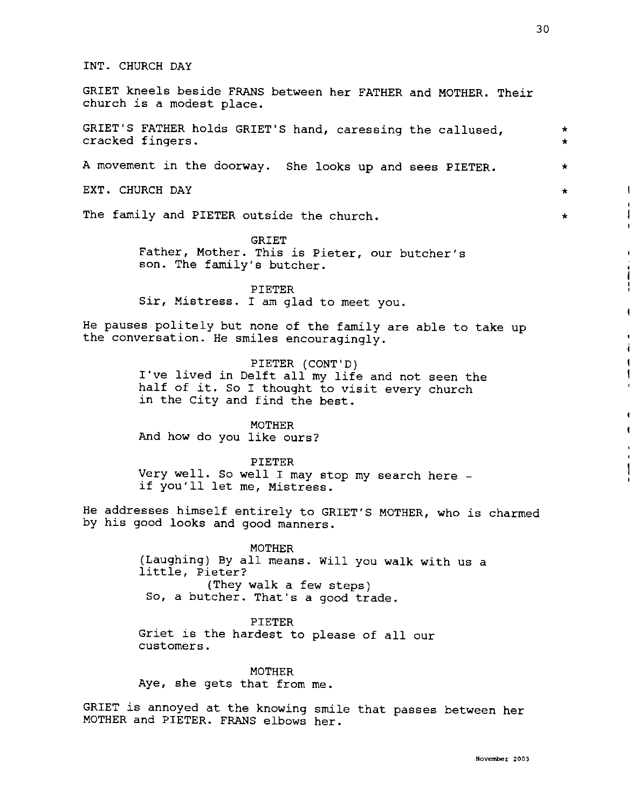GRIET kneels beside FRANS between her FATHER and MOTHER. Their church is a modest place.

GRIET'S FATHER holds GRIET'S hand, caressing the callused, cracked fingers.

A movement in the doorway. She looks up and sees PIETER.

EXT. CHURCH DAY

The family and PIETER outside the church.

GRIET Father, Mother. This is Pieter, our butcher's son. The family's butcher.

PIETER Sir, Mistress. I am glad to meet you.

He pauses politely but none of the family are able to take up the conversation. He smiles encouragingly.

> PIETER (CONT'D) I've lived in Delft all my life and not seen the half of it. So I thought to visit every church in the City and find the best.

MOTHER And how do you like ours?

PIETER Very well. So well I may stop my search here - if you'll let me, Mistress.

He addresses himself entirely to GRIET'S MOTHER, who is charmed by his good looks and good manners.

> MOTHER {Laughing) By all means. Will you walk with us a little, Pieter? (They walk a few steps) So, a butcher. That's a good trade.

PIETER Griet is the hardest to please of all our customers.

MOTHER Aye, she gets that from me.

GRIET is annoyed at the knowing smile that passes between her MOTHER and PIETER. FRANS elbows her.

\* \*

\*

\*

 $\overline{1}$ 

\*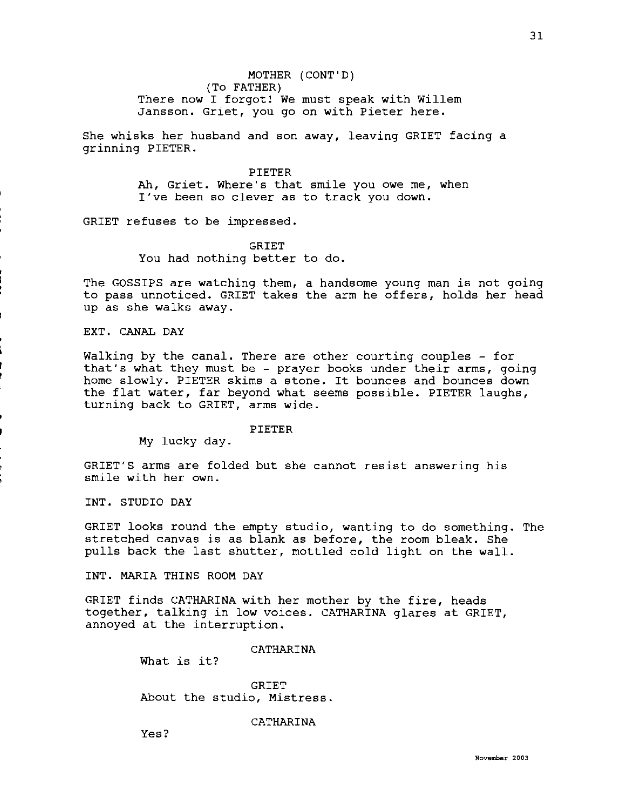She whisks her husband and son away, leaving GRIET facing a grinning PIETER.

> PIETER Ah, Griet. Where's that smile you owe me, when I've been so clever as to track you down.

GRIET refuses to be impressed.

GRIET

You had nothing better to do.

The GOSSIPS are watching them, a handsome young man is not going to pass unnoticed. GRIET takes the arm he offers, holds her head up as she walks away.

EXT. CANAL DAY

Walking by the canal. There are other courting couples - for that's what they must be - prayer books under their arms, going home slowly. PIETER skims a stone. It bounces and bounces down the flat water, far beyond what seems possible. PIETER laughs, turning back to GRIET, arms wide.

PIETER

My lucky day.

GRIET'S arms are folded but she cannot resist answering his smile with her own.

INT. STUDIO DAY

GRIET looks round the empty studio, wanting to do something. The stretched canvas is as blank as before, the room bleak. She pulls back the last shutter, mottled cold light on the wall.

INT. MARIA THINS ROOM DAY

GRIET finds CATHARINA with her mother by the fire, heads together, talking in low voices. CATHARINA glares at GRIET, annoyed at the interruption.

CATHARINA

What is it?

GRIET About the studio, Mistress.

CATHARINA

Yes?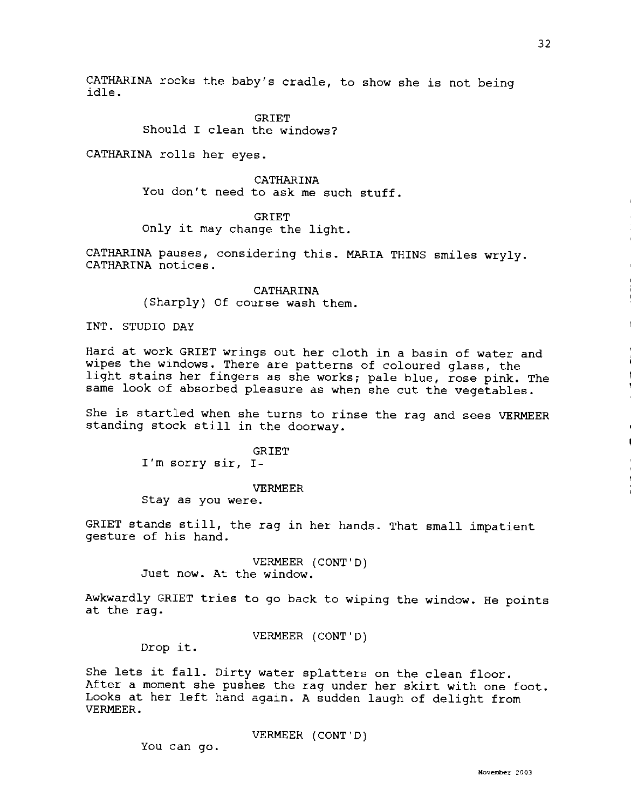CATHARINA rocks the baby's cradle, to show she is not being idle.

> **GRIET** Should I clean the windows?

CATHARINA rolls her eyes.

CATHARINA

You don't need to ask me such stuff.

**GRIET** 

Only it may change the light.

CATHARINA pauses, considering this. MARIA THINS smiles wryly. CATHARINA notices.

> CATHARINA (Sharply) Of course wash them.

INT. STUDIO DAY

Hard at work GRIET wrings out her cloth in a basin of water and wipes the windows. There are patterns of coloured glass, the light stains her fingers as she works; pale blue, rose pink. The same look of absorbed pleasure as when she cut the vegetables.

She is startled when she turns to rinse the rag and sees VERMEER standing stock still in the doorway.

> GRIET I'm sorry sir, I-

#### VERMEER

Stay as you were.

GRIET stands still, the rag in her hands. That small impatient gesture of his hand.

> VERMEER (CONT'D) Just now. At the window.

Awkwardly GRIET tries to go back to wiping the window. He points at the rag.

VERMEER (CONT'D)

Drop it.

She lets it fall. Dirty water splatters on the clean floor. After a moment she pushes the rag under her skirt with one foot. Looks at her left hand again. A sudden laugh of delight from VERMEER.

VERMEER (CONT'D)

You can go.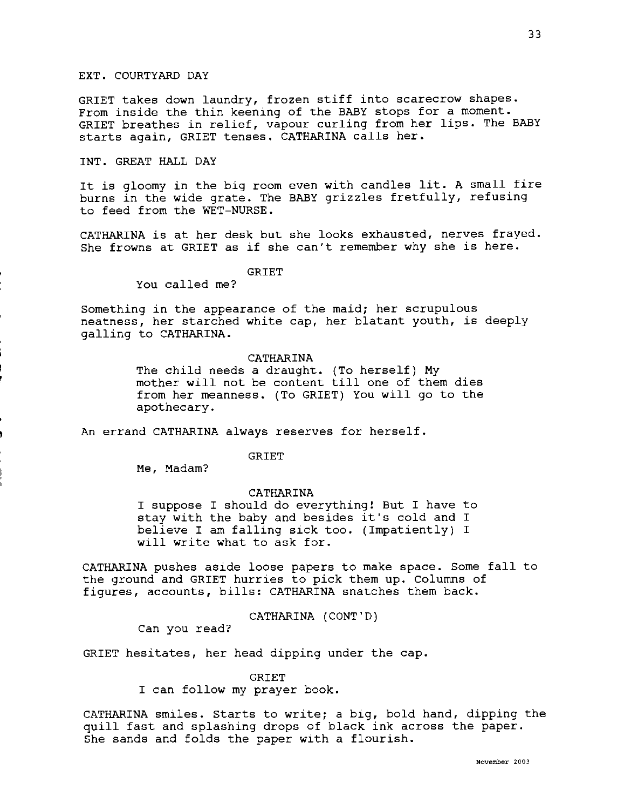## EXT. COURTYARD DAY

GRIET takes down laundry, frozen stiff into scarecrow shapes. From inside the thin keening of the BABY stops for a moment. GRIET breathes in relief, vapour curling from her lips. The BABY starts again, GRIET tenses. CATHARINA calls her.

# INT. GREAT HALL DAY

It is gloomy in the big room even with candles lit. A small fire burns in the wide grate. The BABY grizzles fretfully, refusing to feed from the WET-NURSE.

CATHARINA is at her desk but she looks exhausted, nerves frayed. She frowns at GRIET as if she can't remember why she is here.

# GRIET

You called me?

Something in the appearance of the maid; her scrupulous neatness, her starched white cap, her blatant youth, is deeply galling to CATHARINA.

#### CATHARINA

The child needs a draught. (To herself) My mother will not be content till one of them dies from her meanness. (To GRIET) You will go to the apothecary.

An errand CATHARINA always reserves for herself.

GRIET

Me, Madam?

#### CATHARINA

I suppose I should do everything! But I have to stay with the baby and besides it's cold and I believe I am falling sick too. (Impatiently) I will write what to ask for.

CATHARINA pushes aside loose papers to make space. Some fall to the ground and GRIET hurries to pick them up. Columns of figures, accounts, bills: CATHARINA snatches them back.

CATHARINA (CONT'D)

Can you read?

GRIET hesitates, her head dipping under the cap.

GRIET

I can follow my prayer book.

CATHARINA smiles. Starts to write; a big, bold hand, dipping the quill fast and splashing drops of black ink across the paper. She sands and folds the paper with a flourish.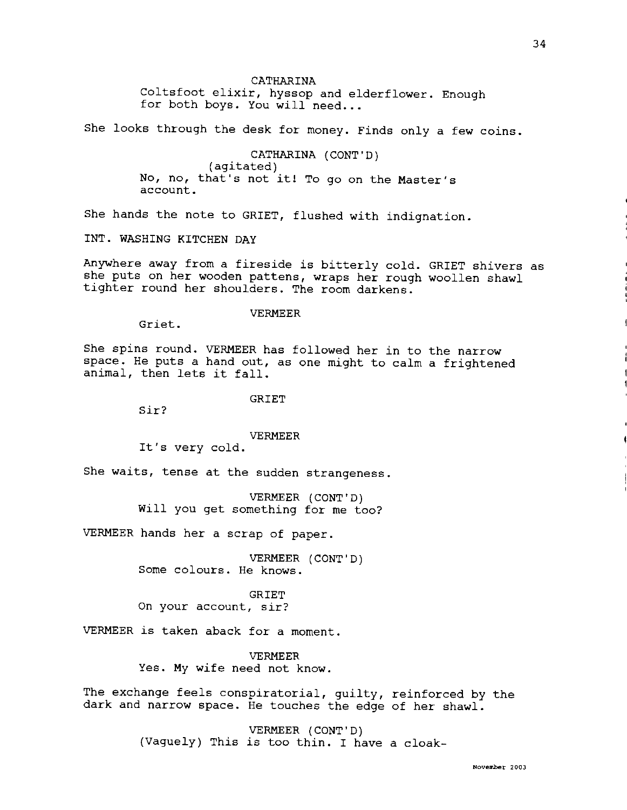## CATHARINA

Coltsfoot elixir, hyssop and elderflower. Enough for both boys. You will need...

She looks through the desk for money. Finds only a few coins.

CATHARINA (CONT'D) (agitated) No, no, that's not it! To go on the Master's account.

She hands the note to GRIET, flushed with indignation.

INT. WASHING KITCHEN DAY

Anywhere away from a fireside is bitterly cold. GRIET shivers as she puts on her wooden pattens, wraps her rough woollen shawl tighter round her shoulders. The room darkens.

## VERMEER

Griet.

She spins round. VERMEER has followed her in to the narrow space. He puts a hand out, as one might to calm a frightened animal, then lets it fall.

GRIET

Sir?

#### VERMEER

It's very cold.

She waits, tense at the sudden strangeness.

VERMEER (CONT'D) Will you get something for me too?

VERMEER hands her a scrap of paper.

VERMEER (CONT'D) Some colours. He knows.

**GRIET** On your account, sir?

VERMEER is taken aback for a moment.

VERMEER Yes. My wife need not know.

The exchange feels conspiratorial, guilty, reinforced by the dark and narrow space. He touches the edge of her shawl.

> VERMEER (CONT'D) (Vaguely) This is too thin. I have a cloak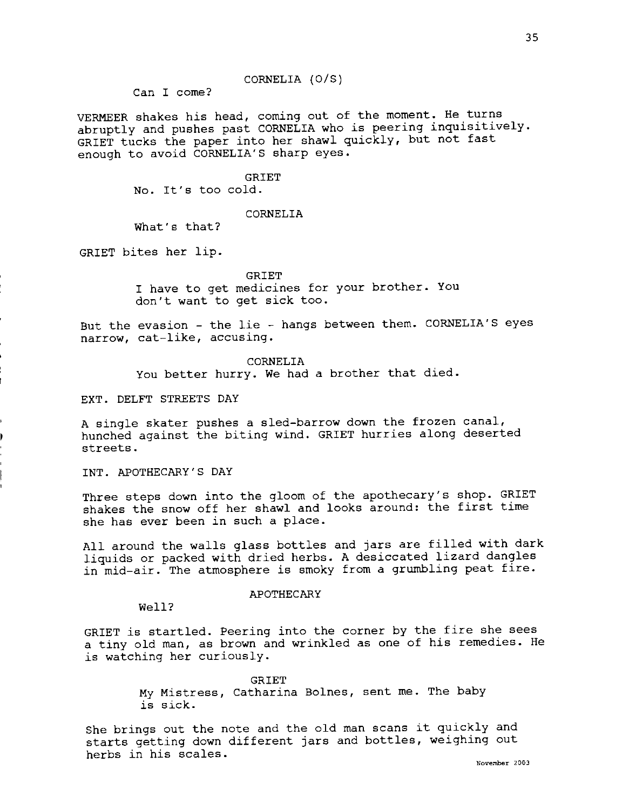Can I come?

VERMEER shakes his head, coming out of the moment. He turns abruptly and pushes past CORNELIA who is peering inquisitively. GRIET tucks the paper into her shawl quickly, but not fast enough to avoid CORNELIA'S sharp eyes.

CORNELIA (O/S)

**GRIET** No. It's too cold.

## CORNELIA

What's that?

GRIET bites her lip.

GRIET I have to get medicines for your brother. You don't want to get sick too.

But the evasion - the lie - hangs between them. CORNELIA'S eyes narrow, cat-like, accusing.

> CORNELIA You better hurry. We had a brother that died.

EXT. DELFT STREETS DAY

A single skater pushes a sled-barrow down the frozen canal, hunched against the biting wind. GRIET hurries along deserted streets.

INT. APOTHECARY'S DAY

Three steps down into the gloom of the apothecary's shop. GRIET shakes the snow off her shawl and looks around: the first time she has ever been in such a place.

All around the walls glass bottles and jars are filled with dark liquids or packed with dried herbs. A desiccated lizard dangles in mid-air. The atmosphere is smoky from a grumbling peat fire.

#### APOTHECARY

#### Well?

GRIET is startled. Peering into the corner by the fire she sees a tiny old man, as brown and wrinkled as one of his remedies. He is watching her curiously.

> GRIET My Mistress, Catharina Bolnes, sent me. The baby is sick.

She brings out the note and the old man scans it quickly and starts getting down different jars and bottles, weighing out herbs in his scales. **Now here**  $\frac{1}{2003}$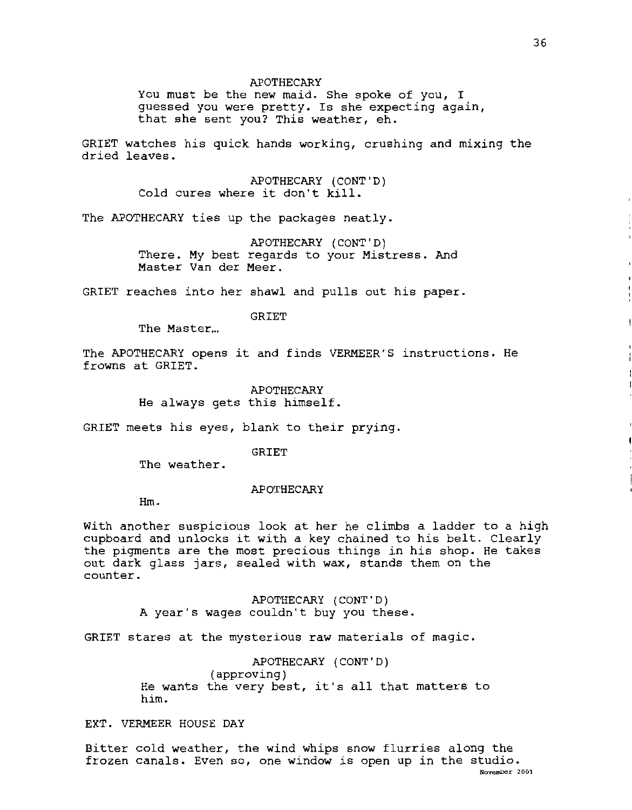You must be the new maid. She spoke of you, I guessed you were pretty. Is she expecting again, that she sent you? This weather, eh.

GRIET watches his quick hands working, crushing and mixing the dried leaves.

> APOTHECARY (CONT'D) Cold cures where it don't kill.

The APOTHECARY ties up the packages neatly.

APOTHECARY (CONT'D) There. My best regards to your Mistress. And Master Van der Meer.

GRIET reaches into her shawl and pulls out his paper.

GRIET

The Master...

The APOTHECARY opens it and finds VERMEER'S instructions. He frowns at GRIET.

APOTHECARY

He always gets this himself.

GRIET meets his eyes, blank to their prying.

GRIET

The weather.

APOTHECARY

Hm.

With another suspicious look at her he climbs a ladder to a high cupboard and unlocks it with a key chained to his belt. Clearly the pigments are the most precious things in his shop. He takes out dark glass jars, sealed with **wax,** stands them on the counter.

> APOTHECARY (CONT'D) **<sup>A</sup>**year's wages couldn't buy you these.

GRIET stares at the mysterious raw materials of magic.

APOTHECARY (CONT'D) (approving) He wants the very best, it's all that matters to him.

EXT. VERMEER HOUSE DAY

Bitter cold weather, the wind whips snow flurries along the frozen canals. Even so, one window is open up in the studio. **November 2003**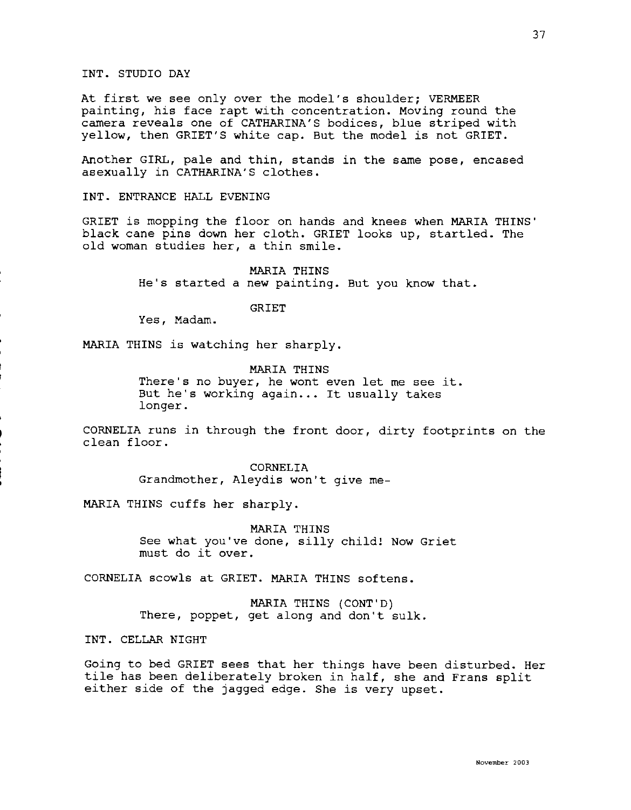# INT. STUDIO DAY

At first we see only over the model's shoulder; VERMEER painting, his face rapt with concentration. Moving round the camera reveals one of CATHARINA'S bodices, blue striped with yellow, then GRIET'S white cap. But the model is not GRIET.

Another GIRL, pale and thin, stands in the same pose, encased asexually in CATHARINA'S clothes.

INT. ENTRANCE HALL EVENING

GRIET is mopping the floor on hands and knees when MARIA THINS' black cane pins down her cloth. GRIET looks up, startled. The old woman studies her, a thin smile.

> MARIA THINS He's started a new painting. But you know that.

> > GRIET

Yes, Madam.

MARIA THINS is watching her sharply.

MARIA THINS There's no buyer, he wont even let me see it. But he's working again... It usually takes longer.

CORNELIA runs in through the front door, dirty footprints on the clean floor.

> CORNELIA Grandmother, Aleydis won't give me-

MARIA THINS cuffs her sharply.

MARIA THINS See what you've done, silly child! Now Griet must do it over.

CORNELIA scowls at GRIET. MARIA THINS softens.

MARIA THINS (CONT'D) There, poppet, get along and don't sulk.

**INT.** CELLAR NIGHT

Going to bed GRIET sees that her things have been disturbed. Her tile has been deliberately broken in half, she and Frans split either side of the jagged edge. She is very upset.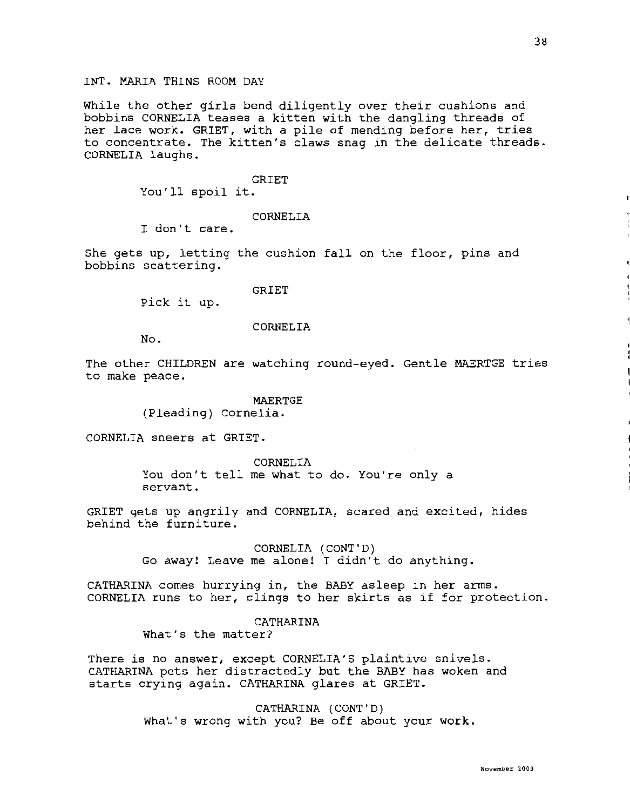# INT. MARIA THINS ROOM DAY

While the other girls bend diligently over their cushions and bobbins CORNELIA teases a kitten with the dangling threads of her lace work. GRIET, with a pile of mending before her, tries to concentrate. The kitten's claws snag in the delicate threads. CORNELIA laughs.

## GRIET

You'll spoil it.

## CORNELIA

I don't care.

She gets up, letting the cushion fall on the floor, pins and bobbins scattering.

## GRIET

Pick it up.

### CORNELIA

No.

The other CHILDREN are watching round-eyed. Gentle MAERTGE tries to make peace.

## MAERTGE

(Pleading) Cornelia.

CORNELIA sneers at GRIET.

CORNELIA You don't tell me what to do. You're only a servant.

GRIET gets up angrily and CORNELIA, scared and excited, hides behind the furniture.

> CORNELIA (CONT'D) Go away! Leave me alone! I didn't do anything.

CATHARINA comes hurrying in, the BABY asleep in her arms. CORNELIA runs to her, clings to her skirts as if for protection.

# CATHARINA

What's the matter?

There is no answer, except CORNELIA'S plaintive snivels. CATHARINA pets her distractedly but the BABY has woken and starts crying again. CATHARINA glares at GRIET.

> CATHARINA (CONT'D) What's wrong with you? Be off about your work.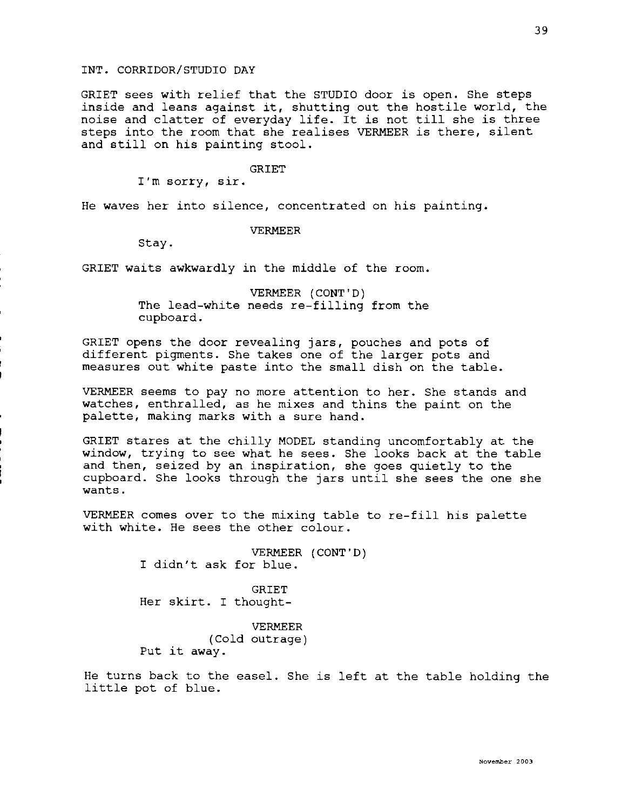GRIET sees with relief that the STUDIO door is open. She steps inside and leans against it, shutting out the hostile world, the noise and clatter of everyday life. It is not till she is three steps into the room that she realises VERMEER is there, silent and still on his painting stool.

GRIET

I'm sorry, sir.

He waves her into silence, concentrated on his painting.

## VERMEER

Stay.

GRIET waits awkwardly in the middle of the room.

VERMEER (CONT'D) The lead-white needs re-filling from the cupboard.

GRIET opens the door revealing jars, pouches and pots of different pigments. She takes one of the larger pots and measures out white paste into the small dish on the table.

VERMEER seems to pay no more attention to her. She stands and watches, enthralled, as he mixes and thins the paint on the palette, making marks with a sure hand.

GRIET stares at the chilly MODEL standing uncomfortably at the window, trying to see what he sees. She looks back at the table and then, seized by an inspiration, she goes quietly to the cupboard. She looks through the jars until she sees the one she wants.

VERMEER comes over to the mixing table to re-fill his palette with white. He sees the other colour.

> VERMEER (CONT'D) I didn't ask for blue.

GRIET Her skirt. I thought-

VERMEER (Cold outrage) Put it away.

He turns back to the easel. She is left at the table holding the little pot of blue.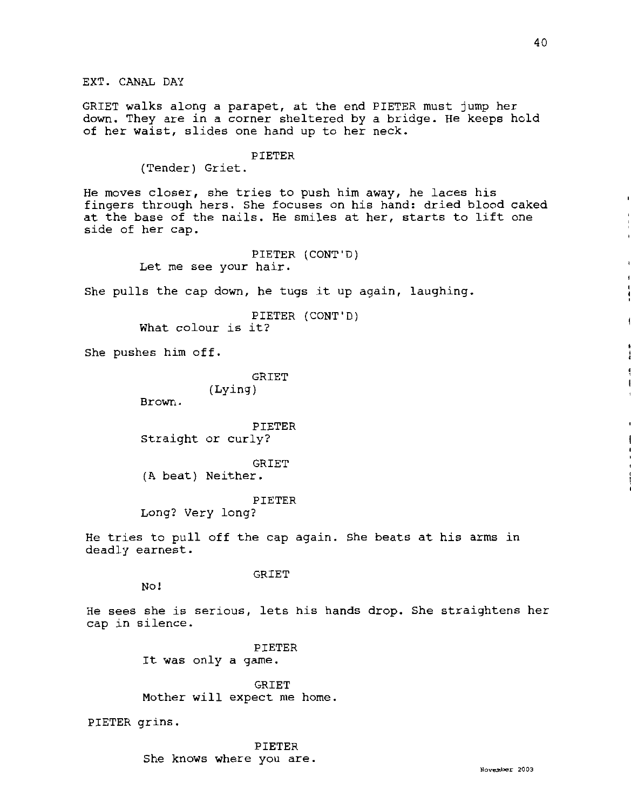EXT. CANAL DAY

GRIET walks along a parapet, at the end PIETER must jump her down. They are in a corner sheltered by a bridge. He keeps hold of her waist, slides one hand up to her neck.

# PIETER

(Tender) Griet.

He moves closer, she tries to push him **away,** he laces his fingers through hers. She focuses on his hand: dried blood caked at the base of the nails. He smiles at her, starts to lift one side of her cap.

> PIETER (CONT'D) Let me see your hair.

She pulls the cap down, he tugs it up again, laughing.

PIETER (CONT'D) What colour is it?

She pushes him off.

**GRIET** (Lying)

Brown.

PIETER Straight or curly?

GRIET

(A beat) Neither.

PIETER

Long? Very long?

He tries to pull off the cap again. She beats at his arms in deadly earnest.

**GRIET** 

No!

He sees she is serious, lets his hands drop. She straightens her cap in silence.

> PIETER It was only a game.

GRIET Mother will expect me home.

PIETER grins.

PIETER She knows where you are.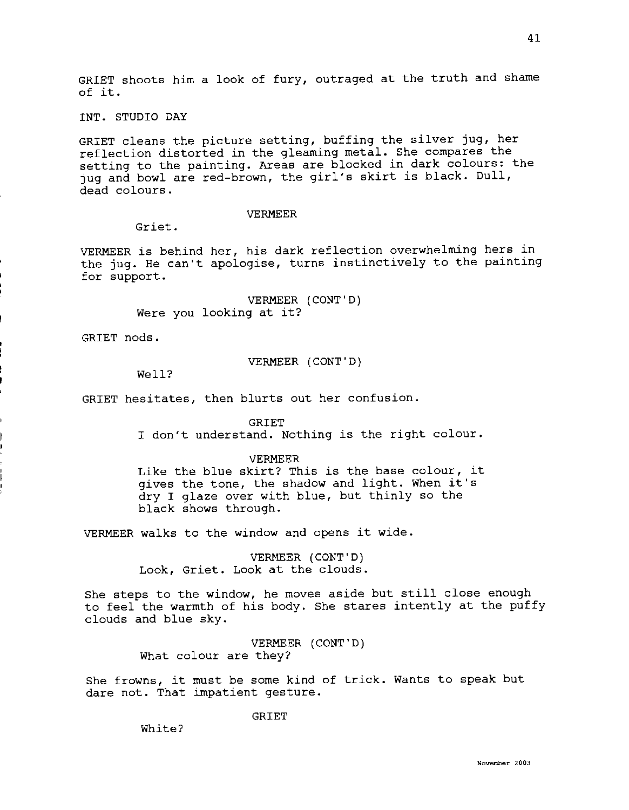GRIET shoots him a look of fury, outraged at the truth and shame of it.

INT. STUDIO DAY

GRIET cleans the picture setting, buffing the silver jug, her reflection distorted in the gleaming metal. She compares the setting to the painting. Areas are blocked in dark colours: the jug and bowl are red-brown, the girl's skirt is black. Dull, dead colours.

# VERMEER

Griet.

VERMEER is behind her, his dark reflection overwhelming hers in the jug. He can't apologise, turns instinctively to the painting for support.

> VERMEER (CONT'D) Were you looking at it?

GRIET nods.

VERMEER (CONT'D)

Well?

GRIET hesitates, then blurts out her confusion.

GRIET

I don't understand. Nothing is the right colour.

## VERMEER

Like the blue skirt? This is the base colour, it gives the tone, the shadow and light. When it's dry I glaze over with blue, but thinly so the black shows through.

VERMEER walks to the window and opens it wide.

VERMEER (CONT'D) Look, Griet. Look at the clouds.

She steps to the window, he moves aside but still close enough to feel the warmth of his body. She stares intently at the puffy clouds and blue sky.

> VERMEER (CONT'D) What colour are they?

She frowns, it must be some kind of trick. Wants to speak but dare not. That impatient gesture.

GRIET

White?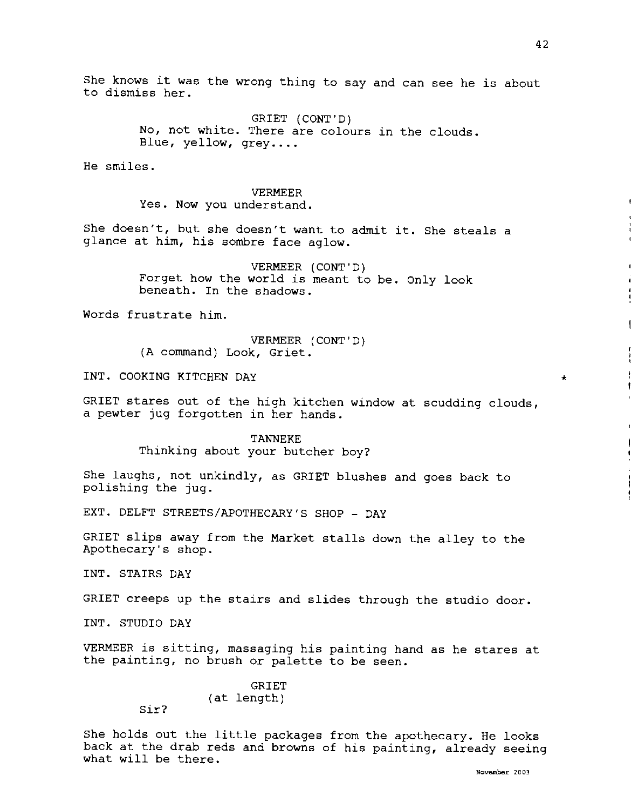\*

She knows it was the wrong thing to say and can see he is about to dismiss her.

> GRIET (CONT'D) No, not white. There are colours in the clouds. Blue, yellow, grey....

He smiles.

VERMEER Yes. Now you understand.

She doesn't, but she doesn't want to admit it. She steals a glance at him, his sombre face aglow.

> VERMEER (CONT'D) Forget how the world is meant to be. Only look beneath. In the shadows.

Words frustrate him.

VERMEER (CONT'D) (A command) Look, Griet.

INT. COOKING KITCHEN DAY

GRIET stares out of the high kitchen window at scudding clouds, a pewter jug forgotten in her hands.

> TANNEKE Thinking about your butcher boy?

She laughs, not unkindly, as GRIET blushes and goes back to polishing the jug.

EXT. DELFT STREETS/APOTHECARY'S SHOP - DAY

GRIET slips away from the Market stalls down the alley to the Apothecary's shop.

INT. STAIRS DAY

GRIET creeps up the stairs and slides through the studio door.

INT. STUDIO DAY

VERMEER is sitting, massaging his painting hand as he stares at the painting, no brush or palette to be seen.

> GRIET (at length)

Sir?

She holds out the little packages from the apothecary. He looks back at the drab reds and browns of his painting, already seeing what will be there.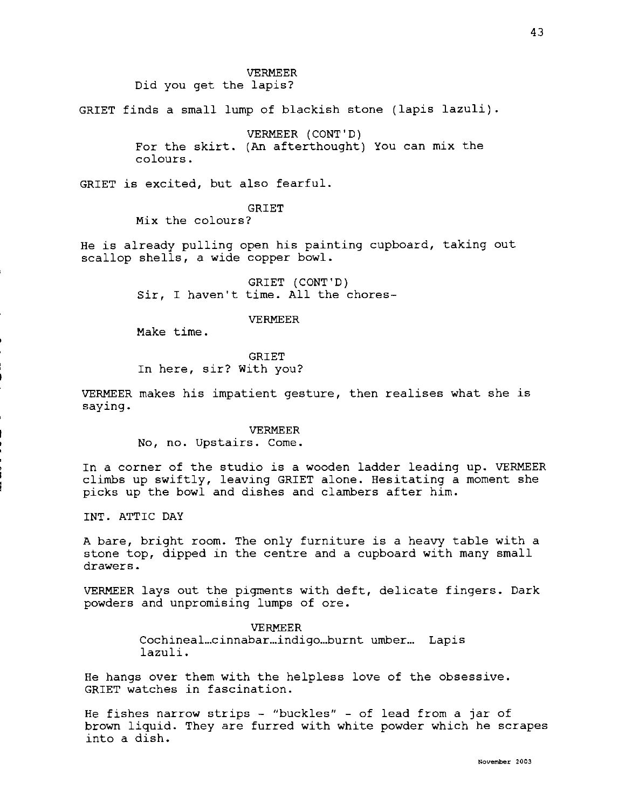VERMEER

Did you get the lapis?

GRIET finds a small lump of blackish stone (lapis lazuli).

VERMEER (CONT'D) For the skirt. (An afterthought) You can mix the colours.

GRIET is excited, but also fearful.

GRIET

**Mix** the colours?

He is already pulling open his painting cupboard, taking out scallop shells, a wide copper bowl.

> GRIET (CONT'D) Sir, I haven't time. All the chores-

> > VERMEER

Make time.

GRIET In here, sir? With you?

VERMEER makes his impatient gesture, then realises what she is saying.

> VERMEER No, no. Upstairs. Come.

In a corner of the studio is a wooden ladder leading up. VERMEER climbs up swiftly, leaving GRIET alone. Hesitating a moment she picks up the bowl and dishes and clambers after him.

INT. ATTIC DAY

A bare, bright room. The only furniture is a heavy table with a stone top, dipped in the centre and a cupboard with many small drawers.

VERMEER lays out the pigments with deft, delicate fingers. Dark powders and unpromising lumps of ore.

> VERMEER Cochineal...cinnabar...indigo...burnt umber... Lapis lazuli.

He hangs over them with the helpless love of the obsessive. GRIET watches in fascination.

He fishes narrow strips - "buckles" - of lead from a jar of brown liquid. They are furred with white powder which he scrapes into a dish.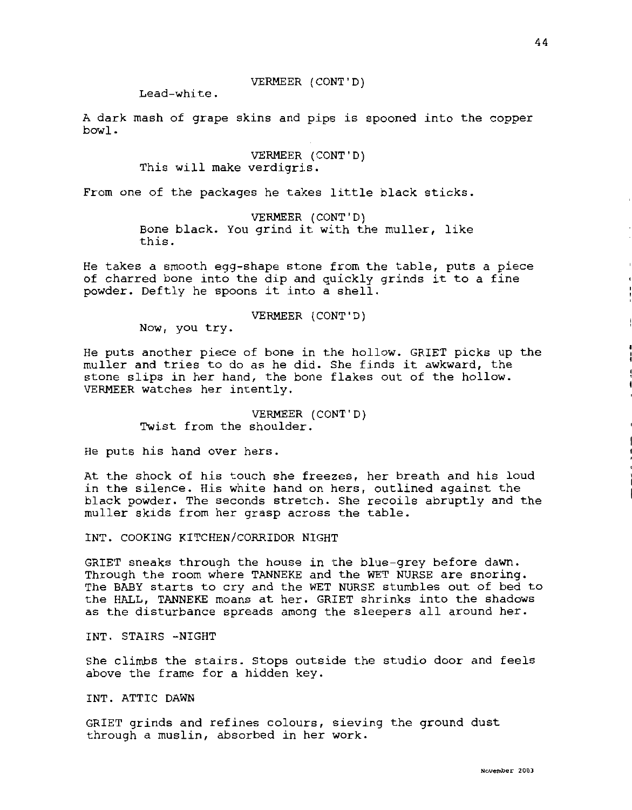# VERMEER (CONT'D)

Lead-white.

A dark mash of grape skins and pips is spooned into the copper bowl.

> VERMEER (CONT'D) This will make verdigris.

From one of the packages he takes little black sticks.

VERMEER (CONT'D) Bone black. You grind it with the muller, like this.

He takes a smooth egg-shape stone from the table, puts a piece of charred bone into the dip and quickly grinds it to a fine powder. Deftly he spoons it into a shell.

VERMEER (CONT'D)

Now, you try.

He puts another piece of bone in the hollow. GRIET picks up the muller and tries to do as he did. She finds it awkward, the stone slips in her hand, the bone flakes out of the hollow. VERMEER watches her intently.

> VERMEER (CONT'D) Twist from the shoulder.

He puts his hand over hers.

At the shock of his touch she freezes, her breath and his loud in the silence. His white hand on hers, outlined against the black powder. The seconds stretch. She recoils abruptly and the muller skids from her grasp across the table.

INT. COOKING KITCHEN/CORRIDOR NIGHT

GRIET sneaks through the house in the blue-grey before dawn. Through the room where TANNEKE and the WET NURSE are snoring. The BABY starts to cry and the WET NURSE stumbles out of bed to the HALL, TANNEKE moans at her. GRIET shrinks into the shadows as the disturbance spreads among the sleepers all around her.

INT. STAIRS -NIGHT

She climbs the stairs. Stops outside the studio door and feels above the frame for a hidden key.

INT. ATTIC DAWN

GRIET grinds and refines colours, sieving the ground dust through a muslin, absorbed in her work.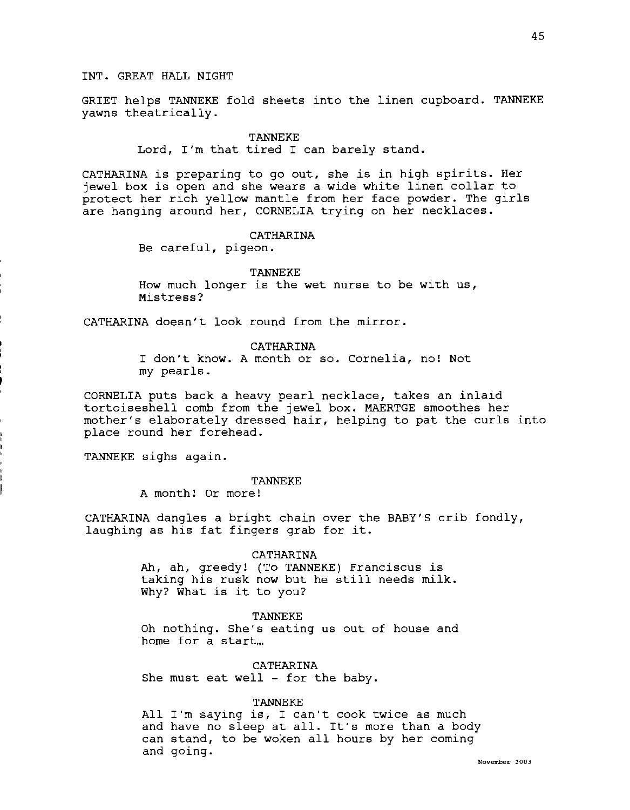GRIET helps TANNEKE fold sheets into the linen cupboard. TANNEKE yawns theatrically.

#### TANNEKE

Lord, I'm that tired I can barely stand.

CATHARINA is preparing to go out, she is in high spirits. Her jewel box is open and she wears a wide white linen collar to protect her rich yellow mantle from her face powder. The girls are hanging around her, CORNELIA trying on her necklaces.

## CATHARINA

Be careful, pigeon.

#### TANNEKE

How much longer is the wet nurse to be with us, Mistress?

CATHARINA doesn't look round from the mirror.

CATHARINA

I don't know. A month or so. Cornelia, no! Not my pearls.

CORNELIA puts back a heavy pearl necklace, takes an inlaid tortoiseshell comb from the jewel box. MAERTGE smoothes her mother's elaborately dressed hair, helping to pat the curls into place round her forehead.

TANNEKE sighs again.

# TANNEKE

A month! Or more!

CATHARINA dangles a bright chain over the BABY'S crib fondly, laughing as his fat fingers grab for it.

# CATHARINA

Ah, ah, greedy! {To TANNEKE) Franciscus is taking his rusk now but he still needs milk. Why? What is it to you?

# TANNEKE

Oh nothing. She's eating us out of house and home for a start...

CATHARINA She must eat well - for the baby.

## TANNEKE

All I'm saying is, I can't cook twice as much and have no sleep at all. It's more than a body can stand, to be woken all hours by her coming and going.

45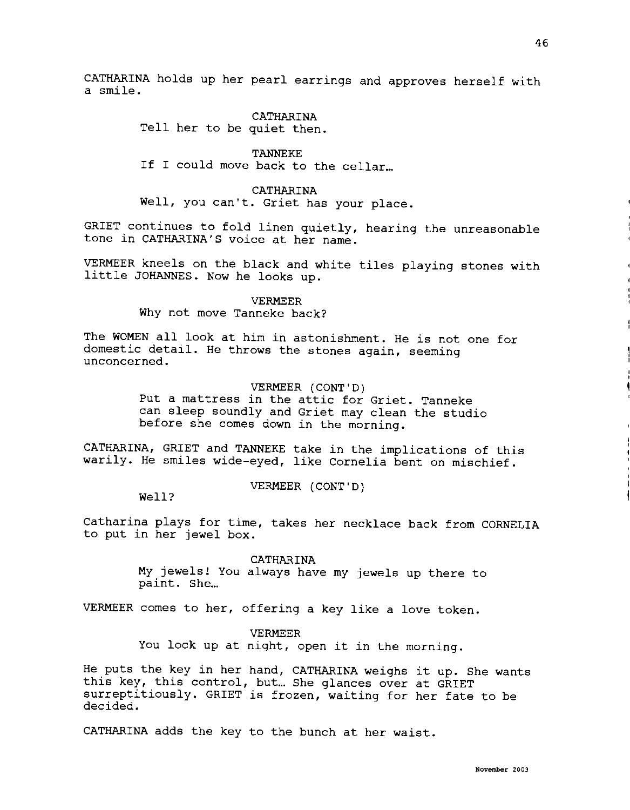CATHARINA holds up her pearl earrings and approves herself with a smile.

> CATHARINA Tell her to be quiet then.

TANNEKE If I could move back to the cellar...

**CATHARINA**  Well, you can't. Griet has your place.

GRIET continues to fold linen quietly, hearing the unreasonable tone in CATHARINA'S voice at her name.

VERMEER kneels on the black and white tiles playing stones with little JOHANNES. Now he looks up.

> VERMEER Why not move Tanneke back?

The WOMEN all look at him in astonishment. He is not one for domestic detail. He throws the stones again, seeming unconcerned.

# VERMEER (CONT'D)

Put a mattress in the attic for Griet. Tanneke can sleep soundly and Griet may clean the studio before she comes down in the morning.

CATHARINA, GRIET and TANNEKE take in the implications of this warily. He smiles wide-eyed, like Cornelia bent on mischief.

VERMEER (CONT'D)

Well?

Catharina plays for time, takes her necklace back from CORNELIA to put in her jewel box.

> **CATHARINA My** jewels! You always have my jewels up there to paint. She...

VERMEER comes to her, offering a key like a love token.

VERMEER

You lock up at night, open it in the morning.

He puts the key in her hand, CATHARINA weighs it up. She wants this key, this control, but... She glances over at GRIET surreptitiously. GRIET is frozen, waiting for her fate to be decided.

CATHARINA adds the key to the bunch at her waist.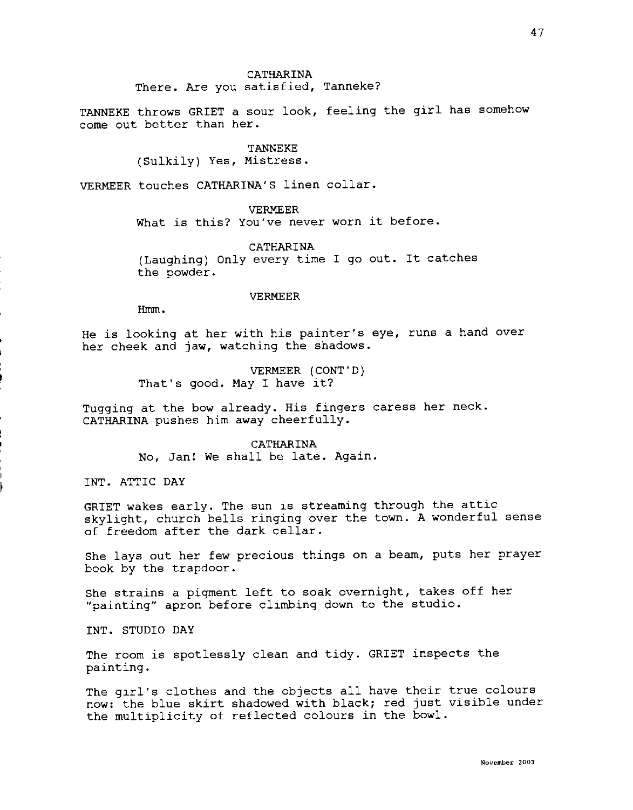# CATHARINA There. Are you satisfied, Tanneke?

TANNEKE throws GRIET a sour look, feeling the girl has somehow come out better than her.

TANNEKE

(Sulkily) Yes, Mistress.

VERMEER touches CATHARINA'S linen collar.

VERMEER What is this? You've never worn it before.

CATHARINA (Laughing) Only every time I go out. It catches the powder.

## VERMEER

Hmm.

He is looking at her with his painter's eye, runs a hand over her cheek and jaw, watching the shadows.

> VERMEER (CONT'D) That's good. May I have it?

Tugging at the bow already. His fingers caress her neck. CATHARINA pushes him away cheerfully.

> CATHARINA No, Jan! We shall be late. Again.

INT. ATTIC DAY

GRIET wakes early. The sun is streaming through the attic skylight, church bells ringing over the town. A wonderful sense of freedom after the dark cellar.

She lays out her few precious things on a beam, puts her prayer book by the trapdoor.

She strains a pigment left to soak overnight, takes off her "painting" apron before climbing down to the studio.

INT. STUDIO DAY

The room is spotlessly clean and tidy. GRIET inspects the painting.

The girl's clothes and the objects all have their true colours now: the blue skirt shadowed with black; red just visible under the multiplicity of reflected colours in the bowl.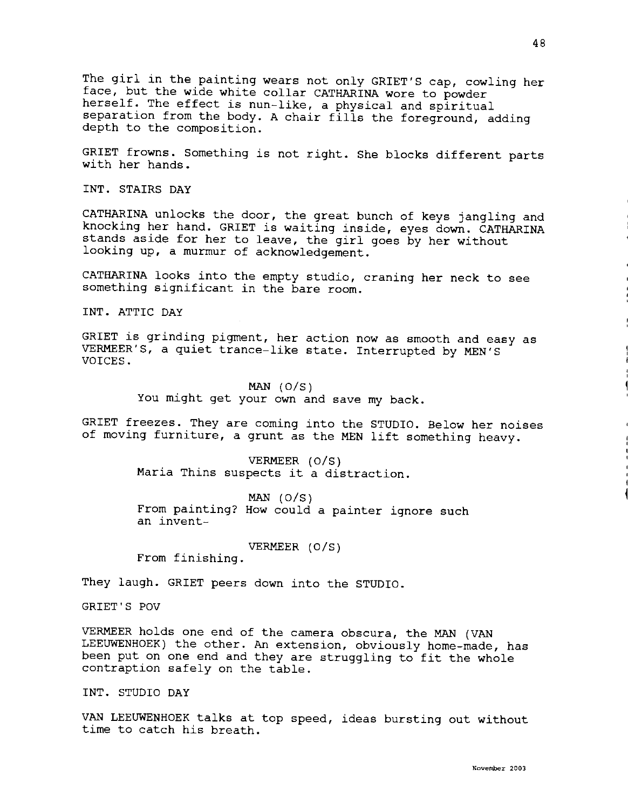The girl in the painting wears not only GRIET'S cap, cowling her face, but the wide white collar CATHARINA wore to powder herself. The effect is nun-like, a physical and spiritual separation from the body. A chair fills the foreground, adding depth to the composition.

GRIET frowns. Something is not right. She blocks different parts with her hands.

INT. STAIRS DAY

CATHARINA unlocks the door, the great bunch of keys jangling and knocking her hand. GRIET is waiting inside, eyes down. CATHARINA stands aside for her to leave, the girl goes by her without looking up, a murmur of acknowledgement.

CATHARINA looks into the empty studio, craning her neck to see something significant in the bare room.

INT. ATTIC DAY

GRIET is grinding pigment, her action now as smooth and easy as VERMEER'S, a quiet trance-like state. Interrupted by MEN'S VOICES.

> **MAN** (O/S) You might get your own and save my back.

GRIET freezes. They are coming into the STUDIO. Below her noises of moving furniture, a grunt as the MEN lift something heavy.

> VERMEER (O/S) Maria Thins suspects it a distraction.

MAN (O/S) From painting? How could a painter ignore such an invent-

VERMEER (O/S)

From finishing.

They laugh. GRIET peers down into the STUDIO.

GRIET'S POV

VERMEER holds one end of the camera obscura, the MAN (VAN LEEUWENHOEK) the other. An extension, obviously home-made, has been put on one end and they are struggling to fit the whole contraption safely on the table.

INT. STUDIO DAY

VAN LEEUWENHOEK talks at top speed, ideas bursting out without time to catch his breath.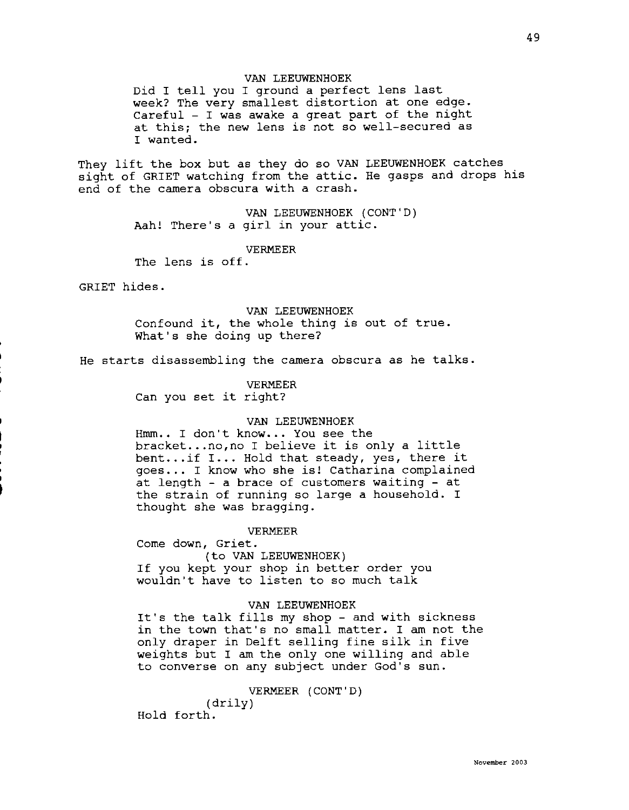# VAN LEEUWENHOEK

Did I tell you I ground a perfect lens last week? The very smallest distortion at one edge. Careful - I was awake a great part of the night at this; the new lens is not so well-secured as I wanted.

They lift the box but as they do so VAN LEEUWENHOEK catches sight of GRIET watching from the attic. He gasps and drops his end of the camera obscura with a crash.

> VAN LEEUWENHOEK (CONT'D) Aah! There's a girl in your attic.

## VERMEER

The lens is off.

GRIET hides.

VAN LEEUWENHOEK Confound it, the whole thing is out of true. What's she doing up there?

He starts disassembling the camera obscura as he talks.

## VERMEER

Can you set it right?

## VAN LEEUWENHOEK

Hmm.. I don't know... You see the bracket .•. no,no I believe it is only a little bent...if I... Hold that steady, yes, there it goes ... I know who she is! Catharina complained at length - a brace of customers waiting - at the strain of running so large a household. I thought she was bragging.

## VERMEER

Come down, Griet. (to VAN LEEUWENHOEK) If you kept your shop in better order you wouldn't have to listen to so much talk

## VAN LEEUWENHOEK

It's the talk fills my shop - and with sickness in the town that's no small matter. I am not the only draper in Delft selling fine silk in five weights but I am the only one willing and able to converse on any subject under God's sun.

## VERMEER (CONT'D)

(drily) Hold forth.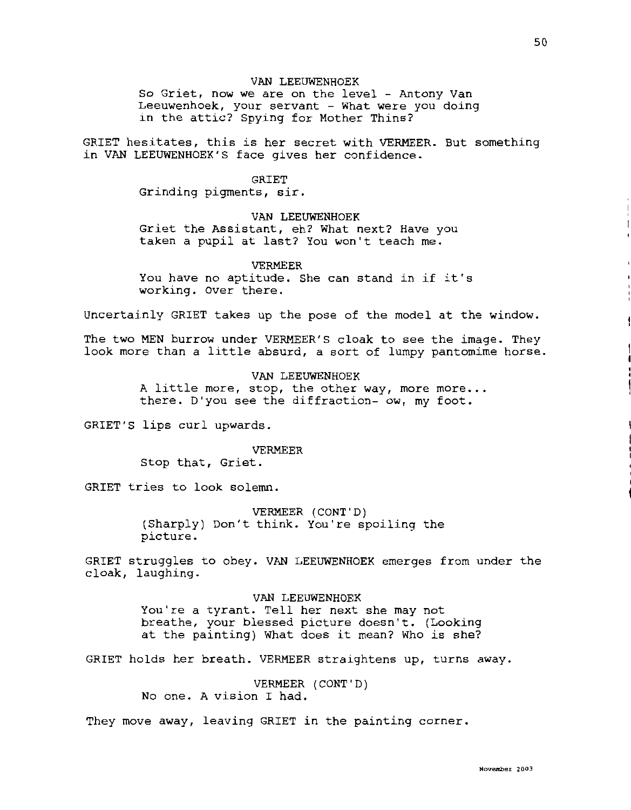## VAN LEEUWENHOEK

So Griet, now we are on the level - Antony Van Leeuwenhoek, your servant - What were you doing in the attic? Spying for Mother Thins?

GRIET hesitates, this is her secret with VERMEER. But something in VAN LEEUWENHOEK'S face gives her confidence.

# GRIET

Grinding pigments, sir.

## VAN LEEUWENHOEK

Griet the Assistant, eh? What next? Have you taken a pupil at last? You won't teach me.

## VERMEER

You have no aptitude. She can stand in if it's working. Over there.

Uncertainly GRIET takes up the pose of the model at the window.

The two MEN burrow under VERMEER'S cloak to see the image. They look more than a little absurd, a sort of lumpy pantomime horse.

> VAN LEEUWENHOEK A little more, stop, the other way, more more... there. D'you see the diffraction- ow, my foot.

GRIET'S lips curl upwards.

## VERMEER

Stop that, Griet.

GRIET tries to look solemn.

VERMEER (CONT'D) (Sharply) Don't think. You're spoiling the picture.

GRIET struggles to obey. VAN LEEUWENHOEK emerges from under the cloak, laughing.

> VAN LEEUWENHOEK You're a tyrant. Tell her next she may not breathe, your blessed picture doesn't. (Looking at the painting) What does it mean? Who is she?

GRIET holds her breath. VERMEER straightens up, turns away.

VERMEER (CONT'D) No one. A vision I had.

They move away, leaving GRIET in the painting corner.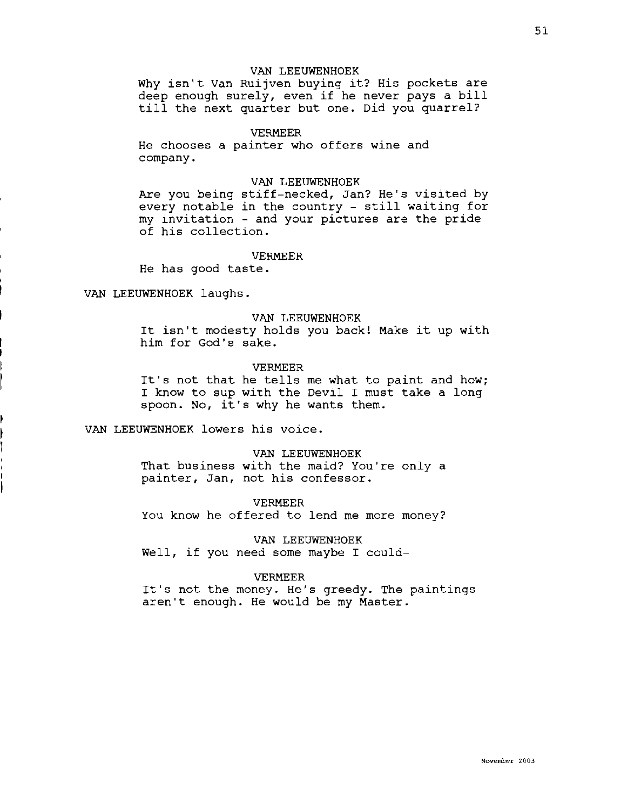## VAN LEEUWENHOEK

Why isn't Van Ruijven buying it? His pockets are deep enough surely, even if he never pays a bill till the next quarter but one. Did you quarrel?

## VERMEER

He chooses a painter who offers wine and company.

## VAN LEEUWENHOEK

Are you being stiff-necked, Jan? He's visited by every notable in the country - still waiting for my invitation - and your pictures are the pride of his collection.

# VERMEER

He has good taste.

VAN LEEUWENHOEK laughs.

## VAN LEEUWENHOEK

It isn't modesty holds you back! Make it up with him for God's sake.

#### VERMEER

It's not that he tells me what to paint and how; I know to sup with the Devil I must take a long spoon. No, it's why he wants them.

# VAN LEEUWENHOEK lowers his voice.

VAN LEEUWENHOEK That business with the maid? You're only a painter, Jan, not his confessor.

#### VERMEER

You know he offered to lend me more money?

VAN LEEUWENHOEK

Well, if you need some maybe I could-

## VERMEER

It's not the money. He's greedy. The paintings aren't enough. He would be my Master.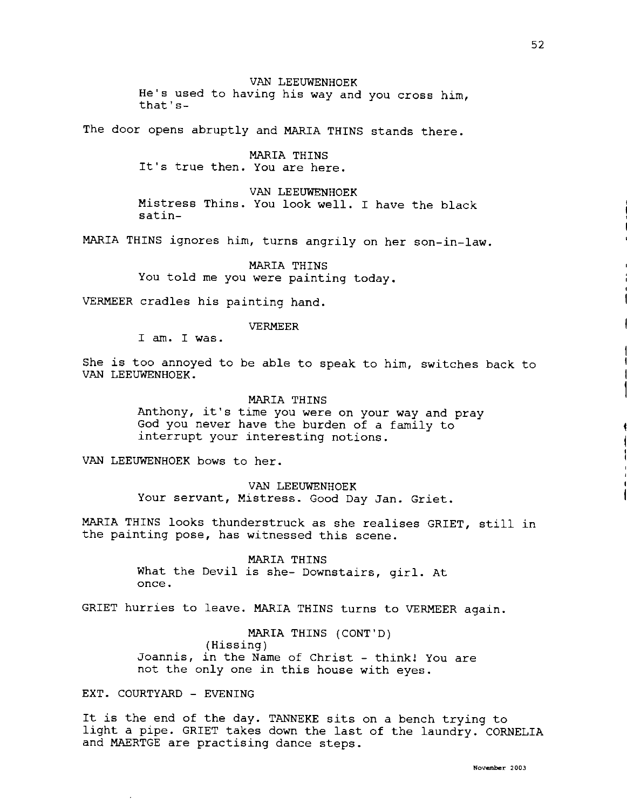VAN LEEUWENHOEK He's used to having his way and you cross him, that's-

The door opens abruptly and MARIA THINS stands there.

MARIA THINS It's true then. You are here.

VAN LEEUWENHOEK Mistress Thins. You look well. I have the black satin-

MARIA THINS ignores him, turns angrily on her son-in-law.

MARIA THINS You told me you were painting today.

VERMEER cradles his painting hand.

VERMEER

I am. I was.

She is too annoyed to be able to speak to him, switches back to VAN LEEUWENHOEK.

MARIA THINS

Anthony, it's time you were on your way and pray God you never have the burden of a family to interrupt your interesting notions.

VAN LEEUWENHOEK bows to her.

VAN LEEUWENHOEK Your servant, Mistress. Good Day Jan. Griet.

MARIA THINS looks thunderstruck as she realises GRIET, still in the painting pose, has witnessed this scene.

> MARIA THINS What the Devil is she- Downstairs, girl. At once.

GRIET hurries to leave. MARIA THINS turns to VERMEER again.

MARIA THINS (CONT'D) (Hissing) Joannis, in the Name of Christ - think! You are not the only one in this house with eyes.

EXT. COURTYARD - EVENING

It is the end of the day. TANNEKE sits on a bench trying to light a pipe. GRIET takes down the last of the laundry. CORNELIA and MAERTGE are practising dance steps.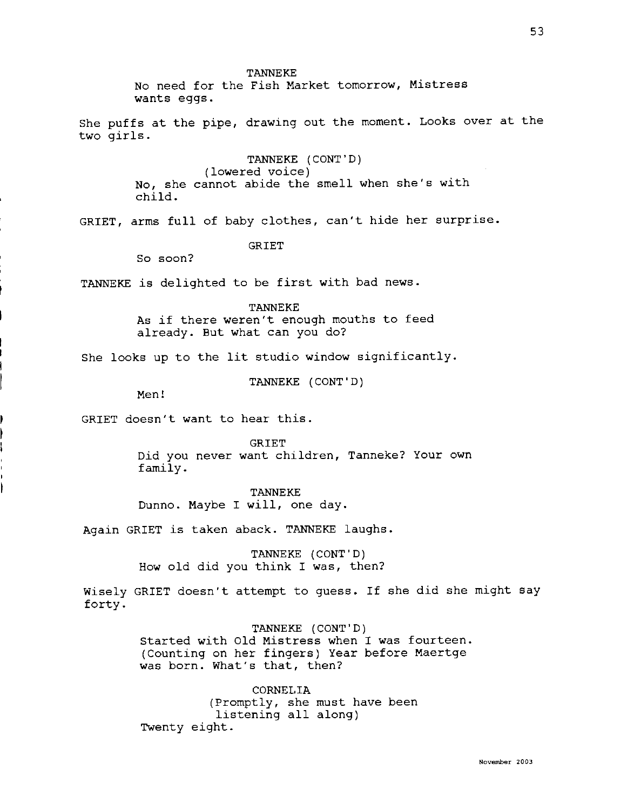TANNEKE

No need for the Fish Market tomorrow, Mistress wants eggs.

She puffs at the pipe, drawing out the moment. Looks over at the two girls.

> TANNEKE (CONT'D) (lowered voice) No, she cannot abide the smell when she's with child.

GRIET, arms full of baby clothes, can't hide her surprise.

# GRIET

So soon?

TANNEKE is delighted to be first with bad news.

TANNEKE As if there weren't enough mouths to feed already. But what can you do?

She looks up to the lit studio window significantly.

TANNEKE (CONT'D)

Men!

GRIET doesn't want to hear this.

GRIET Did you never want children, Tanneke? Your own family.

TANNEKE Dunno. Maybe I will, one day.

Again GRIET is taken aback. TANNEKE laughs.

TANNEKE (CONT'D) How old did you think I was, then?

Wisely GRIET doesn't attempt to guess. If she did she might say forty.

> TANNEKE (CONT'D) Started with Old Mistress when I was fourteen. (Counting on her fingers) Year before Maertge was born. What's that, then?

CORNELIA (Promptly, she must have been listening all along) Twenty eight.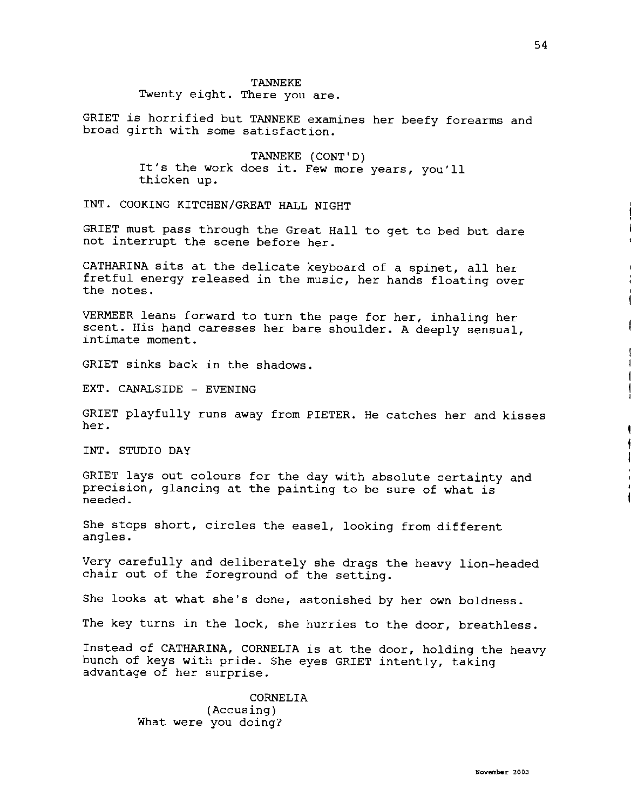## TANNEKE

Twenty eight. There you are.

GRIET is horrified but TANNEKE examines her beefy forearms and broad girth with some satisfaction.

> TANNEKE (CONT'D) It's the work does it. Few more years, you'll thicken up.

INT. COOKING KITCHEN/GREAT HALL NIGHT

GRIET must pass through the Great Hall to get to bed but dare not interrupt the scene before her.

CATHARINA sits at the delicate keyboard of a spinet, all her fretful energy released in the music, her hands floating over the notes.

VERMEER leans forward to turn the page for her, inhaling her scent. His hand caresses her bare shoulder. A deeply sensual, intimate moment.

GRIET sinks back in the shadows.

EXT. CANALSIDE - EVENING

GRIET playfully runs away from PIETER. He catches her and kisses her.

INT. STUDIO DAY

GRIET lays out colours for the day with absolute certainty and precision, glancing at the painting to be sure of what is needed.

She stops short, circles the easel, looking from different angles.

Very carefully and deliberately she drags the heavy lion-headed chair out of the foreground of the setting.

She looks at what she's done, astonished by her own boldness.

The key turns in the lock, she hurries to the door, breathless.

Instead of CATHARINA, CORNELIA is at the door, holding the heavy bunch of keys with pride. She eyes GRIET intently, taking advantage of her surprise.

> CORNELIA (Accusing) What were you doing?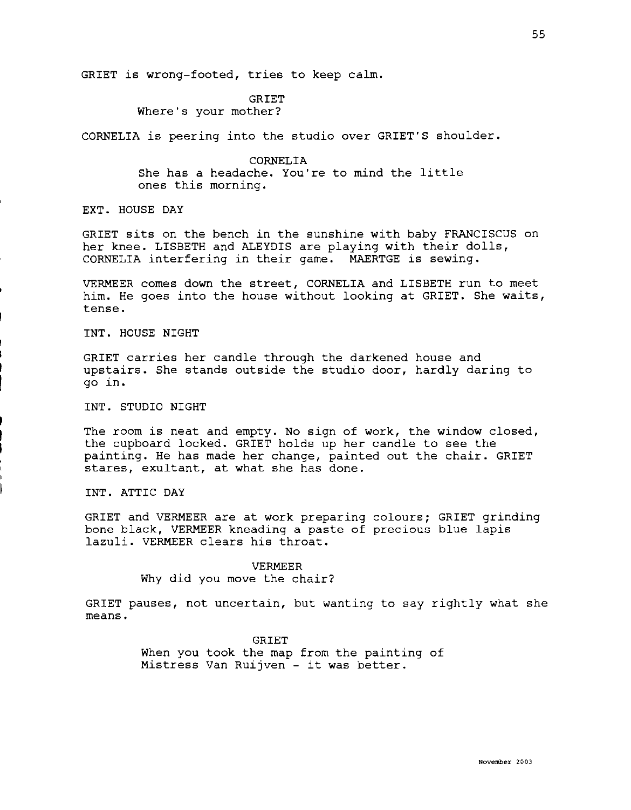GRIET is wrong-footed, tries to keep calm.

GRIET Where's your mother?

CORNELIA is peering into the studio over GRIET'S shoulder.

CORNELIA She has a headache. You're to mind the little ones this morning.

EXT. HOUSE DAY

GRIET sits on the bench in the sunshine with baby FRANCISCUS on her knee. LISBETH and ALEYDIS are playing with their dolls, CORNELIA interfering in their game. MAERTGE is sewing.

VERMEER comes down the street, CORNELIA and LISBETH run to meet him. He goes into the house without looking at GRIET. She waits, tense.

INT. HOUSE NIGHT

GRIET carries her candle through the darkened house and upstairs. She stands outside the studio door, hardly daring to go in.

INT. STUDIO NIGHT

The room is neat and empty. No sign of work, the window closed, the cupboard locked. GRIET holds up her candle to see the painting. He has made her change, painted out the chair. GRIET stares, exultant, at what she has done.

INT. ATTIC DAY

GRIET and VERMEER are at work preparing colours; GRIET grinding bone black, VERMEER kneading a paste of precious blue lapis lazuli. VERMEER clears his throat.

## VERMEER

Why did you move the chair?

GRIET pauses, not uncertain, but wanting to say rightly what she means.

> GRIET When you took the map from the painting of Mistress Van Ruijven - it was better.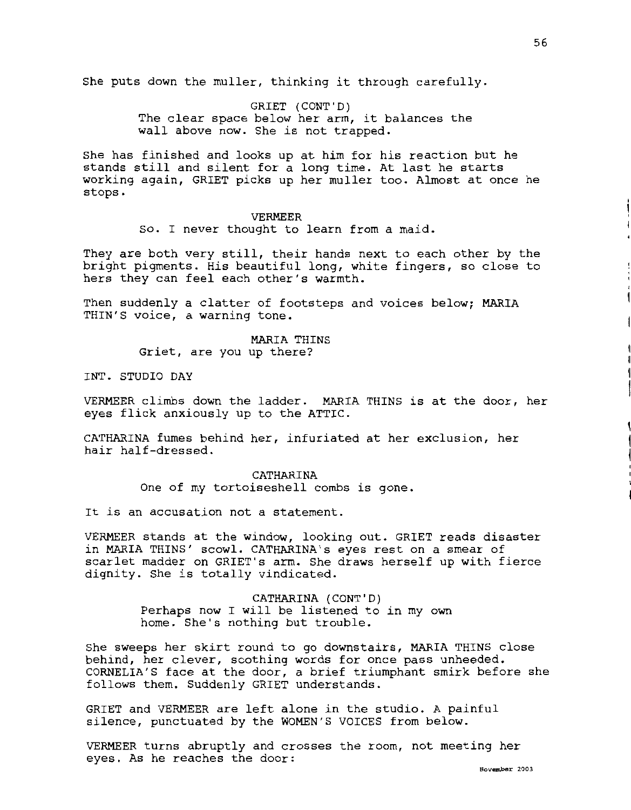She puts down the muller, thinking it through carefully.

GRIET (CONT'D) The clear space below her arm, it balances the wall above now. She is not trapped.

She has finished and looks up at him for his reaction but he stands still and silent for a long time. At last he starts working again, GRIET picks up her muller too. Almost at once he stops.

## VERMEER

so. I never thought to learn from a maid.

They are both very still, their hands next to each other by the bright pigments. His beautiful long, white fingers, so close to hers they can feel each other's warmth.

Then suddenly a clatter of footsteps and voices below: MARTA THIN'S voice, a warning tone.

> MARIA THINS Griet, are you up there?

INT. STUDIO DAY

VERMEER climbs down the ladder. MARIA THINS is at the door, her eyes flick anxiously up to the ATTIC.

CATHARINA fumes behind her, infuriated at her exclusion, her hair half-dressed.

> CATHARINA One of my tortoiseshell combs is gone.

It is an accusation not a statement.

VERMEER stands at the window, looking out. GRIET reads disaster in MARIA THINS' scowl. CATHARINA's eyes rest on a smear of scarlet madder on GRIET's arm. She draws herself up with fierce dignity. She is totally vindicated.

> CATHARINA (CONT'D) Perhaps now I will be listened to in my own home. She's nothing but trouble.

She sweeps her skirt round to go downstairs, MARIA THINS close behind, her clever, soothing words for once pass unheeded. CORNELIA'S face at the door, a brief triumphant smirk before she follows them. Suddenly GRIET understands.

GRIET and VERMEER are left alone in the studio. A painful silence, punctuated by the WOMEN'S VOICES from below.

VERMEER turns abruptly and crosses the room, not meeting her eyes. As he reaches the door: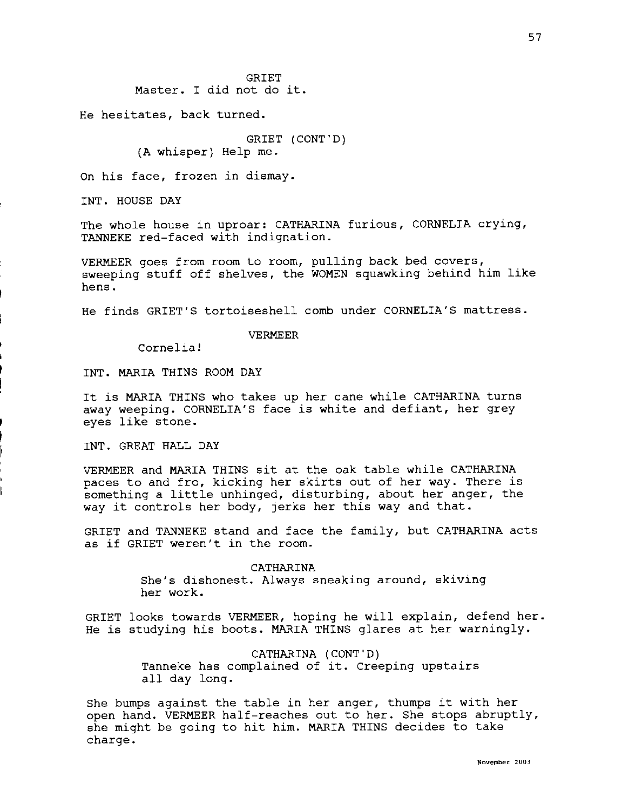**GRIET** Master. I did not do it.

He hesitates, back turned.

GRIET (CONT'D) (A whisper) Help me.

On his face, frozen in dismay.

INT. HOUSE DAY

The whole house in uproar: CATHARINA furious, CORNELIA crying, TANNEKE red-faced with indignation.

VERMEER goes from room to room, pulling back bed covers, sweeping stuff off shelves, the WOMEN squawking behind him like hens.

He finds GRIET'S tortoiseshell comb under CORNELIA'S mattress.

#### VERMEER

Cornelia!

INT. MARIA THINS ROOM DAY

It is MARIA THINS who takes up her cane while CATHARINA turns away weeping. CORNELIA'S face is white and defiant, her grey eyes like stone.

INT. GREAT HALL DAY

VERMEER and MARIA THINS sit at the oak table while CATHARINA paces to and fro, kicking her skirts out of her way. There is something a little unhinged, disturbing, about her anger, the way it controls her body, jerks her this way and that.

GRIET and TANNEKE stand and face the family, but CATHARINA acts as if GRIET weren't in the room.

## CATHARINA

She's dishonest. Always sneaking around, skiving her work.

GRIET looks towards VERMEER, hoping he will explain, defend her. He is studying his boots. MARIA THINS glares at her warningly.

> CATHARINA (CONT'D) Tanneke has complained of it. Creeping upstairs all day long.

She bumps against the table in her anger, thumps it with her open hand. VERMEER half-reaches out to her. She stops abruptly, she might be going to hit him. MARIA THINS decides to take charge.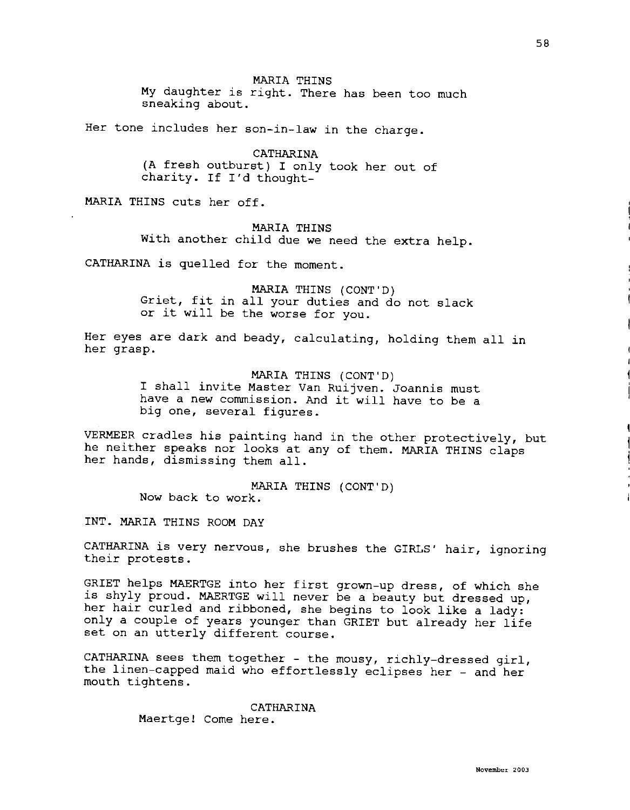MARIA THINS **My** daughter is right. There has been too much sneaking about.

Her tone includes her son-in-law in the charge.

**CATHARINA (A** fresh outburst) I only took her out of charity. If I'd thought-

MARIA THINS cuts her off.

**MARIA THINS** 

With another child due we need the extra help.

CATHARINA is quelled for the moment.

MARIA THINS (CONT'D) Griet, fit in all your duties and do not slack or it will be the worse for you.

Her eyes are dark and beady, calculating, holding them all in her grasp.

> MARIA THINS (CONT'D) I shall invite Master Van Ruijven. Joannis must have a new commission. And it will have to be a big one, several figures.

VERMEER cradles his painting hand in the other protectively, but he neither speaks nor looks at any of them. **MARIA** THINS claps her hands, dismissing them all.

> MARIA THINS (CONT'D) Now back to work.

INT. MARIA THINS ROOM DAY

CATHARINA is very nervous, she brushes the GIRLS' hair, ignoring their protests.

GRIET helps MAERTGE into her first grown-up dress, of which she is shyly proud. MAERTGE will never be a beauty but dressed up, her hair curled and ribboned, she begins to look like a lady: only a couple of years younger than GRIET but already her life set on an utterly different course.

CATHARINA sees them together - the mousy, richly-dressed girl, the linen-capped maid who effortlessly eclipses her - and her mouth tightens.

> CATHARINA Maertge! Come here.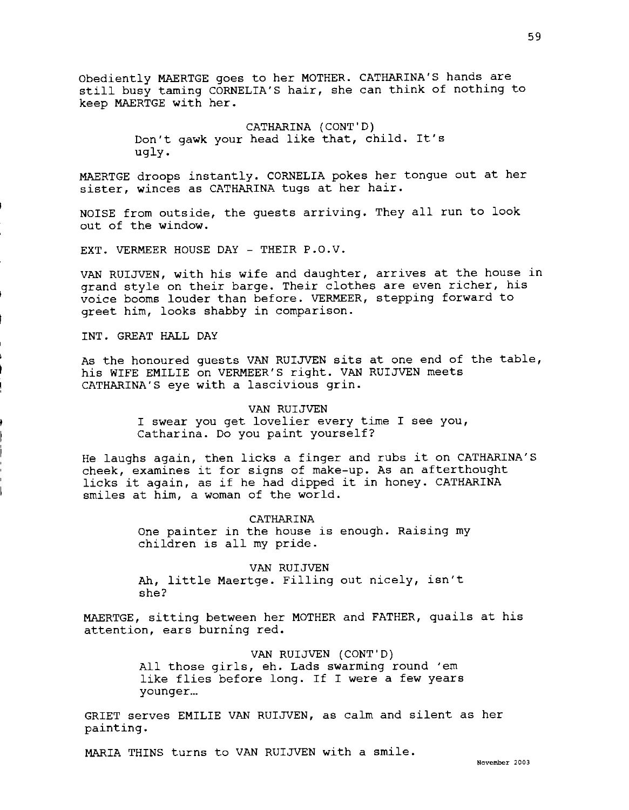Obediently MAERTGE goes to her MOTHER. CATHARINA'S hands are still busy taming CORNELIA'S hair, she can think of nothing to keep MAERTGE with her.

> CATHARINA (CONT'D) Don't gawk your head like that, child. It's ugly.

MAERTGE droops instantly. CORNELIA pokes her tongue out at her sister, winces as CATHARINA tugs at her hair.

NOISE from outside, the guests arriving. They all run to look out of the window.

EXT. VERMEER HOUSE DAY - THEIR P.O.V.

VAN RUIJVEN, with his wife and daughter, arrives at the house in grand style on their barge. Their clothes are even richer, his voice booms louder than before. VERMEER, stepping forward to greet him, looks shabby in comparison.

INT. GREAT HALL DAY

As the honoured guests VAN RUIJVEN sits at one end of the table, his WIFE EMILIE on VERMEER'S right. VAN RUIJVEN meets CATHARINA'S eye with a lascivious grin.

> VAN RUIJVEN I swear you get lovelier every time I see you, Catharina. Do you paint yourself?

He laughs again, then licks a finger and rubs it on CATHARINA'S cheek, examines it for signs of make-up. As an afterthought licks it again, as if he had dipped it in honey. CATHARINA smiles at him, a woman of the world.

> CATHARINA One painter in the house is enough. Raising my children is all my pride.

VAN RUIJVEN Ah, little Maertge. Filling out nicely, isn't she?

MAERTGE, sitting between her MOTHER and FATHER, quails at his attention, ears burning red.

> VAN RUIJVEN (CONT'D) All those girls, eh. Lads swarming round 'em like flies before long. If I were a few years younger...

GRIET serves EMILIE VAN RUIJVEN, as calm and silent as her painting.

MARIA THINS turns to VAN RUIJVEN with a smile.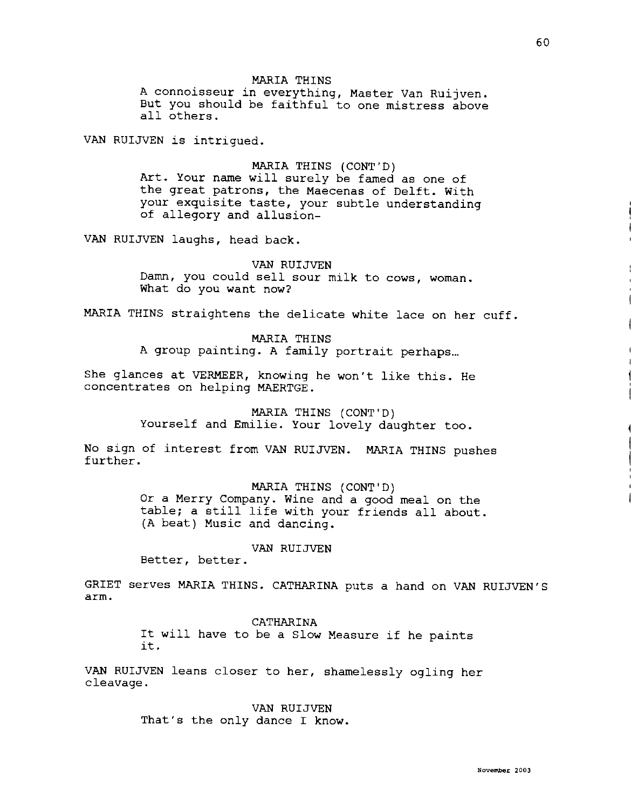# MARIA THINS

A connoisseur in everything, Master Van Ruijven. But you should be faithful to one mistress above all others.

VAN RUIJVEN is intrigued.

## MARIA THINS (CONT'D)

Art. Your name will surely be famed as one of the great patrons, the Maecenas of Delft. With your exquisite taste, your subtle understanding of allegory and allusion-

VAN RUIJVEN laughs, head back.

# VAN RUIJVEN

Damn, you could sell sour milk to cows, woman. What do you want now?

MARIA THINS straightens the delicate white lace on her cuff.

# MARIA THINS

A group painting. A family portrait perhaps...

She glances at VERMEER, knowing he won't like this. He concentrates on helping MAERTGE.

> MARIA THINS (CONT'D) Yourself and Emilie. Your lovely daughter too.

No sign of interest from VAN RUIJVEN. MARIA THINS pushes further.

MARIA THINS (CONT'D)

Or a Merry Company. Wine and a good meal on the table; a still life with your friends all about. (A beat) Music and dancing.

# VAN RUIJVEN

Better, better.

GRIET serves MARIA THINS. CATHARINA puts a hand on VAN RUIJVEN'S arm.

# CATHARINA

It will have to be a Slow Measure if he paints it.<br>it.

VAN RUIJVEN leans closer to her, shamelessly ogling her cleavage,

> VAN RUIJVEN That's the only dance I know.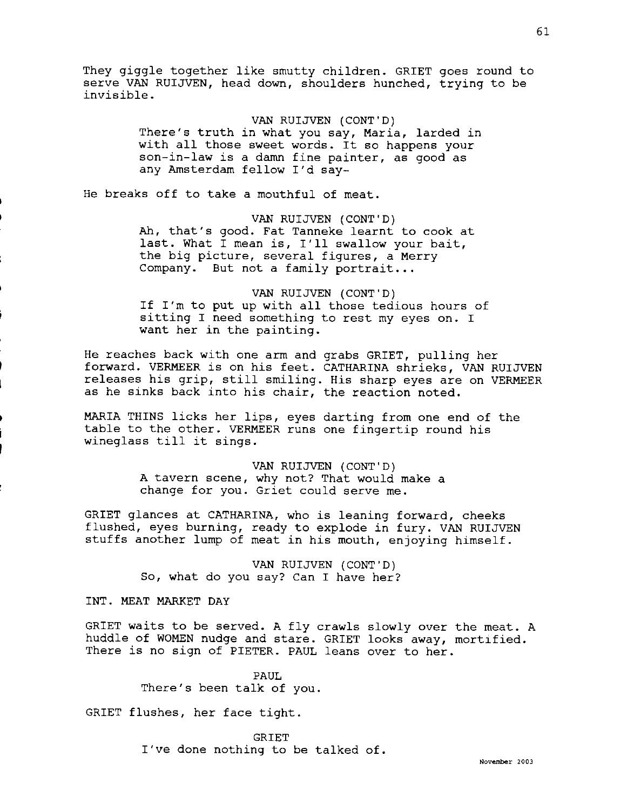They giggle together like smutty children. GRIET goes round to serve VAN RUIJVEN, head down, shoulders hunched, trying to be invisible.

## VAN RUIJVEN (CONT'D)

There's truth in what you say, Maria, larded in with all those sweet words. It so happens your son-in-law is a damn fine painter, as good as any Amsterdam fellow I'd say-

He breaks off to take a mouthful of meat.

VAN RUIJVEN (CONT'D)

Ah, that's good. Fat Tanneke learnt to cook at last. What I mean is, I'll swallow your bait, the big picture, several figures, a Merry Company. But not a family portrait...

VAN RUIJVEN (CONT'D) If I'm to put up with all those tedious hours of sitting I need something to rest my eyes on. I want her in the painting.

He reaches back with one arm and grabs GRIET, pulling her forward. VERMEER is on his feet. CATHARINA shrieks, VAN RUIJVEN releases his grip, still smiling. His sharp eyes are on VERMEER as he sinks back into his chair, the reaction noted.

MARIA THINS licks her lips, eyes darting from one end of the table to the other. VERMEER runs one fingertip round his wineglass till it sings.

> VAN RUIJVEN (CONT'D) A tavern scene, why not? That would make a change for you. Griet could serve me.

GRIET glances at CATHARINA, who is leaning forward, cheeks flushed, eyes burning, ready to explode in fury. VAN RUIJVEN stuffs another lump of meat in his mouth, enjoying himself.

> VAN RUIJVEN (CONT'D) So, what do you say? Can I have her?

INT. MEAT MARKET DAY

GRIET waits to be served. A fly crawls slowly over the meat. A huddle of WOMEN nudge and stare. GRIET looks away, mortified. There is no sign of PIETER. PAUL leans over to her.

> PAUL There's been talk of you.

GRIET flushes, her face tight.

GRIET I've done nothing to be talked of.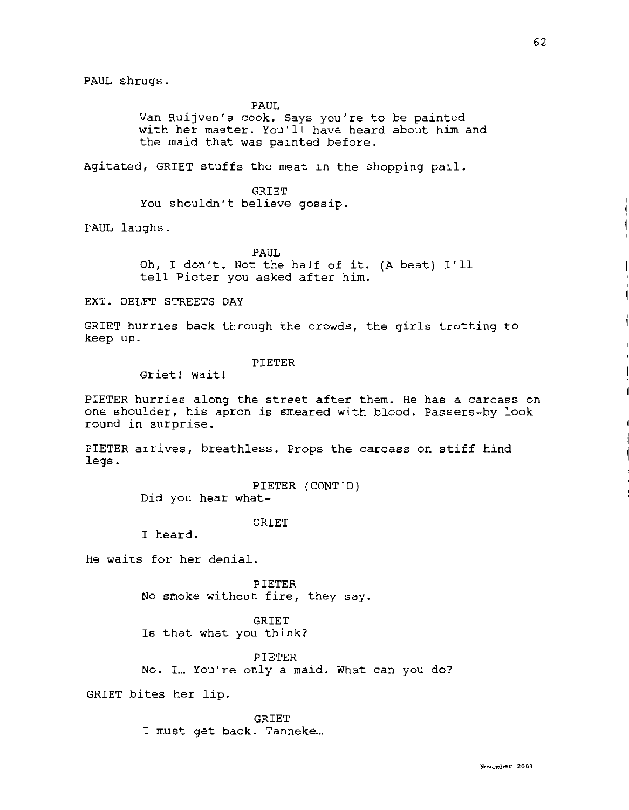PAUL

Van Ruijven's cook. Says you're to be painted with her master. You'll have heard about him and the maid that was painted before.

Agitated, GRIET stuffs the meat in the shopping pail.

GRIET You shouldn't believe gossip.

PAUL laughs.

PAUL

Oh, I don't. Not the half of it. (A beat) I'll tell Pieter you asked after him.

EXT. DELFT STREETS DAY

GRIET hurries back through the crowds, the girls trotting to keep up.

# PIETER

Griet! Wait!

PIETER hurries along the street after them. He has a carcass on one shoulder, his apron is smeared with blood. Passers-by look round in surprise.

PIETER arrives, breathless. Props the carcass on stiff hind legs.

> PIETER (CONT'D) Did you hear what-

> > GRIET

I heard.

He waits for her denial.

PIETER No smoke without fire, they say.

GRIET Is that what you think?

PIETER No. I... You' re only a maid. What can you do?

GRIET bites her lip.

GRIET I must get back. Tanneke...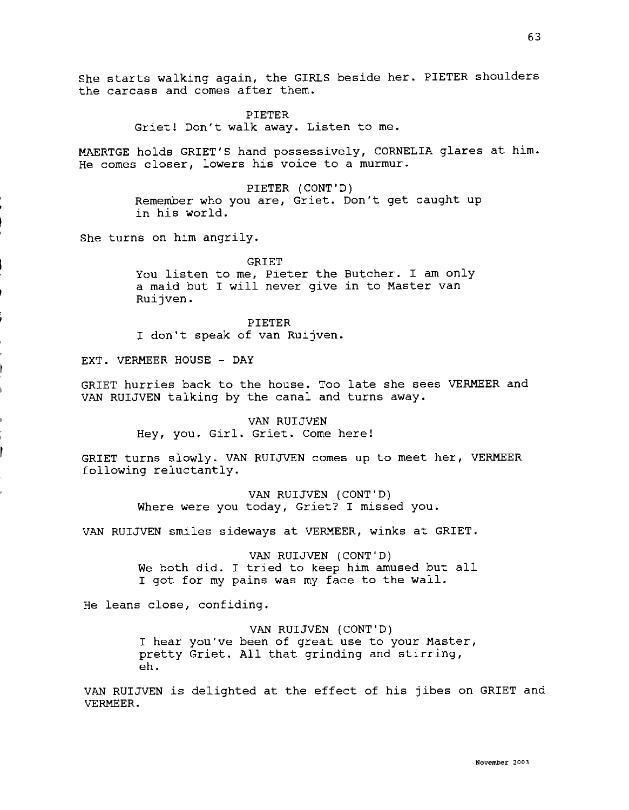She starts walking again, the GIRLS beside her. PIETER shoulders the carcass and comes after them.

> PIETER Griet! Don't walk away. Listen to me.

MAERTGE holds GRIET'S hand possessively, CORNELIA glares at him. He comes closer, lowers his voice to a murmur.

> PIETER (CONT'D) Remember who you are, Griet. Don't get caught up in his world.

She turns on him angrily.

GRIET You listen to me, Pieter the Butcher. I am only a maid but I will never give in to Master van Ruijven.

PIETER I don't speak of van Ruijven.

EXT. VERMEER HOUSE - DAY

GRIET hurries back to the house. Too late she sees VERMEER and VAN RUIJVEN talking by the canal and turns away.

> VAN RUIJVEN Hey, you. Girl. Griet. Come here!

GRIET turns slowly. VAN RUIJVEN comes up to meet her, VERMEER following reluctantly.

> VAN RUIJVEN (CONT'D) Where were you today, Griet? I missed you.

VAN RUIJVEN smiles sideways at VERMEER, winks at GRIET.

VAN RUIJVEN (CONT'D) We both did. I tried to keep him amused but all I got for my pains was my face to the wall.

He leans close, confiding.

VAN RUIJVEN (CONT'D) I hear you've been of great use to your Master, pretty Griet. All that grinding and stirring, eh.

VAN RUIJVEN is delighted at the effect of his jibes on GRIET and VERMEER.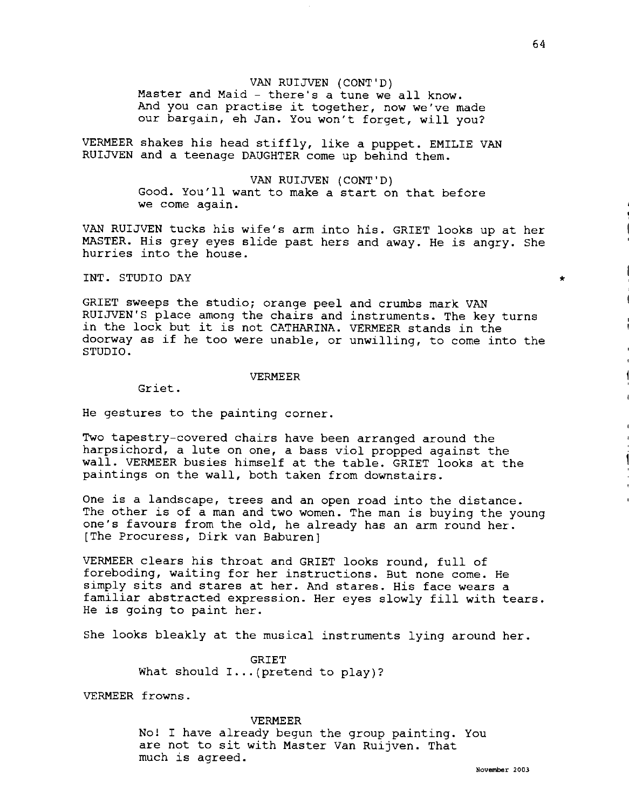# VAN RUIJVEN (CONT'D)

Master and Maid - there's a tune we all know. And you can practise it together, now we've made our bargain, eh Jan. You won't forget, will you?

VERMEER shakes his head stiffly, like a puppet. EMILIE VAN RUIJVEN and a teenage DAUGHTER come up behind them.

#### VAN RUIJVEN (CONT'D)

Good. You'll want to make a start on that before we come again.

VAN RUIJVEN tucks his wife's arm into his. GRIET looks up at her MASTER. His grey eyes slide past hers and away. He is angry. She hurries into the house.

INT. STUDIO DAY

GRIET sweeps the studio; orange peel and crumbs mark VAN RUIJVEN'S place among the chairs and instruments. The key turns in the lock but it is not CATHARINA. VERMEER stands in the doorway as if he too were unable, or unwilling, to come into the STUDIO.

## VERMEER

Griet.

He gestures to the painting corner.

Two tapestry-covered chairs have been arranged around the harpsichord, a lute on one, a bass viol propped against the wall. VERMEER busies himself at the table. GRIET looks at the paintings on the wall, both taken from downstairs.

One is a landscape, trees and an open road into the distance. The other is of a man and two women. The man is buying the young one's favours from the old, he already has an arm round her. [The Procuress, Dirk van Baburen]

VERMEER clears his throat and GRIET looks round, full of foreboding, waiting for her instructions. But none come. He simply sits and stares at her. And stares. His face wears a familiar abstracted expression. Her eyes slowly fill with tears. He is going to paint her.

She looks bleakly at the musical instruments lying around her.

GRIET What should  $I...$  (pretend to play)?

VERMEER frowns.

## VERMEER

No! I have already begun the group painting. You are not to sit with Master Van Ruijven. That much is agreed.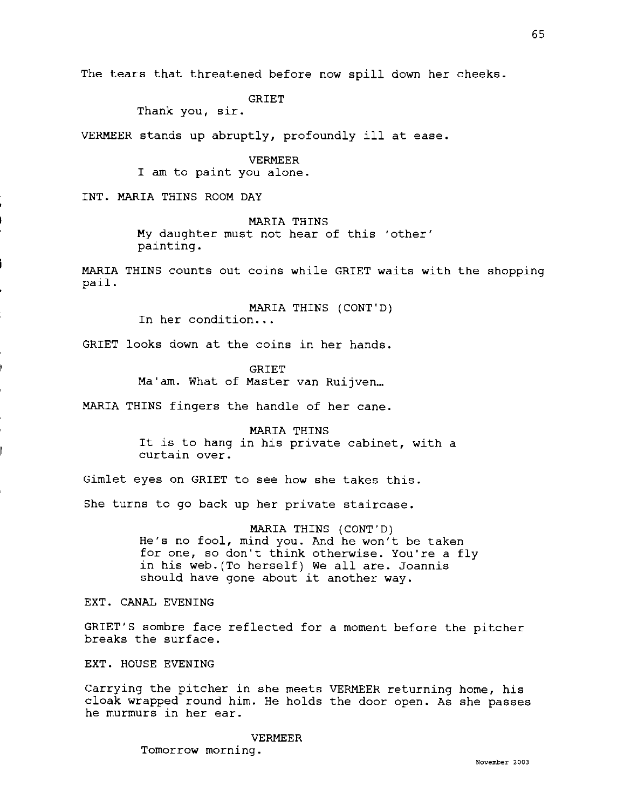The tears that threatened before now spill down her cheeks.

GRIET

Thank you, sir.

VERMEER stands up abruptly, profoundly ill at ease.

VERMEER I am to paint you alone.

INT. **MARIA** THINS ROOM DAY

**MARIA** THINS **My** daughter must not hear of this 'other' painting.

MARIA THINS counts out coins while GRIET waits with the shopping pail.

> MARIA THINS (CONT'D) In her condition...

GRIET looks down at the coins in her hands.

**GRIET** Ma'am. What of Master van Ruijven...

MARIA THINS fingers the handle of her cane.

MARIA THINS It is to hang in his private cabinet, with a curtain over.

Gimlet eyes on GRIET to see how she takes this.

She turns to go back up her private staircase.

MARIA THINS (CONT'D) He's no fool, mind you. And he won't be taken for one, so don't think otherwise. You're a fly in his web.(To herself) We all are. Joannis should have gone about it another way.

EXT. CANAL EVENING

GRIET'S sombre face reflected for a moment before the pitcher breaks the surface.

EXT. HOUSE EVENING

Carrying the pitcher in she meets VERMEER returning home, his cloak wrapped round him. He holds the door open. As she passes he murmurs in her ear.

> VERMEER Tomorrow morning.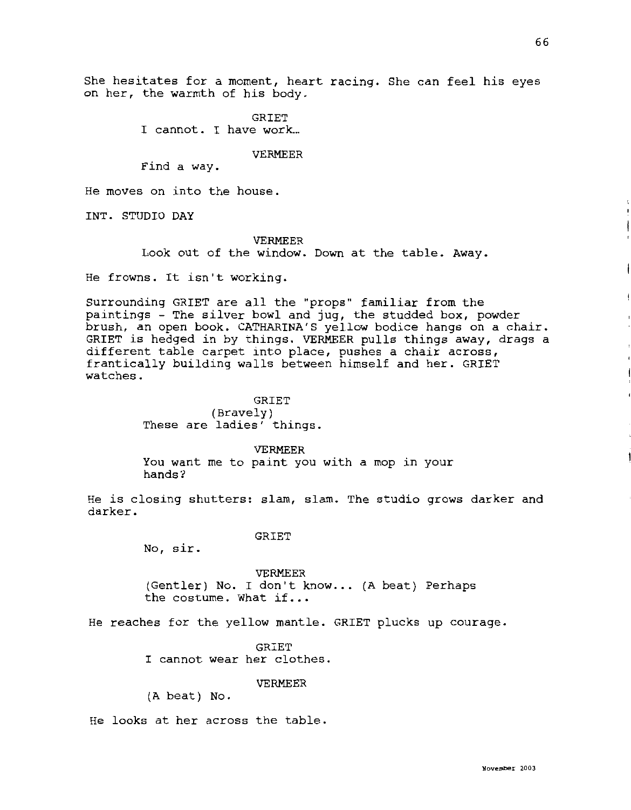She hesitates for a moment, heart racing. She can feel his eyes on her, the warmth of his body.

> **GRIET** I cannot. I have work...

# VERMEER

Find a way.

He moves on into the house.

INT. STUDIO DAY

# VERMEER

Look out of the window. Down at the table. Away.

He frowns. It isn't working.

Surrounding GRIET are all the "props" familiar from the paintings - The silver bowl and jug, the studded box, powder brush, an open book. CATHARINA'S yellow bodice hangs on a chair. GRIET is hedged in by things. VERMEER pulls things away, drags a different table carpet into place, pushes a chair across, frantically building walls between himself and her. GRIET watches.

> **GRIET** (Bravely) These are ladies' things.

> > VERMEER

You want me to paint you with a mop in your hands?

He is closing shutters: slam, slam. The studio grows darker and darker.

## **GRIET**

No, sir.

VERMEER (Gentler) No. I don't know... (A beat) Perhaps the costume. What if...

He reaches for the yellow mantle. GRIET plucks up courage.

**GRIET** I cannot wear her clothes.

# VERMEER

{A beat) No.

He looks at her across the table.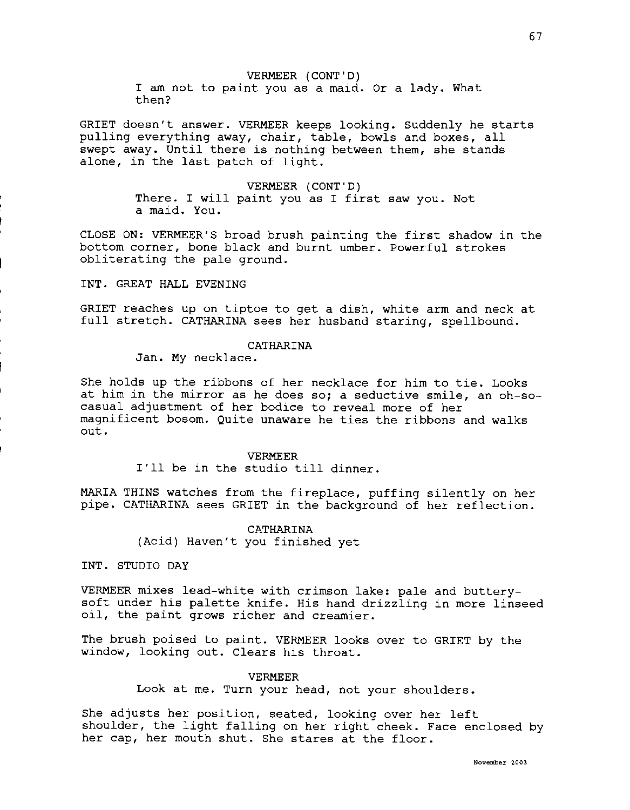VERMEER (CONT'D) I am not to paint you as a maid. Or a lady. What then?

GRIET doesn't answer. VERMEER keeps looking. Suddenly he starts pulling everything away, chair, table, bowls and boxes, all swept away. Until there is nothing between them, she stands alone, in the last patch of light.

> VERMEER (CONT'D) There. I will paint you as I first saw you. Not a maid. You.

CLOSE ON: VERMEER'S broad brush painting the first shadow in the bottom corner, bone black and burnt umber. Powerful strokes obliterating the pale ground.

INT. GREAT HALL EVENING

GRIET reaches up on tiptoe to get a dish, white arm and neck at full stretch. CATHARINA sees her husband staring, spellbound.

# CATHARINA

Jan. My necklace.

She holds up the ribbons of her necklace for him to tie. Looks at him in the mirror as he does so; a seductive smile, an oh-socasual adjustment of her bodice to reveal more of her magnificent bosom. Quite unaware he ties the ribbons and walks out.

> VERMEER I'll be in the studio till dinner.

MARIA THINS watches from the fireplace, puffing silently on her pipe. CATHARINA sees GRIET in the background of her reflection.

> CATHARINA (Acid) Haven't you finished yet

INT. STUDIO DAY

VERMEER mixes lead-white with crimson lake: pale and butterysoft under his palette knife. His hand drizzling in more linseed oil, the paint grows richer and creamier.

The brush poised to paint. VERMEER looks over to GRIET by the window, looking out. Clears his throat.

VERMEER

Look at me. Turn your head, not your shoulders.

She adjusts her position, seated, looking over her left shoulder, the light falling on her right cheek. Face enclosed by her cap, her mouth shut. She stares at the floor.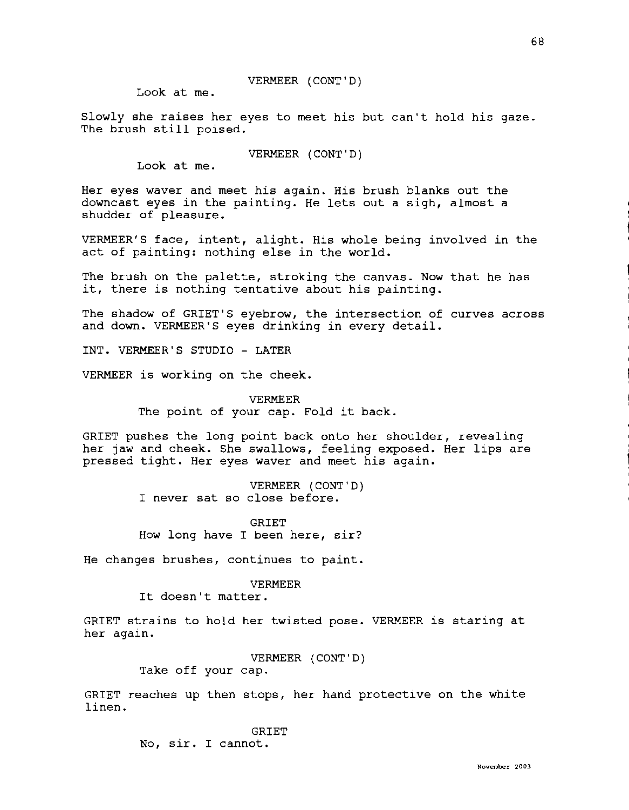# VERMEER (CONT'D)

Look at me.

Slowly she raises her eyes to meet his but can't hold his gaze. The brush still poised.

VERMEER (CONT'D)

Look at me.

Her eyes waver and meet his again. His brush blanks out the downcast eyes *in* the painting. He lets out a sigh, almost a shudder of pleasure.

VERMEER'S face, intent, alight. His whole being involved *in* the act of painting: nothing else *in* the world.

The brush on the palette, stroking the canvas. Now that he has it, there is nothing tentative about his painting.

The shadow of GRIET'S eyebrow, the intersection of curves across and down. VERMEER'S eyes drinking *in* every detail.

INT. VERMEER'S STUDIO - LATER

VERMEER is working on the cheek.

VERMEER The point of your cap. Fold it back.

GRIET pushes the long point back onto her shoulder, revealing her jaw and cheek. She swallows, feeling exposed. Her lips are pressed tight. Her eyes waver and meet his again.

> VERMEER (CONT'D) I never sat so close before.

> GRIET How long have I been here, sir?

He changes brushes, continues to paint.

## VERMEER

It doesn't matter.

GRIET strains to hold her twisted pose. VERMEER is staring at her again.

VERMEER (CONT'D)

Take off your cap.

GRIET reaches up then stops, her hand protective on the white linen.

> GRIET No, sir. I cannot.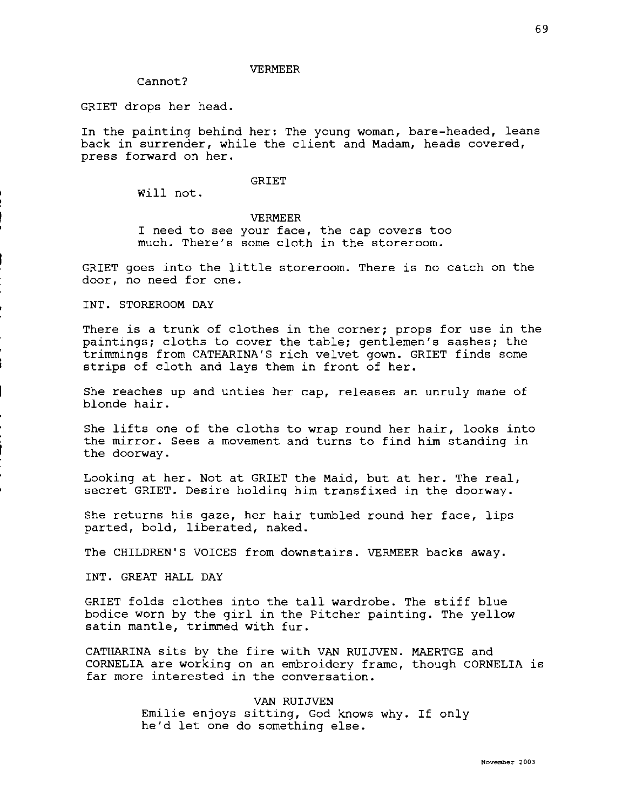### VERMEER

Cannot?

GRIET drops her head.

In the painting behind her: The young woman, bare-headed, leans back in surrender, while the client and Madam, heads covered, press forward on her.

# GRIET

Will not.

## VERMEER

I need to see your face, the cap covers too much. There's some cloth in the storeroom.

GRIET goes into the little storeroom. There is no catch on the door, no need for one.

INT. STOREROOM DAY

There is a trunk of clothes in the corner; props for use in the paintings; cloths to cover the table; gentlemen's sashes; the trimmings from CATHARINA'S rich velvet gown. GRIET finds some strips of cloth and lays them in front of her.

She reaches up and unties her cap, releases an unruly mane of blonde hair.

She lifts one of the cloths to wrap round her hair, looks into the mirror. Sees a movement and turns to find him standing in the doorway.

Looking at her. Not at GRIET the Maid, but at her. The real, secret GRIET. Desire holding him transfixed in the doorway.

She returns his gaze, her hair tumbled round her face, lips parted, bold, liberated, naked.

The CHILDREN'S VOICES from downstairs. VERMEER backs away.

INT. GREAT HALL DAY

GRIET folds clothes into the tall wardrobe. The stiff blue bodice worn by the girl in the Pitcher painting. The yellow satin mantle, trimmed with fur.

CATHARINA sits by the fire with VAN RUIJVEN. MAERTGE and CORNELIA are working on an embroidery frame, though CORNELIA is far more interested in the conversation.

> VAN RUIJVEN Emilie enjoys sitting, God knows why. If only he'd let one do something else.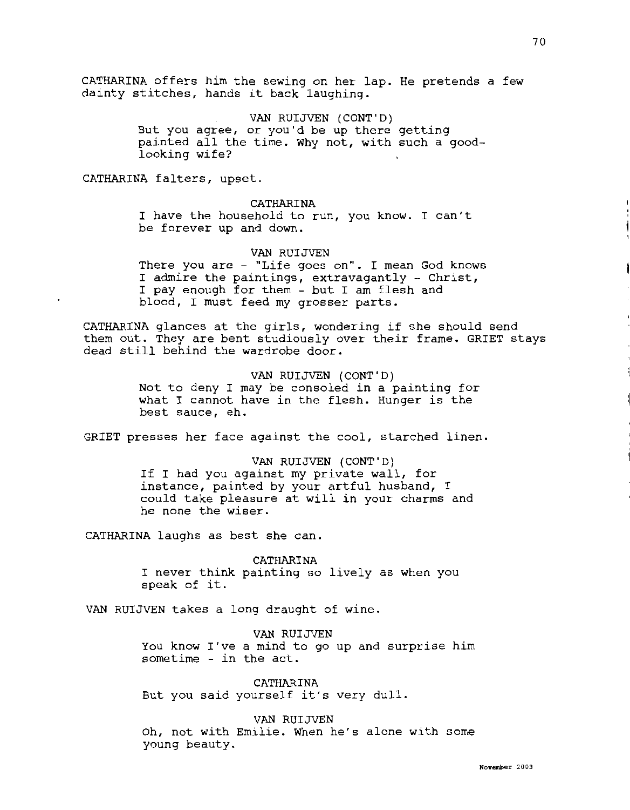CATHARINA offers him the sewing on her lap. He pretends a few dainty stitches, hands it back laughing.

> VAN RUIJVEN (CONT'D) But you agree, or you'd be up there getting painted all the time. Why not, with such a goodlooking wife?

CATHARINA falters, upset.

# CATHARINA

I have the household to run, you know. I can't be forever up and down.

# VAN RUIJVEN

There you are - "Life goes on". I mean God knows I admire the paintings, extravagantly - Christ, I pay enough for them - but I am flesh and blood, I must feed my grosser parts.

CATHARINA glances at the girls, wondering if she should send them out. They are bent studiously over their frame. GRIET stays dead still behind the wardrobe door.

> VAN RUIJVEN (CONT'D) Not to deny I may be consoled in a painting for what I cannot have in the flesh. Hunger is the best sauce, eh.

GRIET presses her face against the cool, starched linen.

VAN RUIJVEN (CONT'D) If I had you against my private wall, for instance, painted by your artful husband, I could take pleasure at will in your charms and he none the wiser.

CATHARINA laughs as best she can.

CATHARINA I never think painting so lively as when you speak of it.

VAN RUIJVEN takes a long draught of wine.

VAN RUIJVEN You know I've a mind to go up and surprise him sometime - in the act.

CATHARINA But you said yourself it's very dull.

## VAN RUIJVEN

Oh, not with Emilie. When he's alone with some young beauty.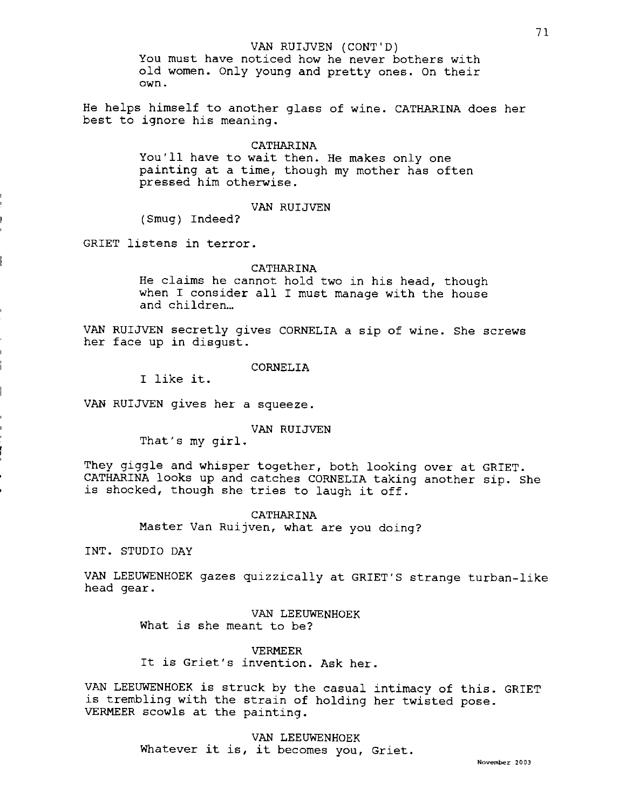VAN RUIJVEN (CONT'D)

You must have noticed how he never bothers with old women. Only young and pretty ones. On their own.

He helps himself to another glass of wine. CATHARINA does her best to ignore his meaning.

## CATHARINA

You'll have to wait then. He makes only one painting at a time, though my mother has often pressed him otherwise.

# VAN RUIJVEN

(Smug) Indeed?

GRIET listens in terror.

# **CATHARINA**

He claims he cannot hold two in his head, though when I consider all I must manage with the house and children...

VAN RUIJVEN secretly gives CORNELIA a sip of wine. She screws her face up in disgust.

CORNELIA

I like it.

VAN RUIJVEN gives her a squeeze.

VAN RUIJVEN

That's my girl.

They giggle and whisper together, both looking over at GRIET. CATHARINA looks up and catches CORNELIA taking another sip. She is shocked, though she tries to laugh it off.

> CATHARINA Master Van Ruijven, what are you doing?

INT. STUDIO DAY

VAN LEEUWENHOEK gazes quizzically at GRIET'S strange turban-like head gear.

> VAN LEEUWENHOEK What is she meant to be?

VERMEER It is Griet's invention. Ask her.

VAN LEEUWENHOEK is struck by the casual intimacy of this. GRIET is trembling with the strain of holding her twisted pose. VERMEER scowls at the painting.

> VAN LEEUWENHOEK Whatever it is, it becomes you, Griet.

**November 2003**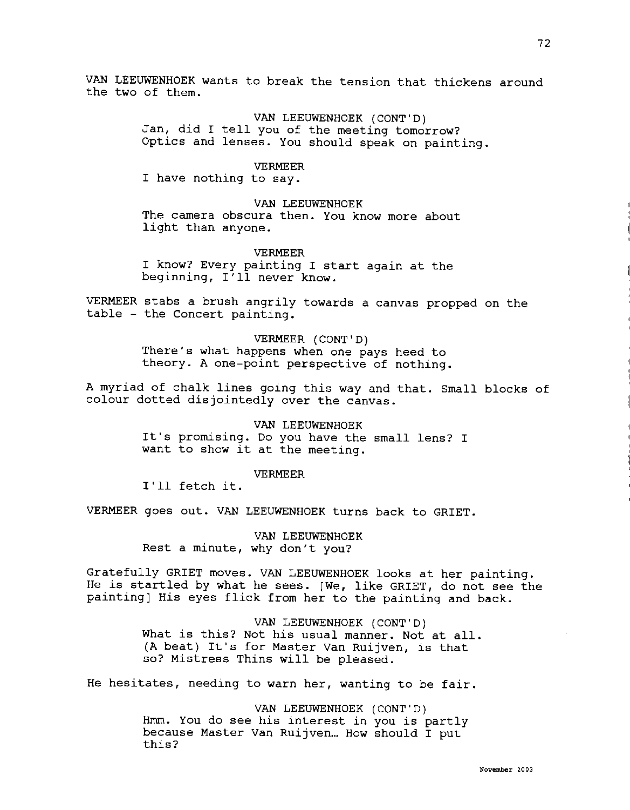VAN LEEUWENHOEK wants to break the tension that thickens around the two of them.

> VAN LEEUWENHOEK (CONT'D) Jan, did I tell you of the meeting tomorrow? Optics and lenses. You should speak on painting.

> > VERMEER

I have nothing to say.

## VAN LEEUWENHOEK

The camera obscura then. You know more about light than anyone.

## VERMEER

I know? Every painting I start again at the beginning, I'll never know.

VERMEER stabs a brush angrily towards a canvas propped on the table - the Concert painting.

## VERMEER (CONT'D)

There's what happens when one pays heed to theory. A one-point perspective of nothing.

A myriad of chalk lines going this way and that. Small blocks of colour dotted disjointedly over the canvas.

> VAN LEEUWENHOEK It's promising. Do you have the small lens? I want to show it at the meeting.

## VERMEER

I'll fetch it.

VERMEER goes out. VAN LEEUWENHOEK turns back to GRIET.

VAN LEEUWENHOEK Rest a minute, why don't you?

Gratefully GRIET moves. VAN LEEUWENHOEK looks at her painting. He is startled by what he sees. [We, like GRIET, do not see the painting] His eyes flick from her to the painting and back.

> VAN LEEUWENHOEK (CONT'D) What is this? Not his usual manner. Not at all. (A beat) It's for Master Van Ruijven, is that so? Mistress Thins will be pleased.

He hesitates, needing to warn her, wanting to be fair.

VAN LEEUWENHOEK (CONT'D) Hmm. You do see his interest in you is partly because Master Van Ruijven... How should I put this?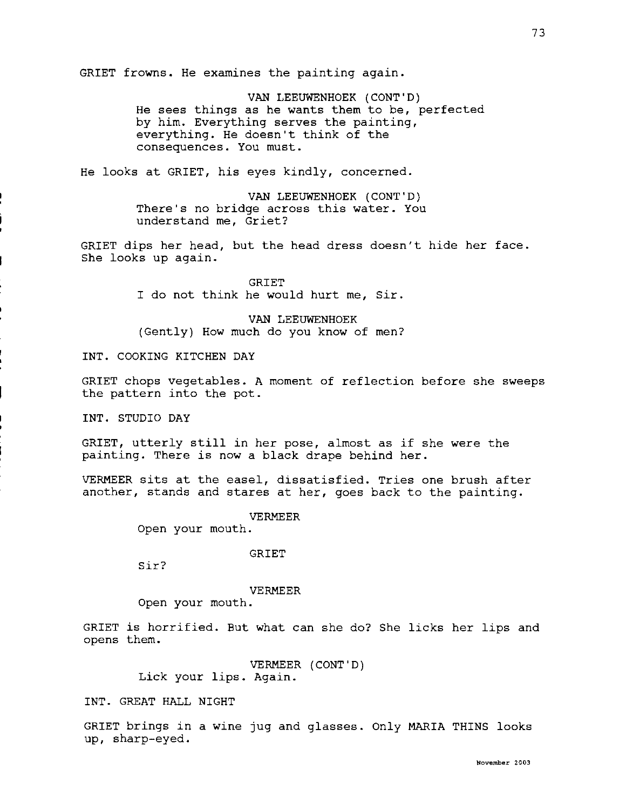GRIET frowns. He examines the painting again.

VAN LEEUWENHOEK (CONT'D) He sees things as he wants them to be, perfected by him. Everything serves the painting, everything. He doesn't think of the consequences. You must.

He looks at GRIET, his eyes kindly, concerned.

VAN LEEUWENHOEK (CONT'D) There's no bridge across this water. You understand me, Griet?

GRIET dips her head, but the head dress doesn't hide her face. She looks up again.

> GRIET I do not think he would hurt me, Sir.

> VAN LEEUWENHOEK (Gently) How much do you know of men?

INT. COOKING KITCHEN DAY

GRIET chops vegetables. A moment of reflection before she sweeps the pattern into the pot.

INT. STUDIO DAY

GRIET, utterly still in her pose, almost as if she were the painting. There is now a black drape behind her.

VERMEER sits at the easel, dissatisfied. Tries one brush after another, stands and stares at her, goes back to the painting.

VERMEER

Open your mouth.

GRIET

Sir?

VERMEER

Open your mouth.

GRIET is horrified. But what can she do? She licks her lips and opens them.

> VERMEER (CONT'D) Lick your lips. Again.

INT. GREAT HALL NIGHT

GRIET brings in a wine jug and glasses. Only MARIA THINS looks up, sharp-eyed.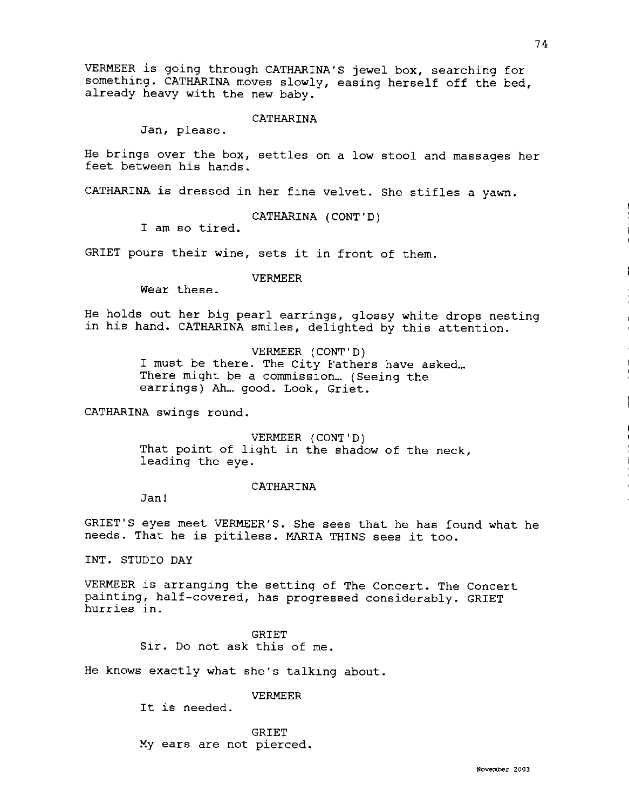VERMEER is going through CATHARINA'S jewel box, searching for something. CATHARINA moves slowly, easing herself off the bed, already heavy with the new baby.

CATHARINA

Jan, please.

He brings over the box, settles on a low stool and massages her feet between his hands.

CATHARINA is dressed in her fine velvet. She stifles a yawn.

CATHARINA (CONT'D)

I am so tired.

GRIET pours their wine, sets it in front of them.

VERMEER

Wear these.

He holds out her big pearl earrings, glossy white drops nesting in his hand. CATHARINA smiles, delighted by this attention.

> VERMEER (CONT'D) I must be there. The City Fathers have asked...<br>There might be a commission... (Seeing the earrings) Ah... good. Look, Griet.

CATHARINA swings round.

VERMEER (CONT'D) That point of light in the shadow of the neck, leading the eye.

CATHARINA

Jan!

GRIET'S eyes meet VERMEER'S. She sees that he has found what he needs. That he is pitiless. MARIA THINS sees it too.

INT. STUDIO DAY

VERMEER is arranging the setting of The Concert. The Concert painting, half-covered, has progressed considerably. GRIET hurries in.

> GRIET Sir. Do not ask this of me.

He knows exactly what she's talking about.

VERMEER

It is needed.

GRIET My ears are not pierced.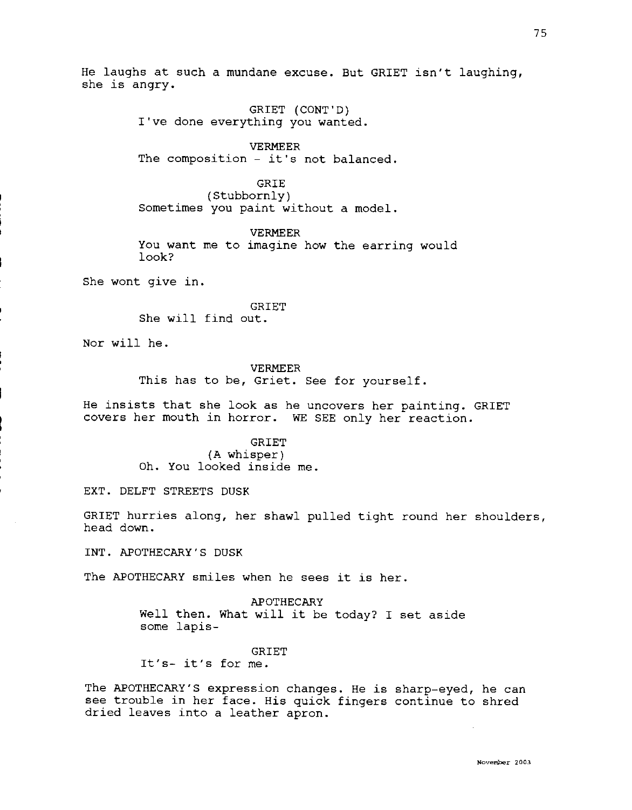He laughs at such a mundane excuse. But GRIET isn't laughing, she is angry.

> GRIET (CONT'D) I've done everything you wanted.

VERMEER The composition - it's not balanced.

GRIE

(Stubbornly) Sometimes you paint without a model.

VERMEER

You want me to imagine how the earring would look?

She wont give in.

**GRIET** She will find out.

Nor will he.

VERMEER This has to be, Griet. See for yourself.

He insists that she look as he uncovers her painting. GRIET covers her mouth in horror. WE SEE only her reaction.

> GRIET (A whisper) Oh. You looked inside me.

EXT. DELFT STREETS DUSK

GRIET hurries along, her shawl pulled tight round her shoulders, head down.

INT. APOTHECARY'S DUSK

The APOTHECARY smiles when he sees it is her.

APOTHECARY Well then. What will it be today? I set aside some lapis-

### GRIET

It's- it's for me.

The APOTHECARY'S expression changes. He is sharp-eyed, he can see trouble in her face. His quick fingers continue to shred dried leaves into a leather apron.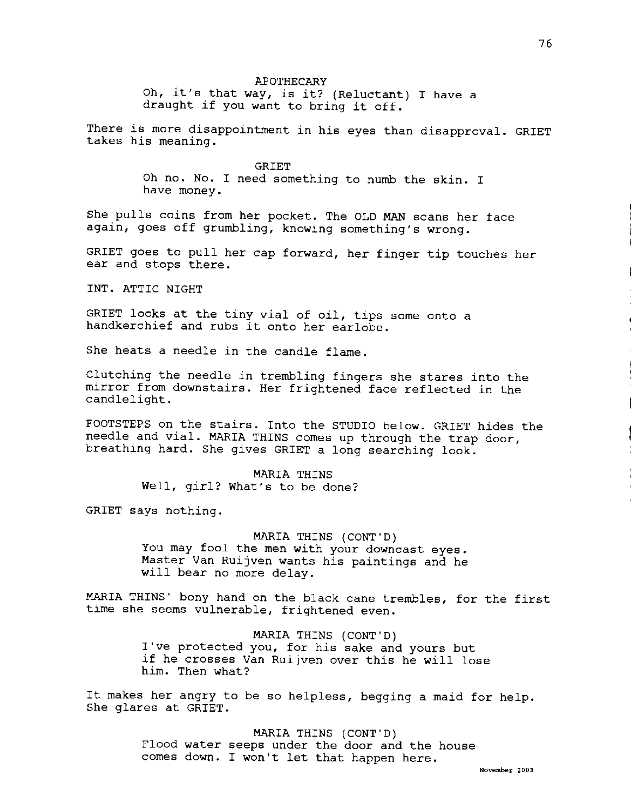#### APOTHECARY

Oh, it's that way, is it? (Reluctant) I have a draught if you want to bring it off.

There is more disappointment in his eyes than disapproval. GRIET takes his meaning.

**GRIET** 

Oh no. No. I need something to numb the skin. I have money.

She pulls coins from her pocket. The OLD MAN scans her face again, goes off grumbling, knowing something's wrong.

GRIET goes to pull her cap forward, her finger tip touches her ear and stops there.

INT. ATTIC NIGHT

GRIET looks at the tiny vial of oil, tips some onto a handkerchief and rubs it onto her earlobe.

She heats a needle in the candle flame.

Clutching the needle in trembling fingers she stares into the mirror from downstairs. Her frightened face reflected in the candlelight.

FOOTSTEPS on the stairs. Into the STUDIO below. GRIET hides the needle and vial. MARIA THINS comes up through the trap door, breathing hard. She gives GRIET a long searching look.

> MARIA THINS Well, girl? What's to be done?

GRIET says nothing.

**MARIA** THINS (CONT'D) You may fool the men with your downcast eyes. Master Van Ruijven wants his paintings and he will bear no more delay.

MARIA THINS' bony hand on the black cane trembles, for the first time she seems vulnerable, frightened even.

> MARIA THINS (CONT'D) I've protected you, for his sake and yours but if he crosses Van Ruijven over this he will lose him. Then what?

It makes her angry to be so helpless, begging a maid for help. She glares at GRIET.

> MARIA THINS (CONT'D) Flood water seeps under the door and the house comes down. I won't let that happen here.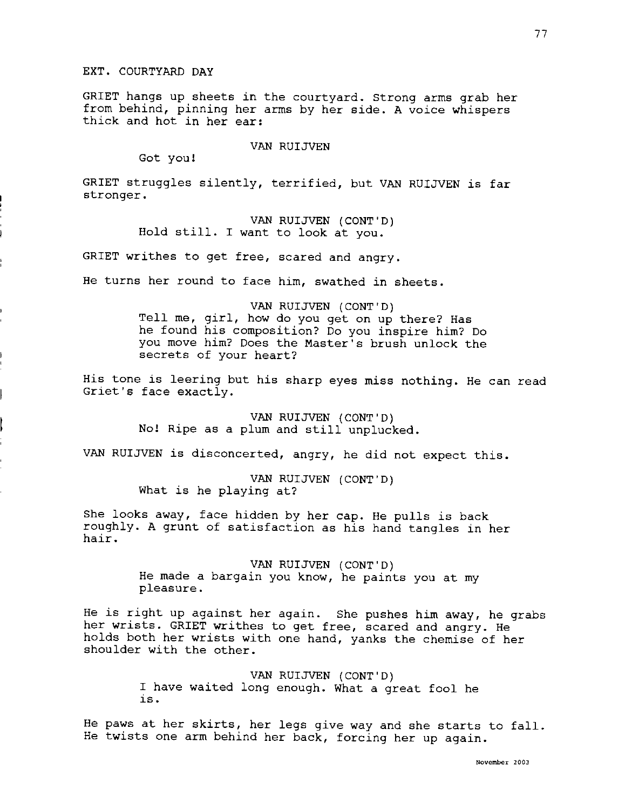GRIET hangs up sheets in the courtyard. Strong arms grab her from behind, pinning her arms by her side. A voice whispers thick and hot in her ear:

VAN RUIJVEN

Got you!

GRIET struggles silently, terrified, but VAN RUIJVEN is far stronger.

> VAN RUIJVEN (CONT'D) Hold still. I want to look at you.

GRIET writhes to get free, scared and angry.

He turns her round to face him, swathed in sheets.

VAN RUIJVEN (CONT'D) Tell me, girl, how do you get on up there? Has he found his composition? Do you inspire him? Do you move him? Does the Master's brush unlock the secrets of your heart?

His tone is leering but his sharp eyes miss nothing. He can read Griet's face exactly.

> VAN RUIJVEN (CONT'D) No! Ripe as a plum and still unplucked.

VAN RUIJVEN is disconcerted, angry, he did not expect this.

VAN RUIJVEN (CONT'D) What is he playing at?

She looks away, face hidden by her cap. He pulls is back roughly. A grunt of satisfaction as his hand tangles in her hair.

> VAN RUIJVEN (CONT'D) He made a bargain you know, he paints you at my pleasure.

He is right up against her again. She pushes him away, he grabs her wrists. GRIET writhes to get free, scared and angry. He holds both her wrists with one hand, yanks the chemise of her shoulder with the other.

> VAN RUIJVEN (CONT'D) I have waited long enough. What a great fool he is.

He paws at her skirts, her legs give way and she starts to fall. He twists one arm behind her back, forcing her up again.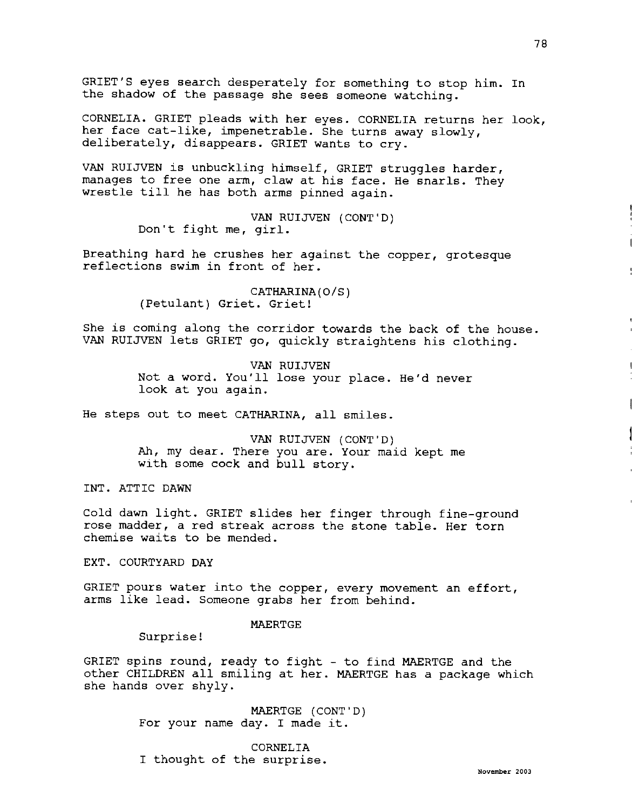GRIET'S eyes search desperately for something to stop him. In the shadow of the passage she sees someone watching.

CORNELIA. GRIET pleads with her eyes. CORNELIA returns her look, her face cat-like, impenetrable. She turns away slowly, deliberately, disappears. GRIET wants to cry.

VAN RUIJVEN is unbuckling himself, GRIET struggles harder, manages to free one arm, claw at his face. He snarls. They wrestle till he has both arms pinned again.

> VAN RUIJVEN (CONT'D) Don't fight me, girl.

Breathing hard he crushes her against the copper, grotesque reflections swim in front of her.

> CATHARINA(O/S) (Petulant) Griet. Griet!

She is coming along the corridor towards the back of the house. VAN RUIJVEN lets GRIET go, quickly straightens his clothing.

> VAN RUIJVEN Not a word. You'll lose your place. He'd never look at you again.

He steps out to meet CATHARINA, all smiles.

VAN RUIJVEN (CONT'D) Ah, my dear. There you are. Your maid kept me with some cock and bull story.

INT. ATTIC DAWN

Cold dawn light. GRIET slides her finger through fine-ground rose madder, a red streak across the stone table. Her torn chemise waits to be mended.

EXT. COURTYARD DAY

GRIET pours water into the copper, every movement an effort, arms like lead. Someone grabs her from behind.

## MAERTGE

Surprise!

GRIET spins round, ready to fight - to find MAERTGE and the other CHILDREN all smiling at her. MAERTGE has a package which she hands over shyly.

> MAERTGE (CONT'D) For your name day. I made it.

CORNELIA I thought of the surprise.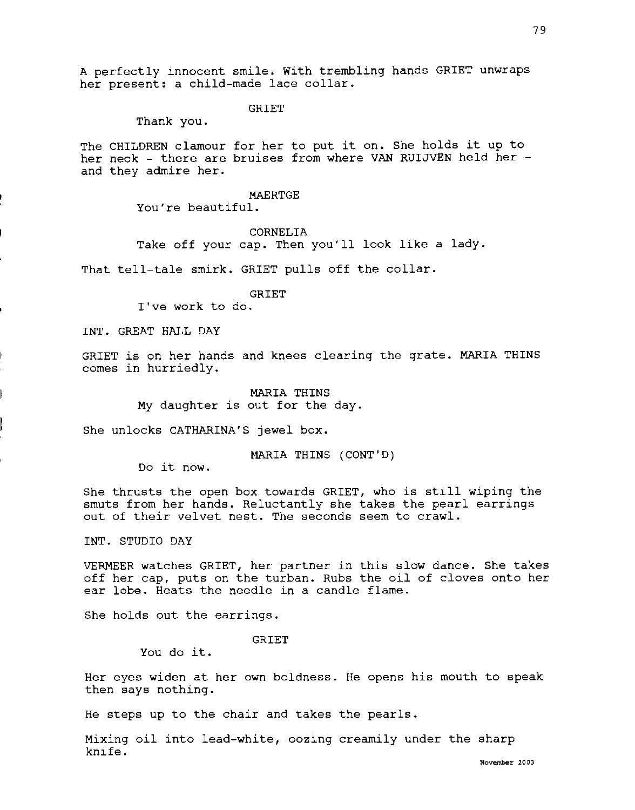79

A perfectly innocent smile. With trembling hands GRIET unwraps her present: a child-made lace collar.

GRIET

Thank you.

The CHILDREN clamour for her to put it on. She holds it up to her neck - there are bruises from where VAN RUIJVEN held her and they admire her.

#### MAERTGE

You're beautiful.

## CORNELIA

Take off your cap. Then you'll look like a lady.

That tell-tale smirk. GRIET pulls off the collar.

## GRIET

I've work to do.

INT. GREAT HALL DAY

GRIET is on her hands and knees clearing the grate. MARIA THINS comes in hurriedly.

> MARIA THINS My daughter is out for the day.

She unlocks CATHARINA'S jewel box.

MARIA THINS (CONT'D)

Do it now.

She thrusts the open box towards GRIET, who is still wiping the smuts from her hands. Reluctantly she takes the pearl earrings out of their velvet nest. The seconds seem to crawl.

INT. STUDIO DAY

VERMEER watches GRIET, her partner in this slow dance. She takes off her cap, puts on the turban. Rubs the oil of cloves onto her ear lobe. Heats the needle in a candle flame.

She holds out the earrings.

GRIET

You do it.

Her eyes widen at her own boldness. He opens his mouth to speak then says nothing.

He steps up to the chair and takes the pearls.

Mixing oil into lead-white, oozing creamily under the sharp knife.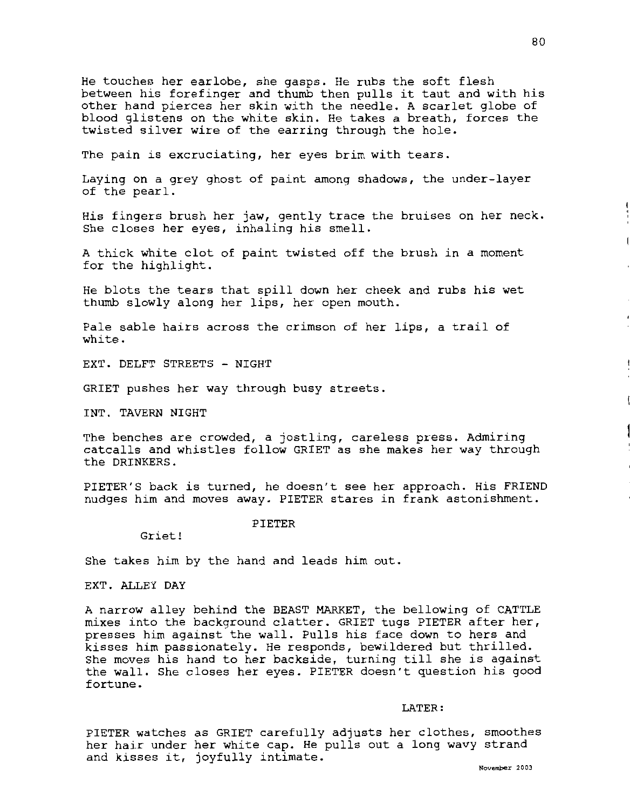He touches her earlobe, she gasps. He rubs the soft flesh between his forefinger and thumb then pulls it taut and with his other hand pierces her skin with the needle. A scarlet globe of blood glistens on the white skin. He takes a breath, forces the twisted silver wire of the earring through the hole.

The pain is excruciating, her eyes brim with tears.

Laying on a grey ghost of paint among shadows, the under-layer of the pearl.

His fingers brush her jaw, gently trace the bruises on her neck. She closes her eyes, inhaling his smell.

A thick white clot of paint twisted off the brush in a moment for the highlight.

He blots the tears that spill down her cheek and rubs his wet thumb slowly along her lips, her open mouth.

Pale sable hairs across the crimson of her lips, a trail of white.

EXT. DELFT STREETS - NIGHT

GRIET pushes her way through busy streets.

INT. TAVERN NIGHT

The benches are crowded, a jostling, careless press. Admiring catcalls and whistles follow GRIET as she makes her way through the DRINKERS.

PIETER'S back is turned, he doesn't see her approach. His FRIEND nudges him and moves away. PIETER stares in frank astonishment.

Griet!

PIETER

She takes him by the hand and leads him out.

EXT. ALLEY DAY

A narrow alley behind the BEAST MARKET, the bellowing of CATTLE mixes into the background clatter. GRIET tugs PIETER after her, presses him against the wall. Pulls his face down to hers and kisses him passionately. He responds, bewildered but thrilled. She moves his hand to her backside, turning till she is against the wall. She closes her eyes. PIETER doesn't question his good fortune.

LATER:

PIETER watches as GRIET carefully adjusts her clothes, smoothes her hair under her white cap. He pulls out a long wavy strand ner hair under her white cap. He pulls out a long wavy strand<br>and kisses it, joyfully intimate.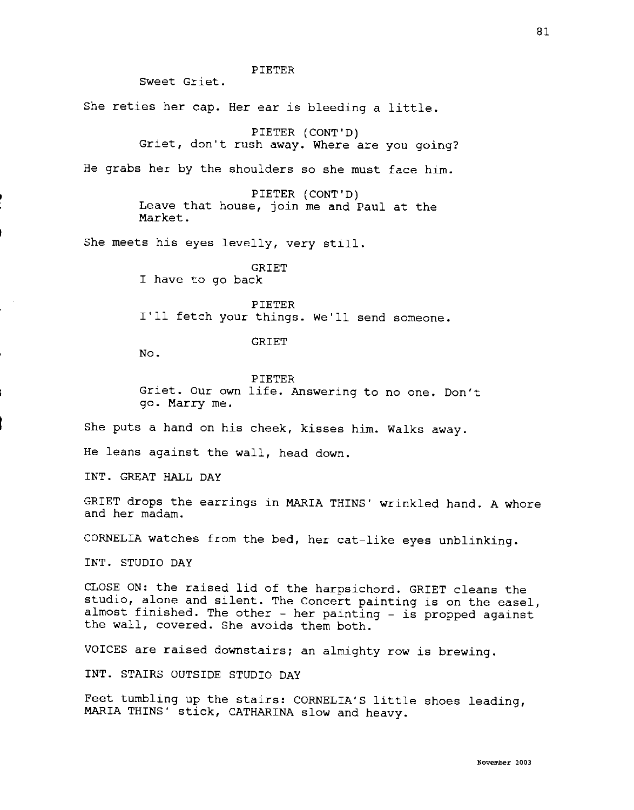PIETER

Sweet Griet.

She reties her cap. Her ear is bleeding a little.

PIETER (CONT'D)

Griet, don't rush away. Where are you going?

He grabs her by the shoulders so she must face him.

PIETER (CONT'D) Leave that house, join me and Paul at the Market.

She meets his eyes levelly, very still.

GRIET I have to go back

PIETER I'll fetch your things. We'll send someone.

GRIET

No.

PIETER Griet. Our own life. Answering to no one. Don't go. Marry me.

She puts a hand on his cheek, kisses him. Walks away.

He leans against the wall, head down.

INT. GREAT HALL DAY

GRIET drops the earrings in MARIA THINS' wrinkled hand. A whore and her madam.

CORNELIA watches from the bed, her cat-like eyes unblinking.

INT. STUDIO DAY

CLOSE ON: the raised lid of the harpsichord. GRIET cleans the studio, alone and silent. The Concert painting is on the easel, almost finished. The other - her painting - is propped against the wall, covered. She avoids them both.

VOICES are raised downstairs; an almighty row is brewing.

INT. STAIRS OUTSIDE STUDIO DAY

Feet tumbling up the stairs: CORNELIA'S little shoes leading, **MARIA** THINS' stick, CATHARINA slow and heavy.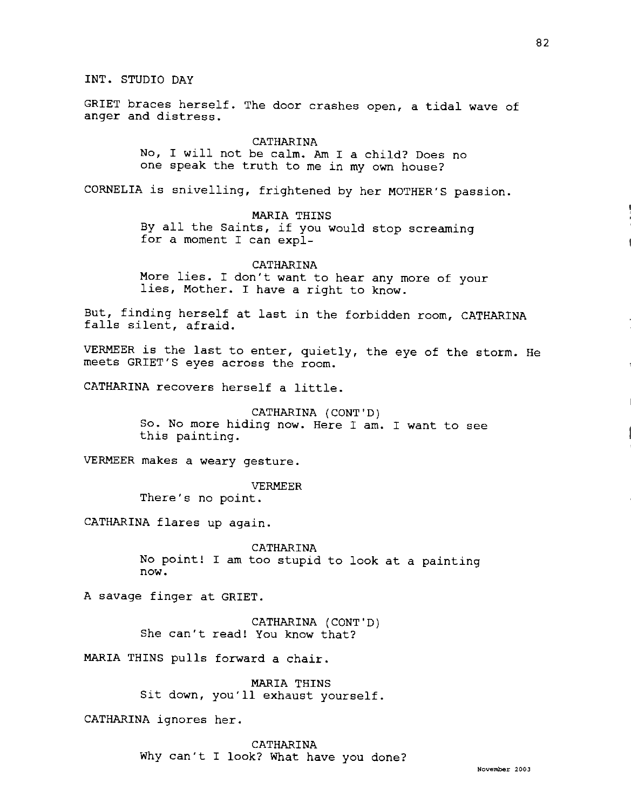INT. STUDIO DAY

GRIET braces herself. The door crashes open, a tidal wave of anger and distress.

> CATHARINA No, I will not be calm. Am I a child? Does no one speak the truth to me in my own house?

CORNELIA is snivelling, frightened by her MOTHER'S passion.

**MARIA** THINS

By all the Saints, if you would stop screaming for a moment I can expl-

CATHARINA More lies. I don't want to hear any more of your lies, Mother. I have a right to know.

But, finding herself at last in the forbidden room, CATHARINA falls silent, afraid.

VERMEER is the last to enter, quietly, the eye of the storm. He meets GRIET'S eyes across the room.

CATHARINA recovers herself a little.

CATHARINA (CONT'D) So. No more hiding now. Here I am. I want to see this painting.

VERMEER makes a weary gesture.

#### VERMEER

There's no point.

CATHARINA flares up again.

CATHARINA No point! I am too stupid to look at a painting now.

A savage finger at GRIET.

CATHARINA {CONT'D) She can't read! You know that?

MARIA THINS pulls forward a chair.

MARIA THINS Sit down, you'll exhaust yourself.

CATHARINA ignores her.

CATHARINA Why can't I look? What have you done?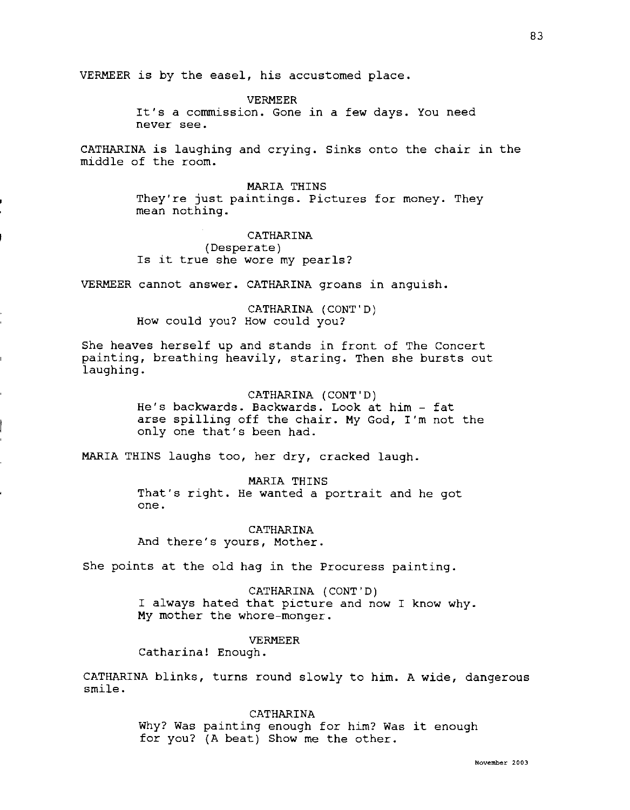VERMEER is by the easel, his accustomed place.

VERMEER

It's a commission. Gone in a few days. You need never see.

CATHARINA is laughing and crying. Sinks onto the chair in the middle of the room.

MARIA THINS

They're just paintings. Pictures for money. They mean nothing.

**CATHARINA** (Desperate) Is it true she wore my pearls?

VERMEER cannot answer. CATHARINA groans in anguish.

CATHARINA (CONT'D) How could you? How could you?

She heaves herself up and stands in front of The Concert painting, breathing heavily, staring. Then she bursts out laughing.

> CATHARINA (CONT'D) He's backwards. Backwards. Look at him - fat arse spilling off the chair. **My** God, I'm not the only one that's been had.

MARIA THINS laughs too, her dry, cracked laugh.

MARIA THINS That's right. He wanted a portrait and he got one.

CATHARINA And there's yours, Mother.

She points at the old hag in the Procuress painting.

CATHARINA (CONT'D) I always hated that picture and now I know why. My mother the whore-monger.

VERMEER

Catharina! Enough.

CATHARINA blinks, turns round slowly to him. A wide, dangerous smile.

> CATHARINA Why? Was painting enough for him? Was it enough for you? {A beat) Show me the other.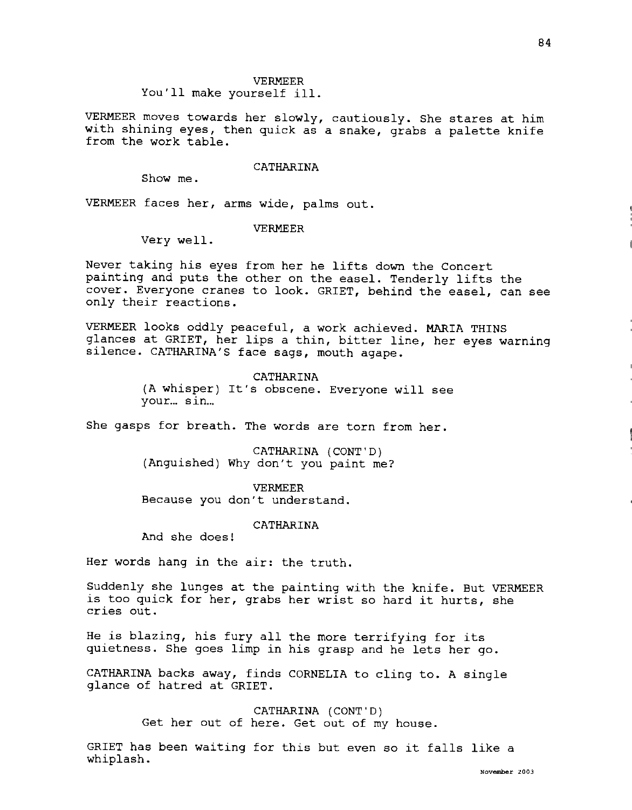#### VERMEER

You'll make yourself ill.

VERMEER moves towards her slowly, cautiously. She stares at him with shining eyes, then quick as a snake, grabs a palette knife from the work table.

# CATHARINA

Show me.

VERMEER faces her, arms wide, palms out.

# VERMEER

Very well.

Never taking his eyes from her he lifts down the Concert painting and puts the other on the easel. Tenderly lifts the cover. Everyone cranes to look. GRIET, behind the easel, can see only their reactions.

VERMEER looks oddly peaceful, a work achieved. **MARIA** THINS glances at GRIET, her lips a thin, bitter line, her eyes warning silence. CATHARINA'S face sags, mouth agape.

> CATHARINA (A whisper) It's obscene. Everyone will see your... sin...

She gasps for breath. The words are torn from her.

CATHARINA (CONT'D) (Anguished) Why don't you paint me?

VERMEER Because you don't understand.

CATHARINA

And she does!

Her words hang in the air: the truth.

Suddenly she lunges at the painting with the knife. But VERMEER is too quick for her, grabs her wrist so hard it hurts, she cries out.

He is blazing, his fury all the more terrifying for its quietness. She goes limp in his grasp and he lets her go.

CATHARINA backs away, finds CORNELIA to cling to. A single glance of hatred at GRIET.

> CATHARINA (CONT'D) Get her out of here. Get out of my house.

GRIET has been waiting for this but even so it falls like a whiplash.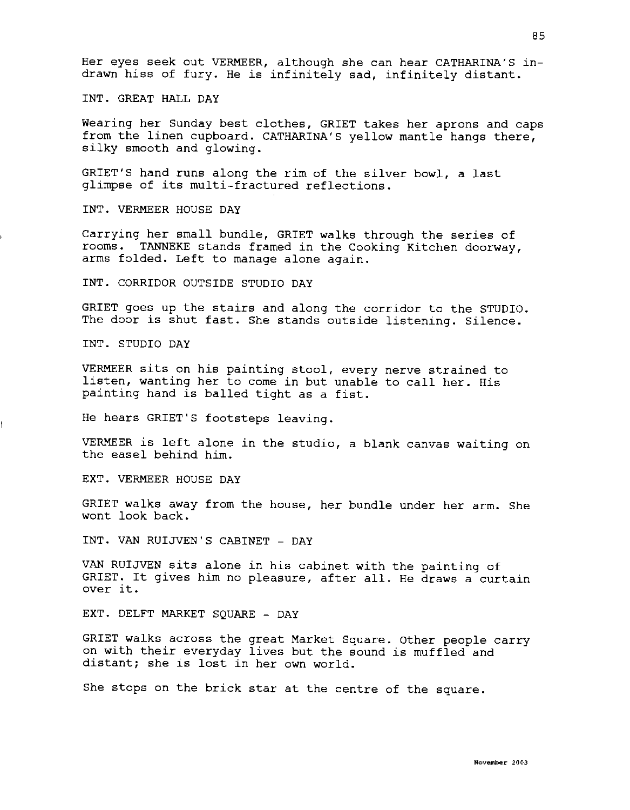Her eyes seek out VERMEER, although she can hear CATHARINA'S indrawn hiss of fury. He is infinitely sad, infinitely distant.

INT. GREAT HALL DAY

Wearing her Sunday best clothes, GRIET takes her aprons and caps from the linen cupboard. CATHARINA'S yellow mantle hangs there, silky smooth and glowing.

GRIET'S hand runs along the rim of the silver bowl, a last glimpse of its multi-fractured reflections.

INT. VERMEER HOUSE DAY

Carrying her small bundle, GRIET walks through the series of rooms. TANNEKE stands framed in the Cooking Kitchen doorway, arms folded. Left to manage alone again.

INT. CORRIDOR OUTSIDE STUDIO DAY

GRIET goes up the stairs and along the corridor to the STUDIO. The door is shut fast. She stands outside listening. Silence.

INT. STUDIO DAY

VERMEER sits on his painting stool, every nerve strained to listen, wanting her to come in but unable to call her. His painting hand is balled tight as a fist.

He hears GRIET'S footsteps leaving.

VERMEER is left alone in the studio, a blank canvas waiting on the easel behind him.

EXT. VERMEER HOUSE DAY

GRIET walks away from the house, her bundle under her arm. She wont look back.

INT. VAN RUIJVEN'S CABINET - DAY

VAN RUIJVEN sits alone in his cabinet with the painting of GRIET. It gives him no pleasure, after all. He draws a curtain over it.

EXT. DELFT MARKET SQUARE - DAY

GRIET walks across the great Market Square. Other people carry on with their everyday lives but the sound is muffled and distant; she is lost in her own world.

She stops on the brick star at the centre of the square.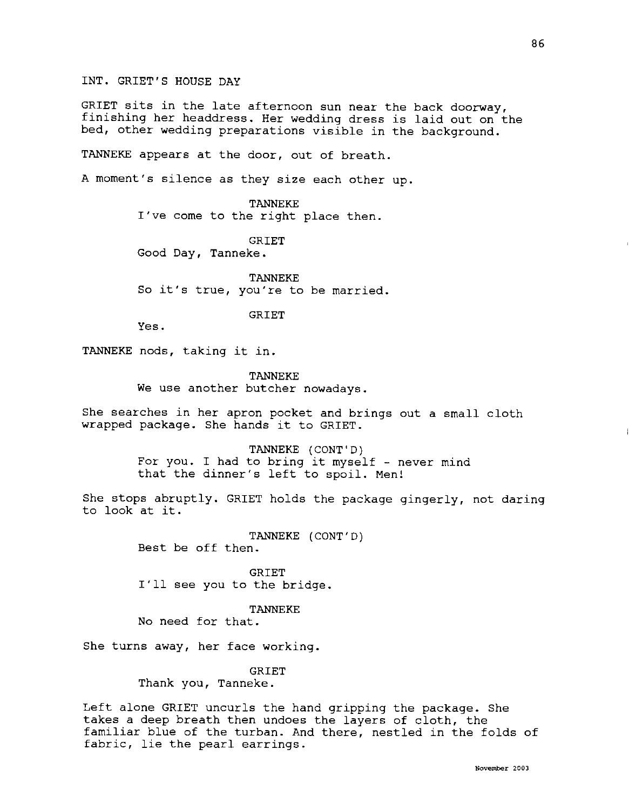INT. GRIET'S HOUSE DAY

GRIET sits in the late afternoon sun near the back doorway, finishing her headdress. Her wedding dress is laid out on the bed, other wedding preparations visible in the background.

TANNEKE appears at the door, out of breath.

A moment's silence as they size each other up.

TANNEKE I've come to the right place then.

GRIET Good Day, Tanneke.

TANNEKE So it's true, you're to be married.

GRIET

Yes.

TANNEKE nods, taking it in.

TANNEKE We use another butcher nowadays.

She searches in her apron pocket and brings out a small cloth wrapped package. She hands it to GRIET.

> TANNEKE (CONT'D) For you. I had to bring it myself - never mind that the dinner's left to spoil. Men!

She stops abruptly. GRIET holds the package gingerly, not daring to look at it.

> TANNEKE {CONT'D) Best be off then.

GRIET I'll see you to the bridge.

TANNEKE

No need for that.

She turns away, her face working.

GRIET

Thank you, Tanneke.

Left alone GRIET uncurls the hand gripping the package. She takes a deep breath then undoes the layers of cloth, the familiar blue of the turban. And there, nestled in the folds of fabric, lie the pearl earrings.